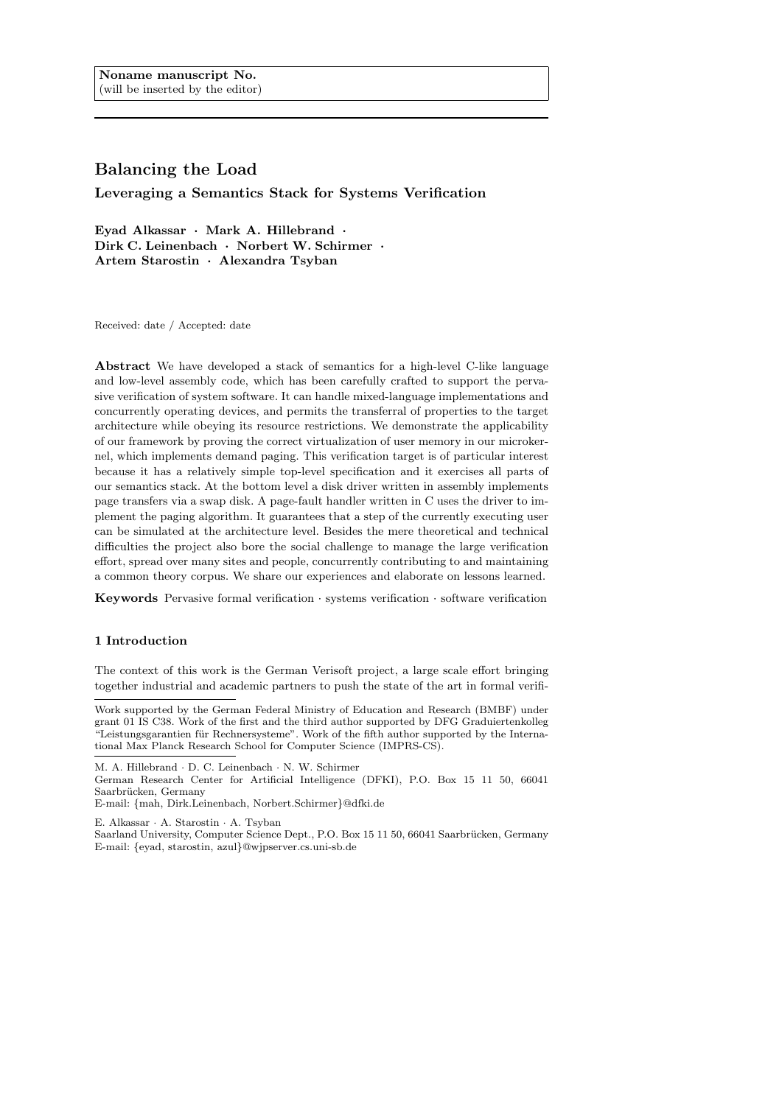# Balancing the Load Leveraging a Semantics Stack for Systems Verification

Eyad Alkassar · Mark A. Hillebrand · Dirk C. Leinenbach · Norbert W. Schirmer · Artem Starostin · Alexandra Tsyban

Received: date / Accepted: date

Abstract We have developed a stack of semantics for a high-level C-like language and low-level assembly code, which has been carefully crafted to support the pervasive verification of system software. It can handle mixed-language implementations and concurrently operating devices, and permits the transferral of properties to the target architecture while obeying its resource restrictions. We demonstrate the applicability of our framework by proving the correct virtualization of user memory in our microkernel, which implements demand paging. This verification target is of particular interest because it has a relatively simple top-level specification and it exercises all parts of our semantics stack. At the bottom level a disk driver written in assembly implements page transfers via a swap disk. A page-fault handler written in C uses the driver to implement the paging algorithm. It guarantees that a step of the currently executing user can be simulated at the architecture level. Besides the mere theoretical and technical difficulties the project also bore the social challenge to manage the large verification effort, spread over many sites and people, concurrently contributing to and maintaining a common theory corpus. We share our experiences and elaborate on lessons learned.

Keywords Pervasive formal verification · systems verification · software verification

# 1 Introduction

The context of this work is the German Verisoft project, a large scale effort bringing together industrial and academic partners to push the state of the art in formal verifi-

E. Alkassar · A. Starostin · A. Tsyban

Work supported by the German Federal Ministry of Education and Research (BMBF) under grant 01 IS C38. Work of the first and the third author supported by DFG Graduiertenkolleg "Leistungsgarantien für Rechnersysteme". Work of the fifth author supported by the International Max Planck Research School for Computer Science (IMPRS-CS).

M. A. Hillebrand · D. C. Leinenbach · N. W. Schirmer

German Research Center for Artificial Intelligence (DFKI), P.O. Box 15 11 50, 66041 Saarbrücken, Germany

E-mail: {mah, Dirk.Leinenbach, Norbert.Schirmer}@dfki.de

Saarland University, Computer Science Dept., P.O. Box 15 11 50, 66041 Saarbrücken, Germany E-mail: {eyad, starostin, azul}@wjpserver.cs.uni-sb.de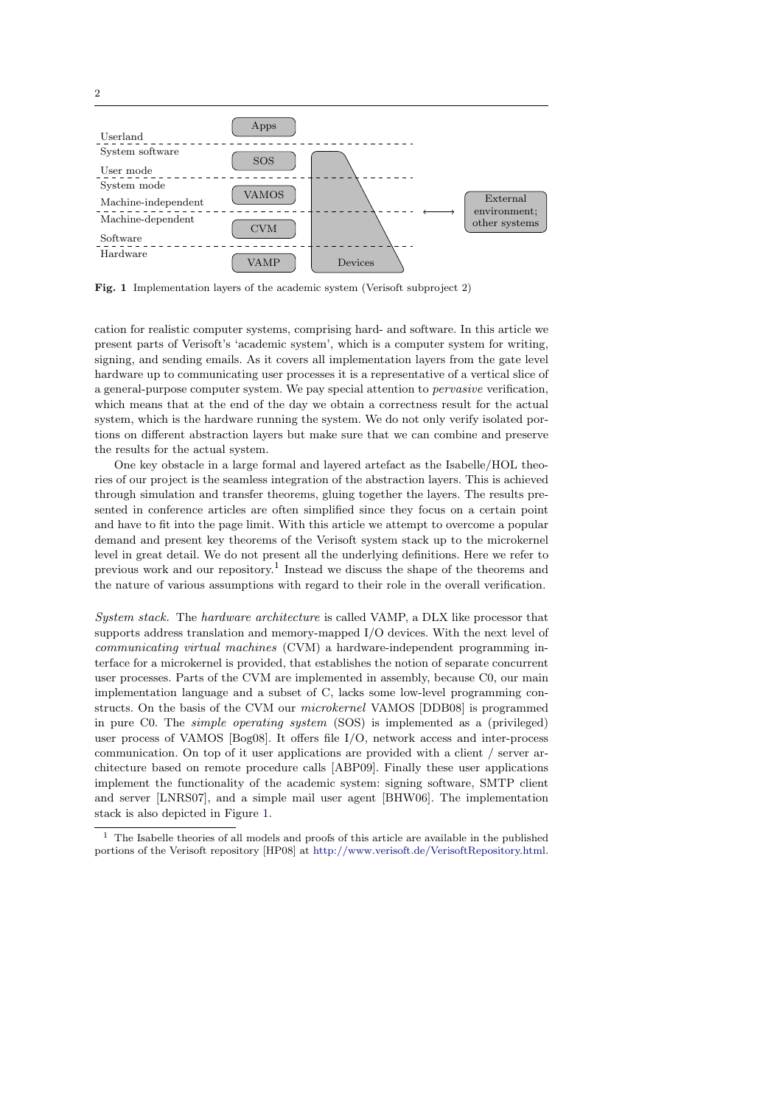

<span id="page-1-0"></span>Fig. 1 Implementation layers of the academic system (Verisoft subproject 2)

cation for realistic computer systems, comprising hard- and software. In this article we present parts of Verisoft's 'academic system', which is a computer system for writing, signing, and sending emails. As it covers all implementation layers from the gate level hardware up to communicating user processes it is a representative of a vertical slice of a general-purpose computer system. We pay special attention to pervasive verification, which means that at the end of the day we obtain a correctness result for the actual system, which is the hardware running the system. We do not only verify isolated portions on different abstraction layers but make sure that we can combine and preserve the results for the actual system.

One key obstacle in a large formal and layered artefact as the Isabelle/HOL theories of our project is the seamless integration of the abstraction layers. This is achieved through simulation and transfer theorems, gluing together the layers. The results presented in conference articles are often simplified since they focus on a certain point and have to fit into the page limit. With this article we attempt to overcome a popular demand and present key theorems of the Verisoft system stack up to the microkernel level in great detail. We do not present all the underlying definitions. Here we refer to previous work and our repository.<sup>1</sup> Instead we discuss the shape of the theorems and the nature of various assumptions with regard to their role in the overall verification.

System stack. The hardware architecture is called VAMP, a DLX like processor that supports address translation and memory-mapped I/O devices. With the next level of communicating virtual machines (CVM) a hardware-independent programming interface for a microkernel is provided, that establishes the notion of separate concurrent user processes. Parts of the CVM are implemented in assembly, because C0, our main implementation language and a subset of C, lacks some low-level programming constructs. On the basis of the CVM our microkernel VAMOS [DDB08] is programmed in pure C0. The simple operating system (SOS) is implemented as a (privileged) user process of VAMOS [Bog08]. It offers file I/O, network access and inter-process communication. On top of it user applications are provided with a client / server architecture based on remote procedure calls [ABP09]. Finally these user applications implement the functionality of the academic system: signing software, SMTP client and server [LNRS07], and a simple mail user agent [BHW06]. The implementation stack is also depicted in Figure [1.](#page-1-0)

 $^{\rm 1}$  The Isabelle theories of all models and proofs of this article are available in the published portions of the Verisoft repository [HP08] at [http://www.verisoft.de/VerisoftRepository.html.](http://www.verisoft.de/VerisoftRepository.html)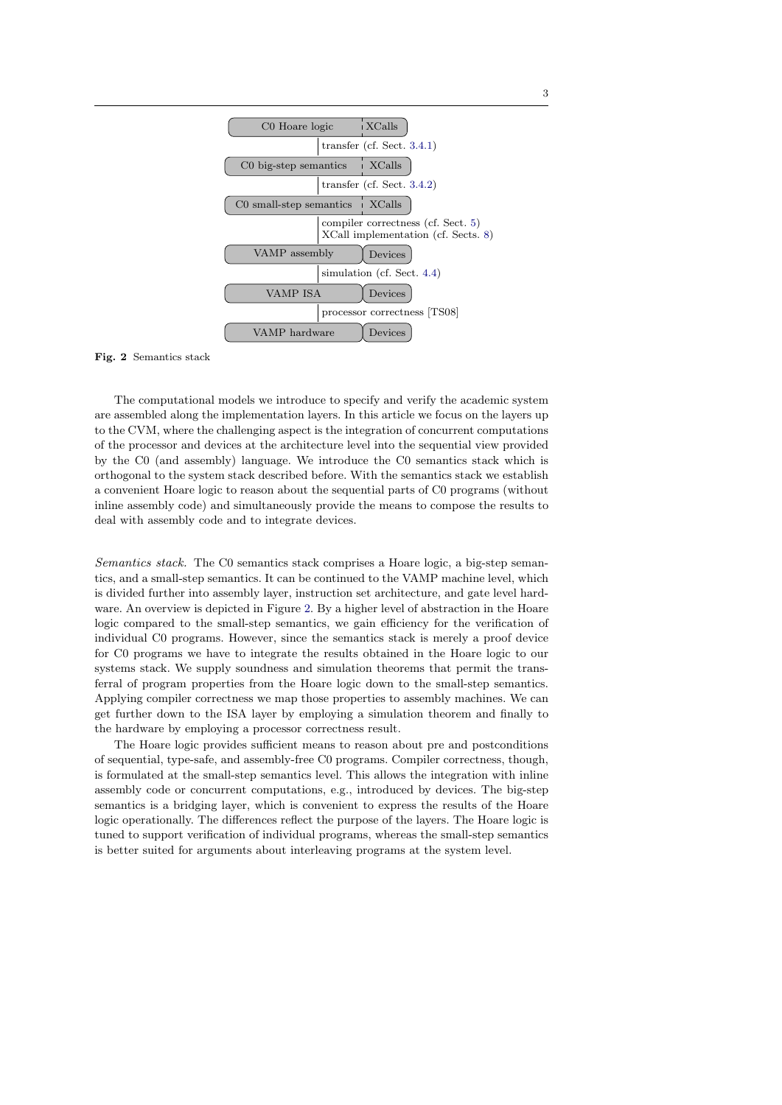

<span id="page-2-0"></span>Fig. 2 Semantics stack

The computational models we introduce to specify and verify the academic system are assembled along the implementation layers. In this article we focus on the layers up to the CVM, where the challenging aspect is the integration of concurrent computations of the processor and devices at the architecture level into the sequential view provided by the C0 (and assembly) language. We introduce the C0 semantics stack which is orthogonal to the system stack described before. With the semantics stack we establish a convenient Hoare logic to reason about the sequential parts of C0 programs (without inline assembly code) and simultaneously provide the means to compose the results to deal with assembly code and to integrate devices.

Semantics stack. The C0 semantics stack comprises a Hoare logic, a big-step semantics, and a small-step semantics. It can be continued to the VAMP machine level, which is divided further into assembly layer, instruction set architecture, and gate level hardware. An overview is depicted in Figure [2.](#page-2-0) By a higher level of abstraction in the Hoare logic compared to the small-step semantics, we gain efficiency for the verification of individual C0 programs. However, since the semantics stack is merely a proof device for C0 programs we have to integrate the results obtained in the Hoare logic to our systems stack. We supply soundness and simulation theorems that permit the transferral of program properties from the Hoare logic down to the small-step semantics. Applying compiler correctness we map those properties to assembly machines. We can get further down to the ISA layer by employing a simulation theorem and finally to the hardware by employing a processor correctness result.

The Hoare logic provides sufficient means to reason about pre and postconditions of sequential, type-safe, and assembly-free C0 programs. Compiler correctness, though, is formulated at the small-step semantics level. This allows the integration with inline assembly code or concurrent computations, e.g., introduced by devices. The big-step semantics is a bridging layer, which is convenient to express the results of the Hoare logic operationally. The differences reflect the purpose of the layers. The Hoare logic is tuned to support verification of individual programs, whereas the small-step semantics is better suited for arguments about interleaving programs at the system level.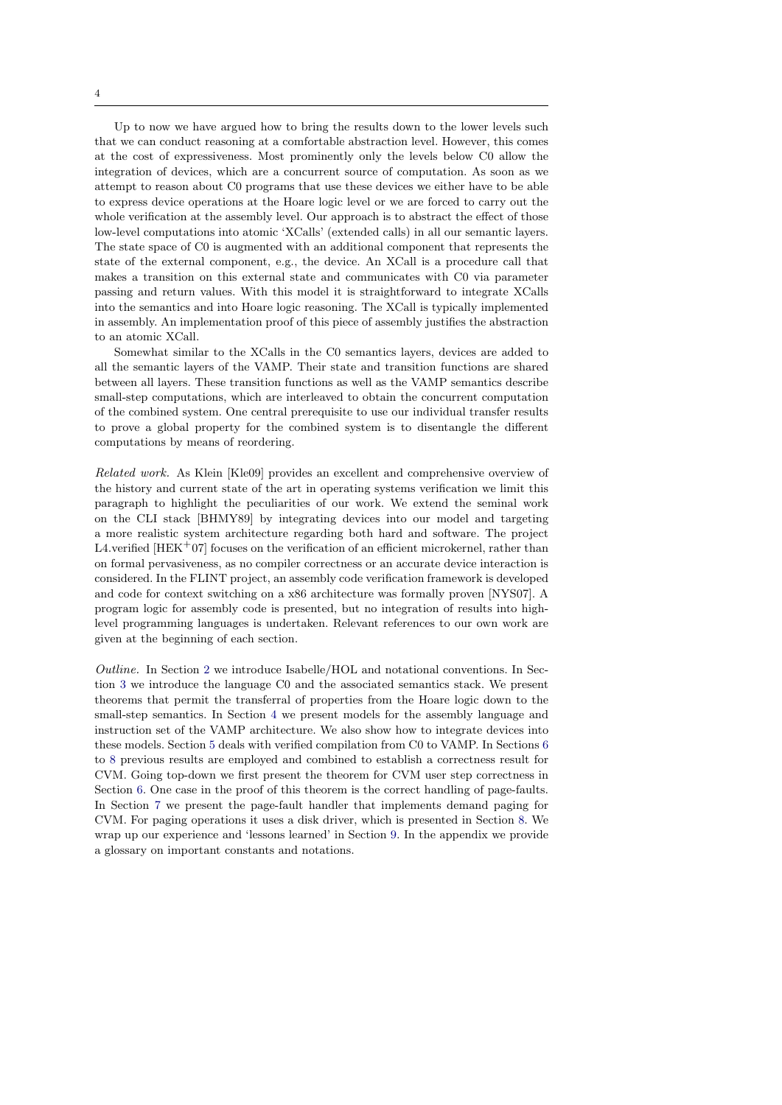Up to now we have argued how to bring the results down to the lower levels such that we can conduct reasoning at a comfortable abstraction level. However, this comes at the cost of expressiveness. Most prominently only the levels below C0 allow the integration of devices, which are a concurrent source of computation. As soon as we attempt to reason about C0 programs that use these devices we either have to be able to express device operations at the Hoare logic level or we are forced to carry out the whole verification at the assembly level. Our approach is to abstract the effect of those low-level computations into atomic 'XCalls' (extended calls) in all our semantic layers. The state space of C0 is augmented with an additional component that represents the state of the external component, e.g., the device. An XCall is a procedure call that makes a transition on this external state and communicates with C0 via parameter passing and return values. With this model it is straightforward to integrate XCalls into the semantics and into Hoare logic reasoning. The XCall is typically implemented in assembly. An implementation proof of this piece of assembly justifies the abstraction to an atomic XCall.

Somewhat similar to the XCalls in the C0 semantics layers, devices are added to all the semantic layers of the VAMP. Their state and transition functions are shared between all layers. These transition functions as well as the VAMP semantics describe small-step computations, which are interleaved to obtain the concurrent computation of the combined system. One central prerequisite to use our individual transfer results to prove a global property for the combined system is to disentangle the different computations by means of reordering.

Related work. As Klein [Kle09] provides an excellent and comprehensive overview of the history and current state of the art in operating systems verification we limit this paragraph to highlight the peculiarities of our work. We extend the seminal work on the CLI stack [BHMY89] by integrating devices into our model and targeting a more realistic system architecture regarding both hard and software. The project L4.verified [HEK<sup>+</sup>07] focuses on the verification of an efficient microkernel, rather than on formal pervasiveness, as no compiler correctness or an accurate device interaction is considered. In the FLINT project, an assembly code verification framework is developed and code for context switching on a x86 architecture was formally proven [NYS07]. A program logic for assembly code is presented, but no integration of results into highlevel programming languages is undertaken. Relevant references to our own work are given at the beginning of each section.

Outline. In Section [2](#page-4-0) we introduce Isabelle/HOL and notational conventions. In Section [3](#page-5-0) we introduce the language C0 and the associated semantics stack. We present theorems that permit the transferral of properties from the Hoare logic down to the small-step semantics. In Section [4](#page-18-0) we present models for the assembly language and instruction set of the VAMP architecture. We also show how to integrate devices into these models. Section [5](#page-24-0) deals with verified compilation from C0 to VAMP. In Sections [6](#page-29-0) to [8](#page-43-0) previous results are employed and combined to establish a correctness result for CVM. Going top-down we first present the theorem for CVM user step correctness in Section [6.](#page-29-0) One case in the proof of this theorem is the correct handling of page-faults. In Section [7](#page-36-0) we present the page-fault handler that implements demand paging for CVM. For paging operations it uses a disk driver, which is presented in Section [8.](#page-43-0) We wrap up our experience and 'lessons learned' in Section [9.](#page-49-0) In the appendix we provide a glossary on important constants and notations.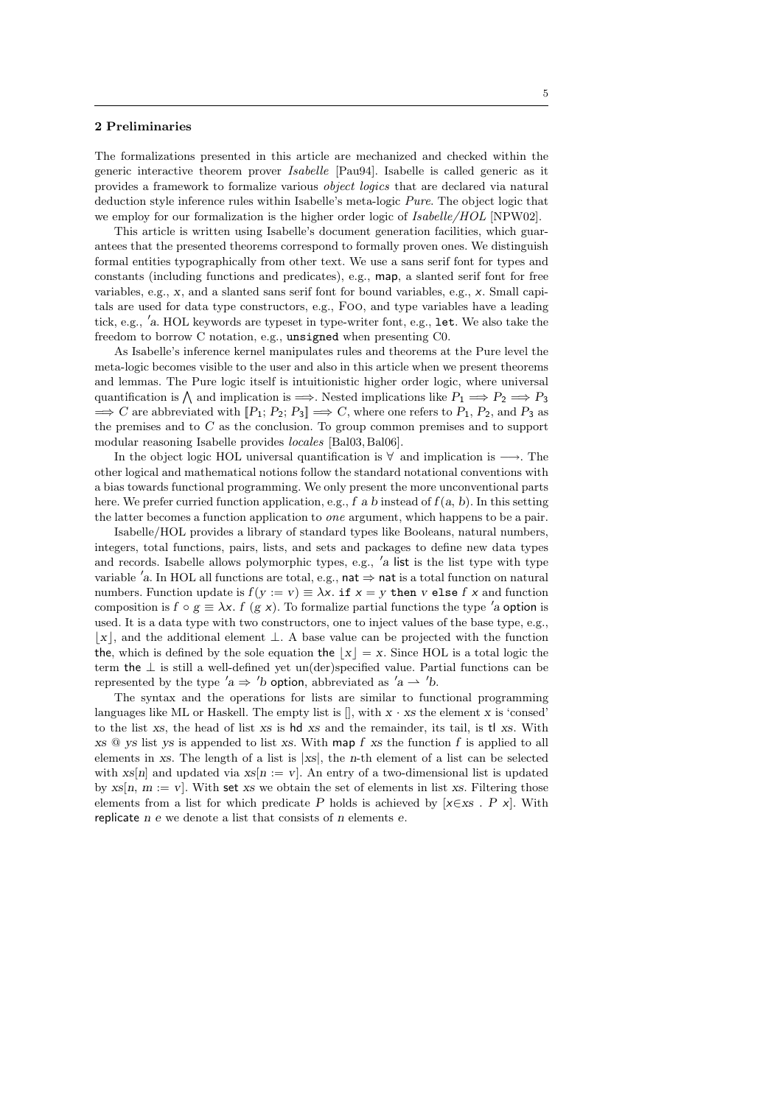#### <span id="page-4-0"></span>2 Preliminaries

The formalizations presented in this article are mechanized and checked within the generic interactive theorem prover Isabelle [Pau94]. Isabelle is called generic as it provides a framework to formalize various object logics that are declared via natural deduction style inference rules within Isabelle's meta-logic Pure. The object logic that we employ for our formalization is the higher order logic of *Isabelle/HOL* [NPW02].

This article is written using Isabelle's document generation facilities, which guarantees that the presented theorems correspond to formally proven ones. We distinguish formal entities typographically from other text. We use a sans serif font for types and constants (including functions and predicates), e.g., map, a slanted serif font for free variables, e.g., x, and a slanted sans serif font for bound variables, e.g., x. Small capitals are used for data type constructors, e.g., Foo, and type variables have a leading tick, e.g., 'a. HOL keywords are typeset in type-writer font, e.g., let. We also take the freedom to borrow C notation, e.g., unsigned when presenting C0.

As Isabelle's inference kernel manipulates rules and theorems at the Pure level the meta-logic becomes visible to the user and also in this article when we present theorems and lemmas. The Pure logic itself is intuitionistic higher order logic, where universal quantification is  $\bigwedge$  and implication is  $\implies$ . Nested implications like  $P_1 \Longrightarrow P_2 \Longrightarrow P_3$  $\Rightarrow$  C are abbreviated with  $[P_1; P_2; P_3] \Rightarrow C$ , where one refers to  $P_1, P_2$ , and  $P_3$  as the premises and to C as the conclusion. To group common premises and to support modular reasoning Isabelle provides locales [Bal03, Bal06].

In the object logic HOL universal quantification is  $\forall$  and implication is  $\longrightarrow$ . The other logical and mathematical notions follow the standard notational conventions with a bias towards functional programming. We only present the more unconventional parts here. We prefer curried function application, e.g., f a b instead of  $f(a, b)$ . In this setting the latter becomes a function application to one argument, which happens to be a pair.

Isabelle/HOL provides a library of standard types like Booleans, natural numbers, integers, total functions, pairs, lists, and sets and packages to define new data types and records. Isabelle allows polymorphic types, e.g., 'a list is the list type with type variable 'a. In HOL all functions are total, e.g.,  $\mathsf{nat} \Rightarrow \mathsf{nat}$  is a total function on natural numbers. Function update is  $f(y := v) \equiv \lambda x$ . if  $x = y$  then v else f x and function composition is  $f \circ g \equiv \lambda x$ .  $f(g x)$ . To formalize partial functions the type 'a option is used. It is a data type with two constructors, one to inject values of the base type, e.g.,  $\vert x \vert$ , and the additional element  $\bot$ . A base value can be projected with the function the, which is defined by the sole equation the  $|x| = x$ . Since HOL is a total logic the term the ⊥ is still a well-defined yet un(der)specified value. Partial functions can be represented by the type  $a \Rightarrow b$  option, abbreviated as  $a \rightarrow b$ .

The syntax and the operations for lists are similar to functional programming languages like ML or Haskell. The empty list is  $[]$ , with  $x \cdot xs$  the element x is 'consed' to the list xs, the head of list xs is hd xs and the remainder, its tail, is tl xs. With xs  $\&$  ys list ys is appended to list xs. With map f xs the function f is applied to all elements in xs. The length of a list is  $|xS|$ , the *n*-th element of a list can be selected with  $xs[n]$  and updated via  $xs[n] := v$ . An entry of a two-dimensional list is updated by  $xs[n, m := v]$ . With set xs we obtain the set of elements in list xs. Filtering those elements from a list for which predicate P holds is achieved by  $[x \in xs : P x]$ . With replicate  $n e$  we denote a list that consists of  $n$  elements  $e$ .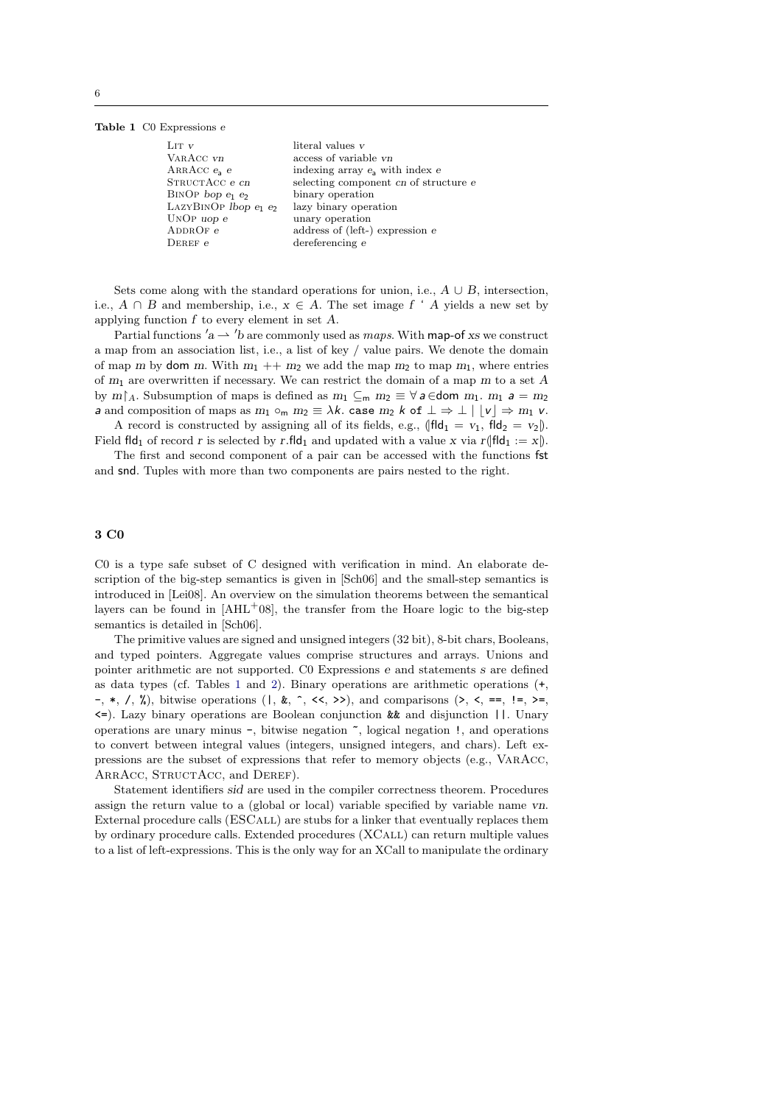# Table 1 C0 Expressions e

<span id="page-5-1"></span>

| LIT <i>v</i>                                 | literal values v                               |
|----------------------------------------------|------------------------------------------------|
| VARACC vn                                    | access of variable vn                          |
| ARRACC e, e                                  | indexing array $e_a$ with index $e_a$          |
| STRUCTACC e cn                               | selecting component cn of structure $\epsilon$ |
| $BINOP$ bop $e_1$ $e_2$                      | binary operation                               |
| $L$ AZY $B$ IN $O$ P <i>lbop</i> $e_1$ $e_2$ | lazy binary operation                          |
| UNOP uop e                                   | unary operation                                |
| ADDROF e                                     | address of (left-) expression e                |
| $D$ EREF $e$                                 | dereferencing e                                |
|                                              |                                                |

Sets come along with the standard operations for union, i.e.,  $A \cup B$ , intersection, i.e.,  $A \cap B$  and membership, i.e.,  $x \in A$ . The set image f ' A yields a new set by applying function f to every element in set A.

Partial functions  $a \rightarrow b$  are commonly used as maps. With map-of xs we construct a map from an association list, i.e., a list of key / value pairs. We denote the domain of map m by dom m. With  $m_1 + m_2$  we add the map  $m_2$  to map  $m_1$ , where entries of  $m_1$  are overwritten if necessary. We can restrict the domain of a map  $m$  to a set  $A$ by  $m\upharpoonright_A$ . Subsumption of maps is defined as  $m_1 \subseteq_m m_2 \equiv \forall a \in \text{dom } m_1$ .  $m_1 a = m_2$ a and composition of maps as  $m_1 \circ_m m_2 \equiv \lambda k$ . case  $m_2 k$  of  $\bot \Rightarrow \bot | |v| \Rightarrow m_1 v$ .

A record is constructed by assigning all of its fields, e.g.,  $(|f|d_1 = v_1, f|d_2 = v_2|$ . Field fld<sub>1</sub> of record r is selected by r.fld<sub>1</sub> and updated with a value x via r( $|f|d_1 := x$ ).

The first and second component of a pair can be accessed with the functions fst and snd. Tuples with more than two components are pairs nested to the right.

# <span id="page-5-0"></span>3 C0

C0 is a type safe subset of C designed with verification in mind. An elaborate description of the big-step semantics is given in [Sch06] and the small-step semantics is introduced in [Lei08]. An overview on the simulation theorems between the semantical layers can be found in  $[AHL^+08]$ , the transfer from the Hoare logic to the big-step semantics is detailed in [Sch06].

The primitive values are signed and unsigned integers (32 bit), 8-bit chars, Booleans, and typed pointers. Aggregate values comprise structures and arrays. Unions and pointer arithmetic are not supported. C0 Expressions e and statements s are defined as data types (cf. Tables [1](#page-5-1) and [2\)](#page-6-0). Binary operations are arithmetic operations  $(+)$ ,  $-$ , \*,  $\prime$ ,  $\%$ ), bitwise operations (1, &,  $\hat{ }$ ,  $\langle \langle , \rangle \rangle$ ), and comparisons ( $\rangle$ ,  $\langle , \rangle =$ ,  $\langle , \rangle =$ ,  $\leq$ =). Lazy binary operations are Boolean conjunction && and disjunction ||. Unary operations are unary minus -, bitwise negation ~, logical negation !, and operations to convert between integral values (integers, unsigned integers, and chars). Left expressions are the subset of expressions that refer to memory objects (e.g., VarAcc, ARRACC, STRUCTACC, and DEREF).

Statement identifiers sid are used in the compiler correctness theorem. Procedures assign the return value to a (global or local) variable specified by variable name vn. External procedure calls (ESCall) are stubs for a linker that eventually replaces them by ordinary procedure calls. Extended procedures (XCall) can return multiple values to a list of left-expressions. This is the only way for an XCall to manipulate the ordinary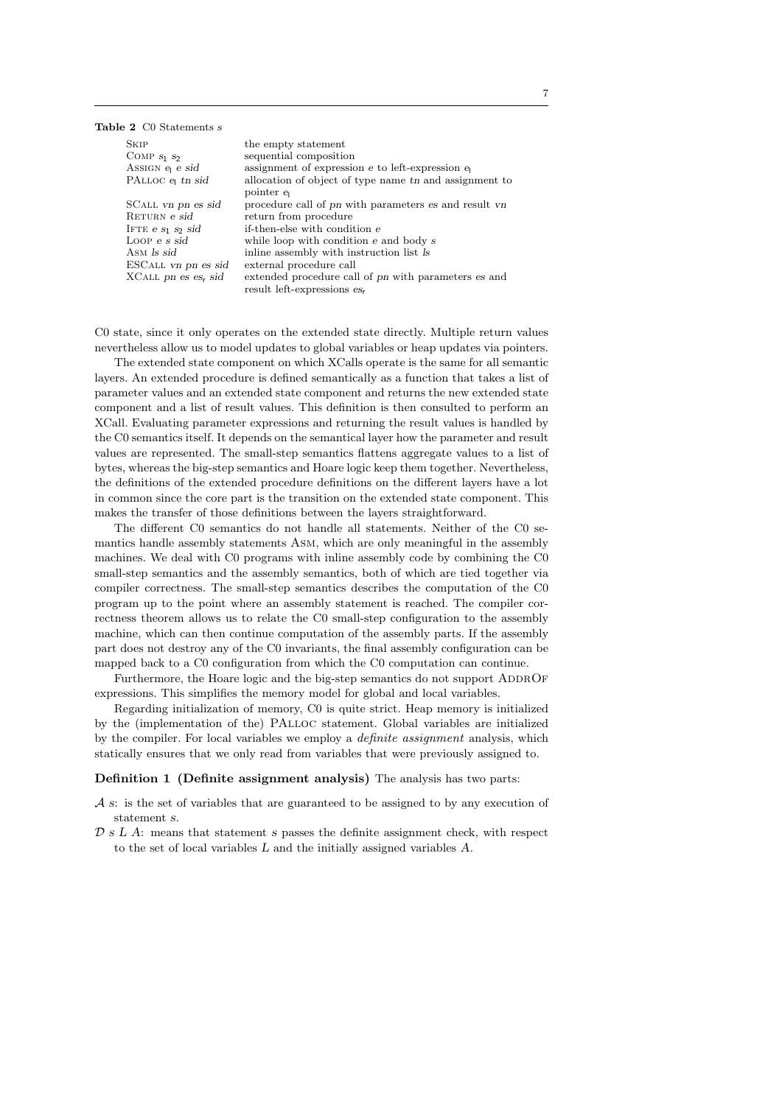#### Table 2 C0 Statements s

<span id="page-6-0"></span>

| <b>SKIP</b>            | the empty statement                                    |
|------------------------|--------------------------------------------------------|
| COMP $s_1$ $s_2$       | sequential composition                                 |
| ASSIGN $e_1$ e sid     | assignment of expression e to left-expression e        |
| PALLOC $e_1$ tn sid    | allocation of object of type name to and assignment to |
|                        | pointer e                                              |
| SCALL vn pn es sid     | procedure call of pn with parameters es and result vn  |
| RETURN e sid           | return from procedure                                  |
| IFTE $e s_1 s_2 s_1 d$ | if-then-else with condition e                          |
| LOOP $e s s d$         | while loop with condition e and body s                 |
| ASM <i>ls sid</i>      | inline assembly with instruction list ls               |
| ESCALL vn pn es sid    | external procedure call                                |
| $X$ CALL pn es es, sid | extended procedure call of pn with parameters es and   |
|                        | result left-expressions es                             |

C0 state, since it only operates on the extended state directly. Multiple return values nevertheless allow us to model updates to global variables or heap updates via pointers.

The extended state component on which XCalls operate is the same for all semantic layers. An extended procedure is defined semantically as a function that takes a list of parameter values and an extended state component and returns the new extended state component and a list of result values. This definition is then consulted to perform an XCall. Evaluating parameter expressions and returning the result values is handled by the C0 semantics itself. It depends on the semantical layer how the parameter and result values are represented. The small-step semantics flattens aggregate values to a list of bytes, whereas the big-step semantics and Hoare logic keep them together. Nevertheless, the definitions of the extended procedure definitions on the different layers have a lot in common since the core part is the transition on the extended state component. This makes the transfer of those definitions between the layers straightforward.

The different C0 semantics do not handle all statements. Neither of the C0 semantics handle assembly statements Asm, which are only meaningful in the assembly machines. We deal with C0 programs with inline assembly code by combining the C0 small-step semantics and the assembly semantics, both of which are tied together via compiler correctness. The small-step semantics describes the computation of the C0 program up to the point where an assembly statement is reached. The compiler correctness theorem allows us to relate the C0 small-step configuration to the assembly machine, which can then continue computation of the assembly parts. If the assembly part does not destroy any of the C0 invariants, the final assembly configuration can be mapped back to a C0 configuration from which the C0 computation can continue.

Furthermore, the Hoare logic and the big-step semantics do not support ADDROF expressions. This simplifies the memory model for global and local variables.

Regarding initialization of memory, C0 is quite strict. Heap memory is initialized by the (implementation of the) PAlloc statement. Global variables are initialized by the compiler. For local variables we employ a definite assignment analysis, which statically ensures that we only read from variables that were previously assigned to.

Definition 1 (Definite assignment analysis) The analysis has two parts:

- $\mathcal A$  s: is the set of variables that are guaranteed to be assigned to by any execution of statement s.
- $\mathcal{D}$  s L A: means that statement s passes the definite assignment check, with respect to the set of local variables L and the initially assigned variables A.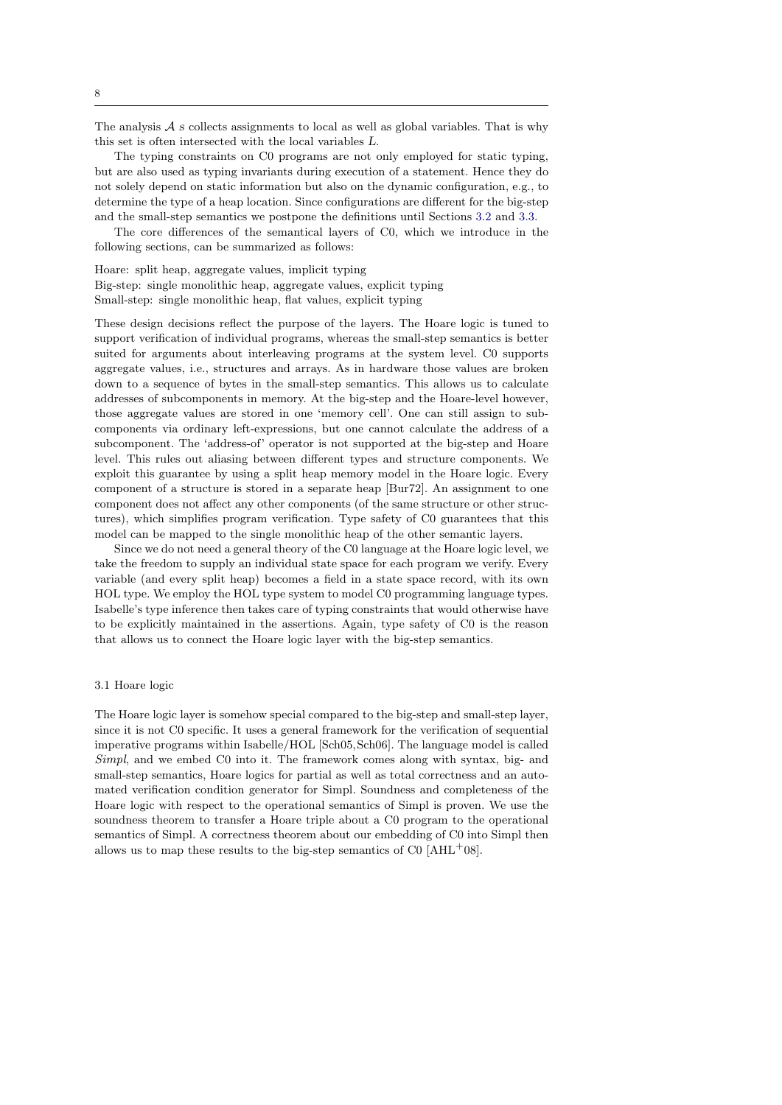The analysis  $A$  s collects assignments to local as well as global variables. That is why this set is often intersected with the local variables L.

The typing constraints on C0 programs are not only employed for static typing, but are also used as typing invariants during execution of a statement. Hence they do not solely depend on static information but also on the dynamic configuration, e.g., to determine the type of a heap location. Since configurations are different for the big-step and the small-step semantics we postpone the definitions until Sections [3.2](#page-8-0) and [3.3.](#page-10-0)

The core differences of the semantical layers of C0, which we introduce in the following sections, can be summarized as follows:

Hoare: split heap, aggregate values, implicit typing Big-step: single monolithic heap, aggregate values, explicit typing Small-step: single monolithic heap, flat values, explicit typing

These design decisions reflect the purpose of the layers. The Hoare logic is tuned to support verification of individual programs, whereas the small-step semantics is better suited for arguments about interleaving programs at the system level. C0 supports aggregate values, i.e., structures and arrays. As in hardware those values are broken down to a sequence of bytes in the small-step semantics. This allows us to calculate addresses of subcomponents in memory. At the big-step and the Hoare-level however, those aggregate values are stored in one 'memory cell'. One can still assign to subcomponents via ordinary left-expressions, but one cannot calculate the address of a subcomponent. The 'address-of' operator is not supported at the big-step and Hoare level. This rules out aliasing between different types and structure components. We exploit this guarantee by using a split heap memory model in the Hoare logic. Every component of a structure is stored in a separate heap [Bur72]. An assignment to one component does not affect any other components (of the same structure or other structures), which simplifies program verification. Type safety of C0 guarantees that this model can be mapped to the single monolithic heap of the other semantic layers.

Since we do not need a general theory of the C0 language at the Hoare logic level, we take the freedom to supply an individual state space for each program we verify. Every variable (and every split heap) becomes a field in a state space record, with its own HOL type. We employ the HOL type system to model C0 programming language types. Isabelle's type inference then takes care of typing constraints that would otherwise have to be explicitly maintained in the assertions. Again, type safety of C0 is the reason that allows us to connect the Hoare logic layer with the big-step semantics.

#### <span id="page-7-0"></span>3.1 Hoare logic

The Hoare logic layer is somehow special compared to the big-step and small-step layer, since it is not C0 specific. It uses a general framework for the verification of sequential imperative programs within Isabelle/HOL [Sch05,Sch06]. The language model is called Simpl, and we embed C0 into it. The framework comes along with syntax, big- and small-step semantics, Hoare logics for partial as well as total correctness and an automated verification condition generator for Simpl. Soundness and completeness of the Hoare logic with respect to the operational semantics of Simpl is proven. We use the soundness theorem to transfer a Hoare triple about a C0 program to the operational semantics of Simpl. A correctness theorem about our embedding of C0 into Simpl then allows us to map these results to the big-step semantics of  $CO$  [AHL<sup>+</sup>08].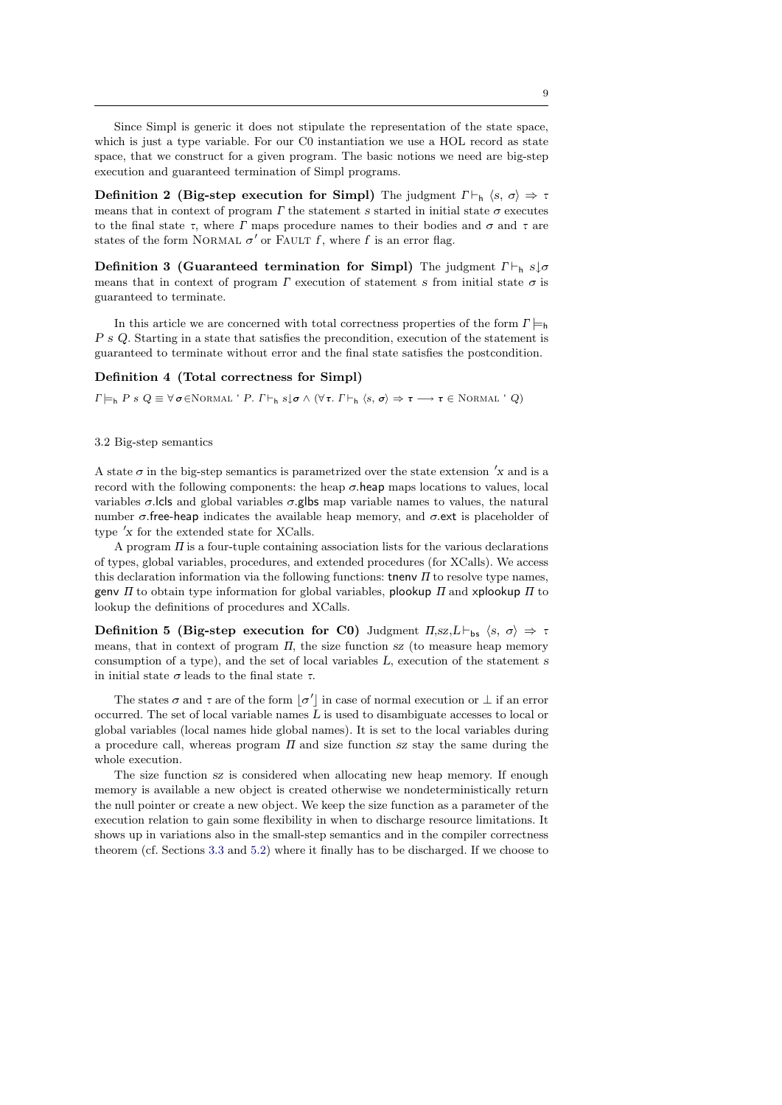Since Simpl is generic it does not stipulate the representation of the state space, which is just a type variable. For our C0 instantiation we use a HOL record as state space, that we construct for a given program. The basic notions we need are big-step execution and guaranteed termination of Simpl programs.

**Definition 2 (Big-step execution for Simpl)** The judgment  $\Gamma \vdash_h \langle s, \sigma \rangle \Rightarrow \tau$ means that in context of program  $\Gamma$  the statement s started in initial state  $\sigma$  executes to the final state  $\tau$ , where  $\Gamma$  maps procedure names to their bodies and  $\sigma$  and  $\tau$  are states of the form NORMAL  $\sigma'$  or FAULT f, where f is an error flag.

**Definition 3 (Guaranteed termination for Simpl)** The judgment  $\Gamma \vdash_h s \downarrow \sigma$ means that in context of program  $\Gamma$  execution of statement s from initial state  $\sigma$  is guaranteed to terminate.

In this article we are concerned with total correctness properties of the form  $\Gamma \models_h$ P s Q. Starting in a state that satisfies the precondition, execution of the statement is guaranteed to terminate without error and the final state satisfies the postcondition.

# Definition 4 (Total correctness for Simpl)

 $\Gamma \models_h P s Q \equiv \forall \sigma \in \text{Normal}' \cdot P$ .  $\Gamma \vdash_h s \downarrow \sigma \wedge (\forall \tau, \Gamma \vdash_h \langle s, \sigma \rangle \Rightarrow \tau \longrightarrow \tau \in \text{Normal}' \cdot Q)$ 

## <span id="page-8-0"></span>3.2 Big-step semantics

A state  $\sigma$  in the big-step semantics is parametrized over the state extension  $'x$  and is a record with the following components: the heap  $\sigma$  heap maps locations to values, local variables  $\sigma$ . lets and global variables  $\sigma$ . glbs map variable names to values, the natural number  $\sigma$ . free-heap indicates the available heap memory, and  $\sigma$  ext is placeholder of type 'x for the extended state for XCalls.

A program  $\Pi$  is a four-tuple containing association lists for the various declarations of types, global variables, procedures, and extended procedures (for XCalls). We access this declaration information via the following functions: then  $\Pi$  to resolve type names, genv  $\Pi$  to obtain type information for global variables, plookup  $\Pi$  and xplookup  $\Pi$  to lookup the definitions of procedures and XCalls.

Definition 5 (Big-step execution for C0) Judgment  $\Pi$ ,sz, $L \vdash_{bs} \langle s, \sigma \rangle \Rightarrow \tau$ means, that in context of program  $\Pi$ , the size function sz (to measure heap memory consumption of a type), and the set of local variables L, execution of the statement s in initial state  $\sigma$  leads to the final state  $\tau$ .

The states  $\sigma$  and  $\tau$  are of the form  $|\sigma'|$  in case of normal execution or  $\bot$  if an error occurred. The set of local variable names  $L$  is used to disambiguate accesses to local or global variables (local names hide global names). It is set to the local variables during a procedure call, whereas program  $\Pi$  and size function sz stay the same during the whole execution.

The size function sz is considered when allocating new heap memory. If enough memory is available a new object is created otherwise we nondeterministically return the null pointer or create a new object. We keep the size function as a parameter of the execution relation to gain some flexibility in when to discharge resource limitations. It shows up in variations also in the small-step semantics and in the compiler correctness theorem (cf. Sections [3.3](#page-10-0) and [5.2\)](#page-27-0) where it finally has to be discharged. If we choose to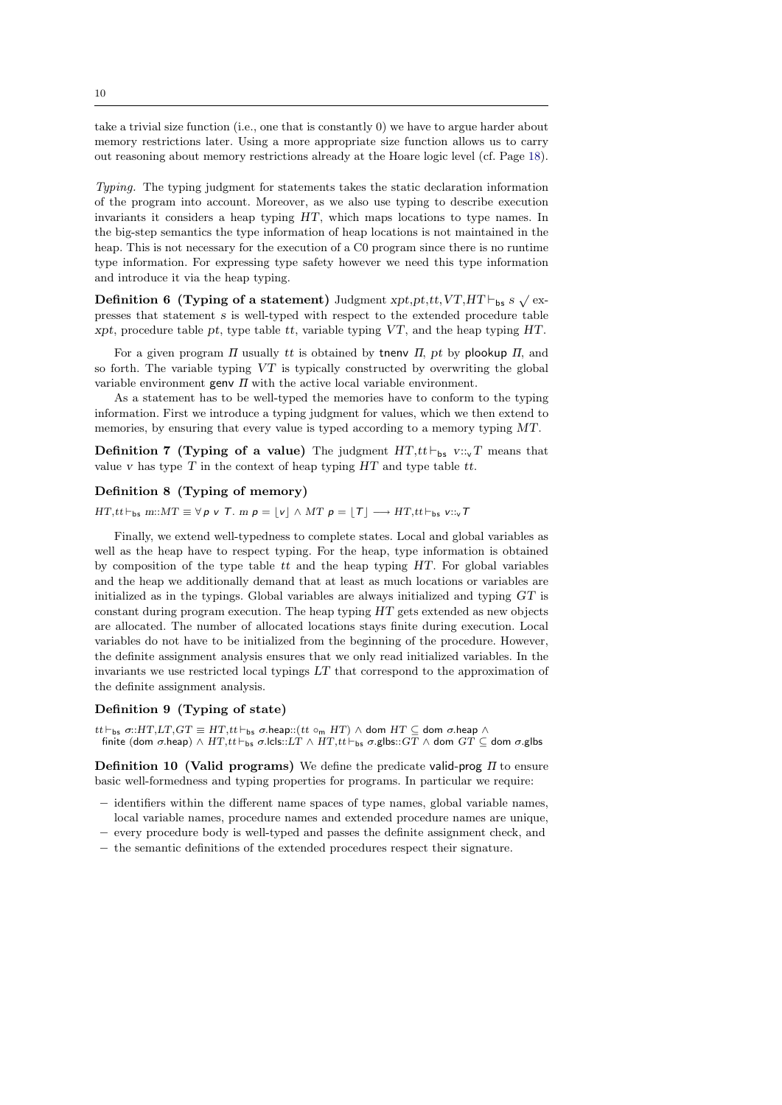take a trivial size function (i.e., one that is constantly 0) we have to argue harder about memory restrictions later. Using a more appropriate size function allows us to carry out reasoning about memory restrictions already at the Hoare logic level (cf. Page [18\)](#page-17-0).

Typing. The typing judgment for statements takes the static declaration information of the program into account. Moreover, as we also use typing to describe execution invariants it considers a heap typing HT, which maps locations to type names. In the big-step semantics the type information of heap locations is not maintained in the heap. This is not necessary for the execution of a C0 program since there is no runtime type information. For expressing type safety however we need this type information and introduce it via the heap typing.

Definition 6 (Typing of a statement) Judgment  $xpt, pt, tt, VT, HT \vdash_{bs} s \sqrt{ex}$ presses that statement s is well-typed with respect to the extended procedure table xpt, procedure table pt, type table tt, variable typing  $VT$ , and the heap typing  $HT$ .

For a given program  $\Pi$  usually tt is obtained by tnenv  $\Pi$ , pt by plookup  $\Pi$ , and so forth. The variable typing  $VT$  is typically constructed by overwriting the global variable environment genv  $\Pi$  with the active local variable environment.

As a statement has to be well-typed the memories have to conform to the typing information. First we introduce a typing judgment for values, which we then extend to memories, by ensuring that every value is typed according to a memory typing MT.

**Definition 7 (Typing of a value)** The judgment  $HT, tt \rightharpoonup_{bs} v::vT$  means that value v has type  $T$  in the context of heap typing  $HT$  and type table  $tt$ .

#### Definition 8 (Typing of memory)

 $HT,tt \vdash_{bs} m::MT \equiv \forall p \vee T. m p = |v| \wedge MT p = |T| \longrightarrow HT,tt \vdash_{bs} v::_{v}T$ 

Finally, we extend well-typedness to complete states. Local and global variables as well as the heap have to respect typing. For the heap, type information is obtained by composition of the type table  $tt$  and the heap typing  $HT$ . For global variables and the heap we additionally demand that at least as much locations or variables are initialized as in the typings. Global variables are always initialized and typing GT is constant during program execution. The heap typing HT gets extended as new objects are allocated. The number of allocated locations stays finite during execution. Local variables do not have to be initialized from the beginning of the procedure. However, the definite assignment analysis ensures that we only read initialized variables. In the invariants we use restricted local typings LT that correspond to the approximation of the definite assignment analysis.

# Definition 9 (Typing of state)

 $tt \vdash_{\sf bs} \sigma :: HT, LT, GT \equiv HT, tt \vdash_{\sf bs} \sigma.\sf heap::(tt \circ_m HT) \wedge \sf dom HT \subseteq \sf dom \; \sigma.\sf heap \wedge$ finite (dom  $\sigma$ .heap) ∧  $HT,tt \vdash_{\sf bs} \sigma$ .lcls:: $LT \wedge HT,tt \vdash_{\sf bs} \sigma$ .glbs:: $G\overline{T}$  ∧ dom  $GT \subseteq$  dom  $\sigma$ .glbs

<span id="page-9-0"></span>**Definition 10 (Valid programs)** We define the predicate valid-prog  $\Pi$  to ensure basic well-formedness and typing properties for programs. In particular we require:

- identifiers within the different name spaces of type names, global variable names, local variable names, procedure names and extended procedure names are unique,
- every procedure body is well-typed and passes the definite assignment check, and
- the semantic definitions of the extended procedures respect their signature.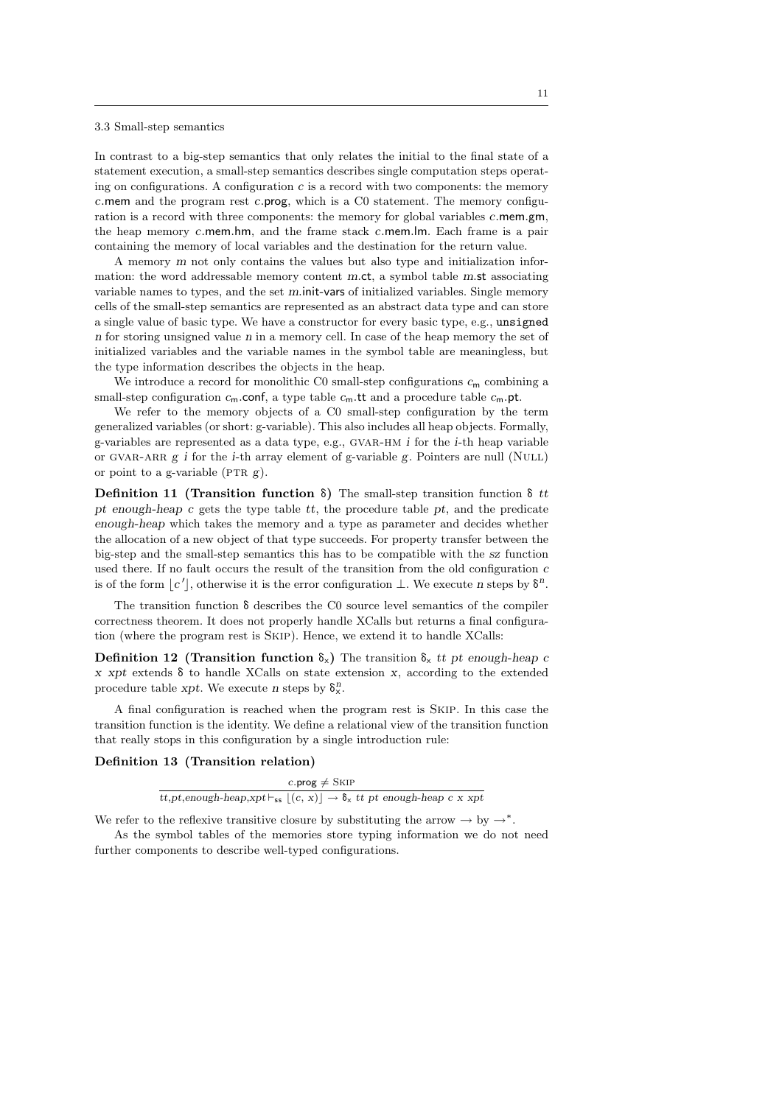#### <span id="page-10-0"></span>3.3 Small-step semantics

In contrast to a big-step semantics that only relates the initial to the final state of a statement execution, a small-step semantics describes single computation steps operating on configurations. A configuration  $c$  is a record with two components: the memory  $c$ .mem and the program rest  $c$ .prog, which is a C0 statement. The memory configuration is a record with three components: the memory for global variables c.mem.gm, the heap memory c.mem.hm, and the frame stack c.mem.lm. Each frame is a pair containing the memory of local variables and the destination for the return value.

A memory m not only contains the values but also type and initialization information: the word addressable memory content m.ct, a symbol table m.st associating variable names to types, and the set  $m$ . init-vars of initialized variables. Single memory cells of the small-step semantics are represented as an abstract data type and can store a single value of basic type. We have a constructor for every basic type, e.g., unsigned n for storing unsigned value n in a memory cell. In case of the heap memory the set of initialized variables and the variable names in the symbol table are meaningless, but the type information describes the objects in the heap.

We introduce a record for monolithic C0 small-step configurations  $c_m$  combining a small-step configuration  $c_m$  conf, a type table  $c_m$  tt and a procedure table  $c_m$  pt.

We refer to the memory objects of a C0 small-step configuration by the term generalized variables (or short: g-variable). This also includes all heap objects. Formally, g-variables are represented as a data type, e.g., gvar-hm i for the i-th heap variable or GVAR-ARR  $g$  i for the *i*-th array element of g-variable  $g$ . Pointers are null (NULL) or point to a g-variable (PTR  $g$ ).

**Definition 11 (Transition function**  $\delta$ **)** The small-step transition function  $\delta$  tt pt enough-heap  $c$  gets the type table  $tt$ , the procedure table  $pt$ , and the predicate enough-heap which takes the memory and a type as parameter and decides whether the allocation of a new object of that type succeeds. For property transfer between the big-step and the small-step semantics this has to be compatible with the sz function used there. If no fault occurs the result of the transition from the old configuration c is of the form  $|c'|$ , otherwise it is the error configuration ⊥. We execute n steps by  $\delta^n$ .

The transition function  $\delta$  describes the C0 source level semantics of the compiler correctness theorem. It does not properly handle XCalls but returns a final configuration (where the program rest is Skip). Hence, we extend it to handle XCalls:

**Definition 12 (Transition function**  $\delta_{\mathsf{x}}$ **)** The transition  $\delta_{\mathsf{x}}$  tt pt enough-heap c  $x$  xpt extends  $\delta$  to handle XCalls on state extension x, according to the extended procedure table *xpt*. We execute *n* steps by  $\delta_{x}^{n}$ .

A final configuration is reached when the program rest is Skip. In this case the transition function is the identity. We define a relational view of the transition function that really stops in this configuration by a single introduction rule:

# Definition 13 (Transition relation)

| c.prog $\neq$ SKIP                                                                             |
|------------------------------------------------------------------------------------------------|
| tt, pt, enough-heap, xpt $\vdash_{ss}  (c, x)  \rightarrow \delta_x$ tt pt enough-heap c x xpt |

We refer to the reflexive transitive closure by substituting the arrow  $\rightarrow$  by  $\rightarrow^*$ .

As the symbol tables of the memories store typing information we do not need further components to describe well-typed configurations.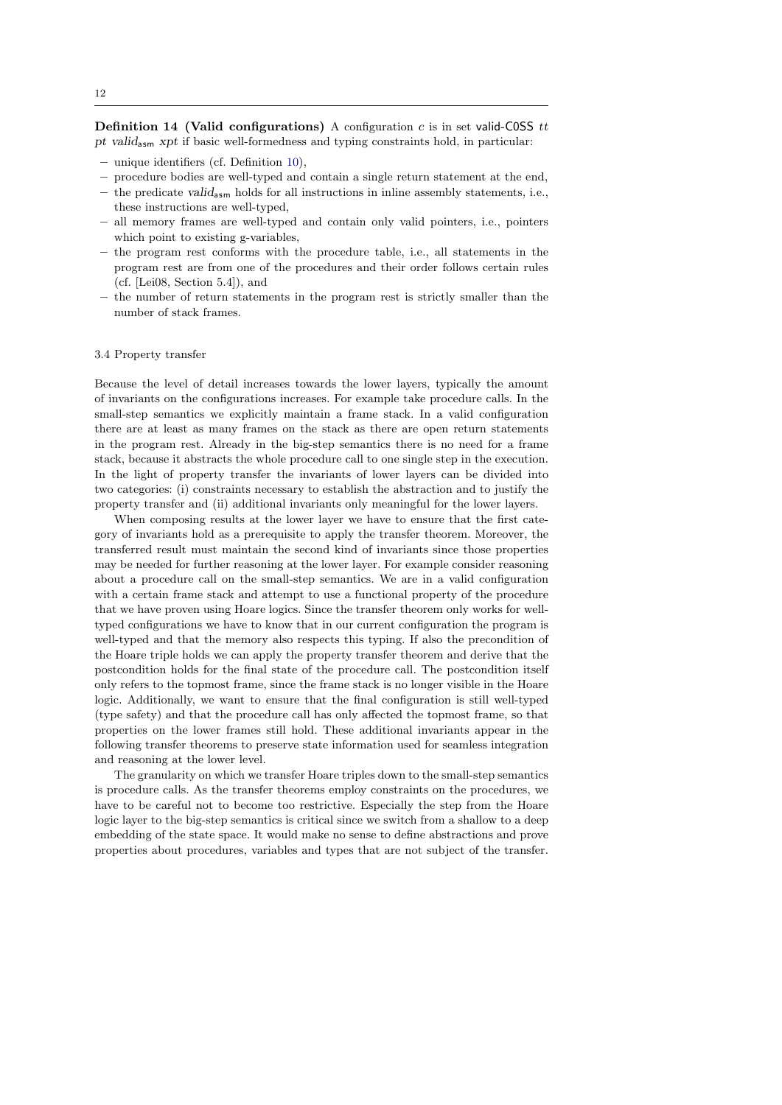**Definition 14 (Valid configurations)** A configuration  $c$  is in set valid-C0SS tt pt validasm xpt if basic well-formedness and typing constraints hold, in particular:

- unique identifiers (cf. Definition [10\)](#page-9-0),
- procedure bodies are well-typed and contain a single return statement at the end,
- the predicate valid<sub>asm</sub> holds for all instructions in inline assembly statements, i.e., these instructions are well-typed,
- all memory frames are well-typed and contain only valid pointers, i.e., pointers which point to existing g-variables,
- the program rest conforms with the procedure table, i.e., all statements in the program rest are from one of the procedures and their order follows certain rules (cf. [Lei08, Section 5.4]), and
- the number of return statements in the program rest is strictly smaller than the number of stack frames.

# 3.4 Property transfer

Because the level of detail increases towards the lower layers, typically the amount of invariants on the configurations increases. For example take procedure calls. In the small-step semantics we explicitly maintain a frame stack. In a valid configuration there are at least as many frames on the stack as there are open return statements in the program rest. Already in the big-step semantics there is no need for a frame stack, because it abstracts the whole procedure call to one single step in the execution. In the light of property transfer the invariants of lower layers can be divided into two categories: (i) constraints necessary to establish the abstraction and to justify the property transfer and (ii) additional invariants only meaningful for the lower layers.

When composing results at the lower layer we have to ensure that the first category of invariants hold as a prerequisite to apply the transfer theorem. Moreover, the transferred result must maintain the second kind of invariants since those properties may be needed for further reasoning at the lower layer. For example consider reasoning about a procedure call on the small-step semantics. We are in a valid configuration with a certain frame stack and attempt to use a functional property of the procedure that we have proven using Hoare logics. Since the transfer theorem only works for welltyped configurations we have to know that in our current configuration the program is well-typed and that the memory also respects this typing. If also the precondition of the Hoare triple holds we can apply the property transfer theorem and derive that the postcondition holds for the final state of the procedure call. The postcondition itself only refers to the topmost frame, since the frame stack is no longer visible in the Hoare logic. Additionally, we want to ensure that the final configuration is still well-typed (type safety) and that the procedure call has only affected the topmost frame, so that properties on the lower frames still hold. These additional invariants appear in the following transfer theorems to preserve state information used for seamless integration and reasoning at the lower level.

The granularity on which we transfer Hoare triples down to the small-step semantics is procedure calls. As the transfer theorems employ constraints on the procedures, we have to be careful not to become too restrictive. Especially the step from the Hoare logic layer to the big-step semantics is critical since we switch from a shallow to a deep embedding of the state space. It would make no sense to define abstractions and prove properties about procedures, variables and types that are not subject of the transfer.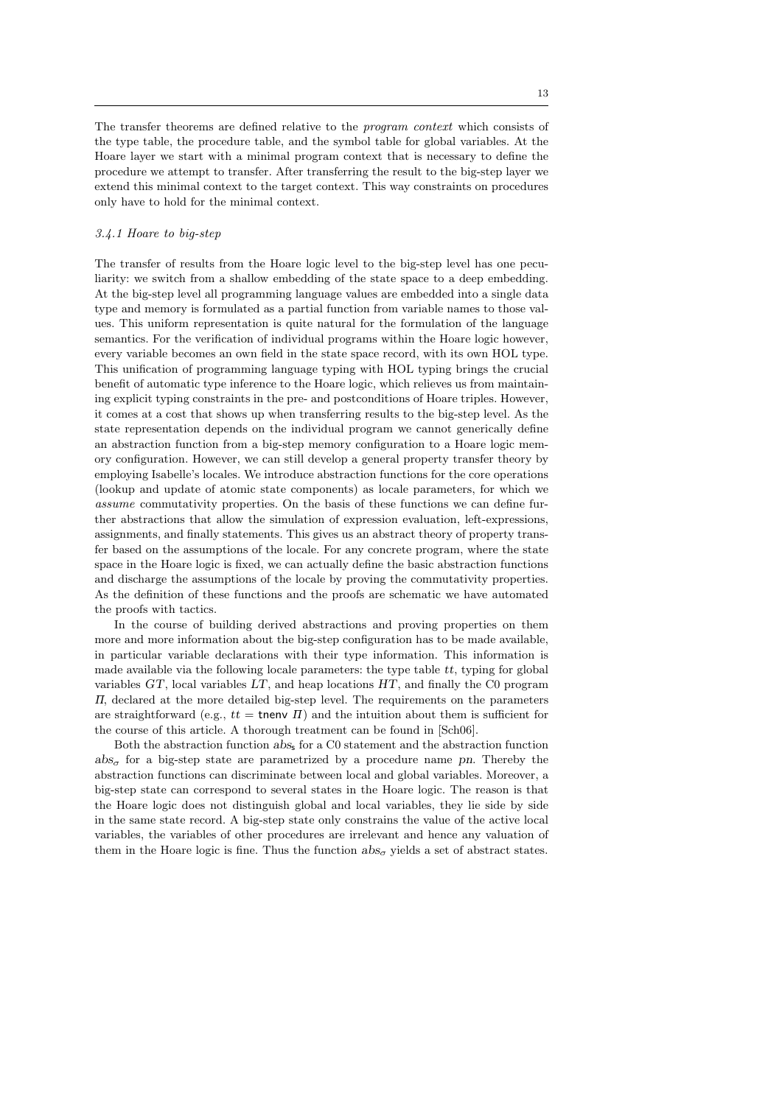The transfer theorems are defined relative to the *program context* which consists of the type table, the procedure table, and the symbol table for global variables. At the Hoare layer we start with a minimal program context that is necessary to define the procedure we attempt to transfer. After transferring the result to the big-step layer we extend this minimal context to the target context. This way constraints on procedures only have to hold for the minimal context.

## <span id="page-12-0"></span>3.4.1 Hoare to big-step

The transfer of results from the Hoare logic level to the big-step level has one peculiarity: we switch from a shallow embedding of the state space to a deep embedding. At the big-step level all programming language values are embedded into a single data type and memory is formulated as a partial function from variable names to those values. This uniform representation is quite natural for the formulation of the language semantics. For the verification of individual programs within the Hoare logic however, every variable becomes an own field in the state space record, with its own HOL type. This unification of programming language typing with HOL typing brings the crucial benefit of automatic type inference to the Hoare logic, which relieves us from maintaining explicit typing constraints in the pre- and postconditions of Hoare triples. However, it comes at a cost that shows up when transferring results to the big-step level. As the state representation depends on the individual program we cannot generically define an abstraction function from a big-step memory configuration to a Hoare logic memory configuration. However, we can still develop a general property transfer theory by employing Isabelle's locales. We introduce abstraction functions for the core operations (lookup and update of atomic state components) as locale parameters, for which we assume commutativity properties. On the basis of these functions we can define further abstractions that allow the simulation of expression evaluation, left-expressions, assignments, and finally statements. This gives us an abstract theory of property transfer based on the assumptions of the locale. For any concrete program, where the state space in the Hoare logic is fixed, we can actually define the basic abstraction functions and discharge the assumptions of the locale by proving the commutativity properties. As the definition of these functions and the proofs are schematic we have automated the proofs with tactics.

In the course of building derived abstractions and proving properties on them more and more information about the big-step configuration has to be made available, in particular variable declarations with their type information. This information is made available via the following locale parameters: the type table  $tt$ , typing for global variables  $GT$ , local variables  $LT$ , and heap locations  $HT$ , and finally the C0 program  $\Pi$ , declared at the more detailed big-step level. The requirements on the parameters are straightforward (e.g.,  $tt =$  tnenv  $\Pi$ ) and the intuition about them is sufficient for the course of this article. A thorough treatment can be found in [Sch06].

Both the abstraction function  $abs<sub>s</sub>$  for a C0 statement and the abstraction function  $abs_{\sigma}$  for a big-step state are parametrized by a procedure name pn. Thereby the abstraction functions can discriminate between local and global variables. Moreover, a big-step state can correspond to several states in the Hoare logic. The reason is that the Hoare logic does not distinguish global and local variables, they lie side by side in the same state record. A big-step state only constrains the value of the active local variables, the variables of other procedures are irrelevant and hence any valuation of them in the Hoare logic is fine. Thus the function  $abs_{\sigma}$  yields a set of abstract states.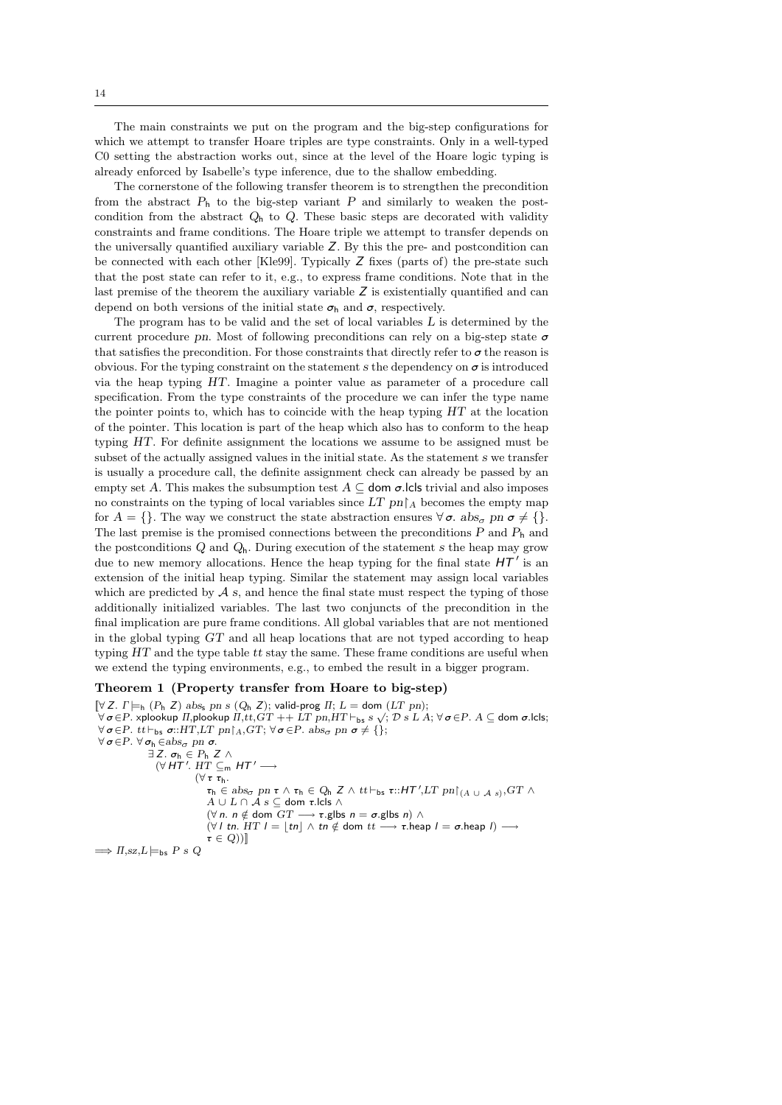The main constraints we put on the program and the big-step configurations for which we attempt to transfer Hoare triples are type constraints. Only in a well-typed C0 setting the abstraction works out, since at the level of the Hoare logic typing is already enforced by Isabelle's type inference, due to the shallow embedding.

The cornerstone of the following transfer theorem is to strengthen the precondition from the abstract  $P_h$  to the big-step variant P and similarly to weaken the postcondition from the abstract  $Q_h$  to  $Q$ . These basic steps are decorated with validity constraints and frame conditions. The Hoare triple we attempt to transfer depends on the universally quantified auxiliary variable  $Z$ . By this the pre- and postcondition can be connected with each other [Kle99]. Typically  $Z$  fixes (parts of) the pre-state such that the post state can refer to it, e.g., to express frame conditions. Note that in the last premise of the theorem the auxiliary variable  $Z$  is existentially quantified and can depend on both versions of the initial state  $\sigma_h$  and  $\sigma$ , respectively.

The program has to be valid and the set of local variables  $L$  is determined by the current procedure pn. Most of following preconditions can rely on a big-step state  $\sigma$ that satisfies the precondition. For those constraints that directly refer to  $\sigma$  the reason is obvious. For the typing constraint on the statement s the dependency on  $\sigma$  is introduced via the heap typing HT. Imagine a pointer value as parameter of a procedure call specification. From the type constraints of the procedure we can infer the type name the pointer points to, which has to coincide with the heap typing  $HT$  at the location of the pointer. This location is part of the heap which also has to conform to the heap typing HT. For definite assignment the locations we assume to be assigned must be subset of the actually assigned values in the initial state. As the statement s we transfer is usually a procedure call, the definite assignment check can already be passed by an empty set A. This makes the subsumption test  $A \subseteq$  dom  $\sigma$ . lcls trivial and also imposes no constraints on the typing of local variables since LT  $pn\upharpoonright_A$  becomes the empty map for  $A = \{\}\.$  The way we construct the state abstraction ensures  $\forall \sigma$ . abs $\sigma$  pn  $\sigma \neq \{\}.$ The last premise is the promised connections between the preconditions  $P$  and  $P_h$  and the postconditions  $Q$  and  $Q_h$ . During execution of the statement s the heap may grow due to new memory allocations. Hence the heap typing for the final state  $HT'$  is an extension of the initial heap typing. Similar the statement may assign local variables which are predicted by  $A$  s, and hence the final state must respect the typing of those additionally initialized variables. The last two conjuncts of the precondition in the final implication are pure frame conditions. All global variables that are not mentioned in the global typing  $GT$  and all heap locations that are not typed according to heap typing  $HT$  and the type table  $tt$  stay the same. These frame conditions are useful when we extend the typing environments, e.g., to embed the result in a bigger program.

#### Theorem 1 (Property transfer from Hoare to big-step)

<span id="page-13-0"></span>[ $\forall$  Z.  $\Gamma \models_h (P_h \; Z)$  abs<sub>s</sub> pn s ( $Q_h \; Z$ ); valid-prog  $\Pi$ ; L = dom (LT pn);  $\forall$   $\sigma$   $\in$   $P.$  xplookup  $\overline{H},$ plookup  $\overline{H}, t t, GT ++LT$   $pn, HT \vdash_{\sf bs} s$   $\surd;$   ${\cal D}$   $s$   $L$   $A;$   $\forall$   $\sigma$   $\in$   $P.$   $A$   $\subseteq$  dom  $\sigma.$ lcls;  $\forall \sigma \in P$ . tt  $\vdash_{\mathsf{bs}} \sigma :: HT, LT \ pn \upharpoonright_A, GT; \ \forall \sigma \in P$ . abs<sub> $\sigma$ </sub> pn  $\sigma \neq \{\};$  $\forall \sigma \in P$ .  $\forall \sigma_h \in abs_{\sigma}$  pn  $\sigma$ .  $\exists Z. \; \sigma_h \in P_h \; Z \wedge$  $(\forall H\mathsf{T}'. H\mathsf{T} \subseteq_{\mathsf{m}} H\mathsf{T}' \longrightarrow$  $(\forall \tau \tau_h.$  $\tau_h \in abs_{\sigma}$  pn  $\tau \wedge \tau_h \in Q_h$  Z  $\wedge$  tt  $\vdash_{bs} \tau :: HT'$ ,  $LT$  pn $\upharpoonright_{(A \cup \mathcal{A} s)}$ ,  $GT \wedge$  $A \cup L \cap A s \subseteq$  dom  $\tau$ .lcls ∧  $(\forall n. n \notin \text{dom} \overline{GT} \longrightarrow \tau \text{.}$ glbs  $n = \sigma \text{.}$ glbs n) ∧  $(\forall l \text{tn.} \quad HT \mid l = |\text{tn}| \land \text{tn} \notin \text{dom } tt \longrightarrow \tau \text{.} \text{heap } l = \sigma \text{.} \text{heap } l) \longrightarrow$  $\tau \in Q))$ ]

 $\implies$  *II*, sz, L  $\models$ <sub>bs</sub> P s Q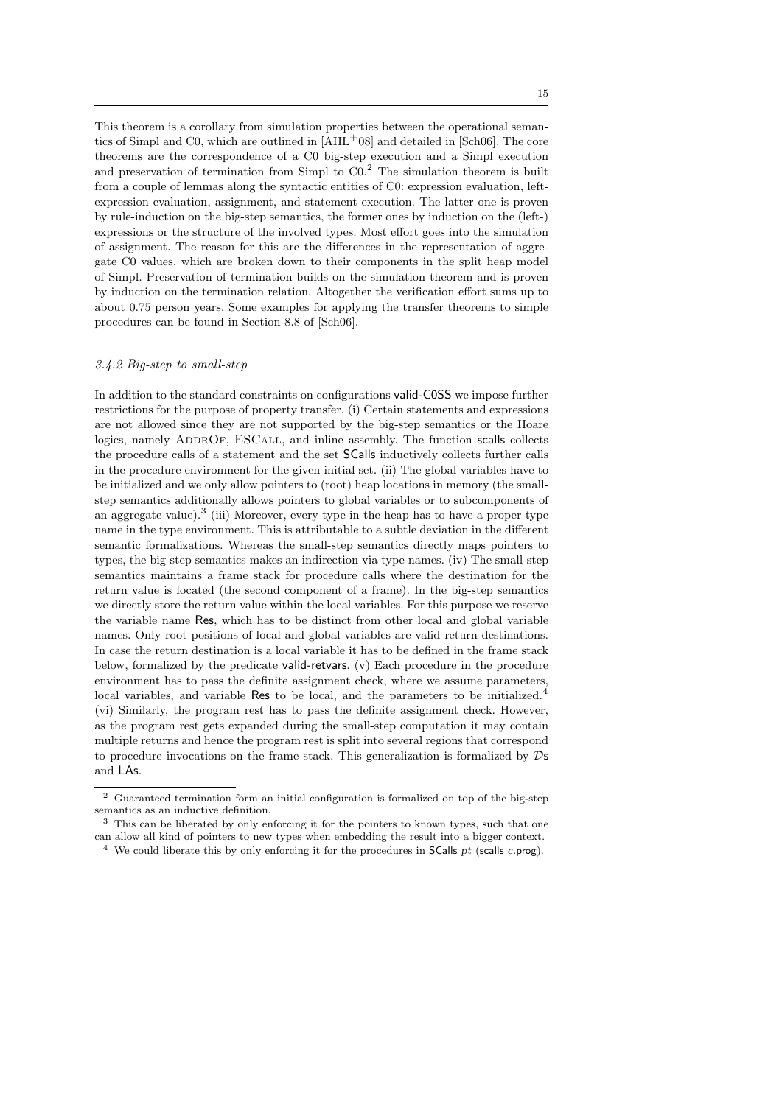This theorem is a corollary from simulation properties between the operational semantics of Simpl and C0, which are outlined in  $[AHL<sup>+</sup>08]$  and detailed in [Sch06]. The core theorems are the correspondence of a C0 big-step execution and a Simpl execution and preservation of termination from Simpl to  $\overline{C}0$ .<sup>2</sup> The simulation theorem is built from a couple of lemmas along the syntactic entities of C0: expression evaluation, leftexpression evaluation, assignment, and statement execution. The latter one is proven by rule-induction on the big-step semantics, the former ones by induction on the (left-) expressions or the structure of the involved types. Most effort goes into the simulation of assignment. The reason for this are the differences in the representation of aggregate C0 values, which are broken down to their components in the split heap model of Simpl. Preservation of termination builds on the simulation theorem and is proven by induction on the termination relation. Altogether the verification effort sums up to about 0.75 person years. Some examples for applying the transfer theorems to simple procedures can be found in Section 8.8 of [Sch06].

# <span id="page-14-0"></span>3.4.2 Big-step to small-step

In addition to the standard constraints on configurations valid-C0SS we impose further restrictions for the purpose of property transfer. (i) Certain statements and expressions are not allowed since they are not supported by the big-step semantics or the Hoare logics, namely ADDROF, ESCALL, and inline assembly. The function scalls collects the procedure calls of a statement and the set SCalls inductively collects further calls in the procedure environment for the given initial set. (ii) The global variables have to be initialized and we only allow pointers to (root) heap locations in memory (the smallstep semantics additionally allows pointers to global variables or to subcomponents of an aggregate value).<sup>3</sup> (iii) Moreover, every type in the heap has to have a proper type name in the type environment. This is attributable to a subtle deviation in the different semantic formalizations. Whereas the small-step semantics directly maps pointers to types, the big-step semantics makes an indirection via type names. (iv) The small-step semantics maintains a frame stack for procedure calls where the destination for the return value is located (the second component of a frame). In the big-step semantics we directly store the return value within the local variables. For this purpose we reserve the variable name Res, which has to be distinct from other local and global variable names. Only root positions of local and global variables are valid return destinations. In case the return destination is a local variable it has to be defined in the frame stack below, formalized by the predicate valid-retvars. (v) Each procedure in the procedure environment has to pass the definite assignment check, where we assume parameters, local variables, and variable Res to be local, and the parameters to be initialized.<sup>4</sup> (vi) Similarly, the program rest has to pass the definite assignment check. However, as the program rest gets expanded during the small-step computation it may contain multiple returns and hence the program rest is split into several regions that correspond to procedure invocations on the frame stack. This generalization is formalized by  $\mathcal{D}s$ and LAs.

<span id="page-14-1"></span><sup>2</sup> Guaranteed termination form an initial configuration is formalized on top of the big-step semantics as an inductive definition.

<sup>3</sup> This can be liberated by only enforcing it for the pointers to known types, such that one can allow all kind of pointers to new types when embedding the result into a bigger context.

<sup>&</sup>lt;sup>4</sup> We could liberate this by only enforcing it for the procedures in SCalls pt (scalls c.prog).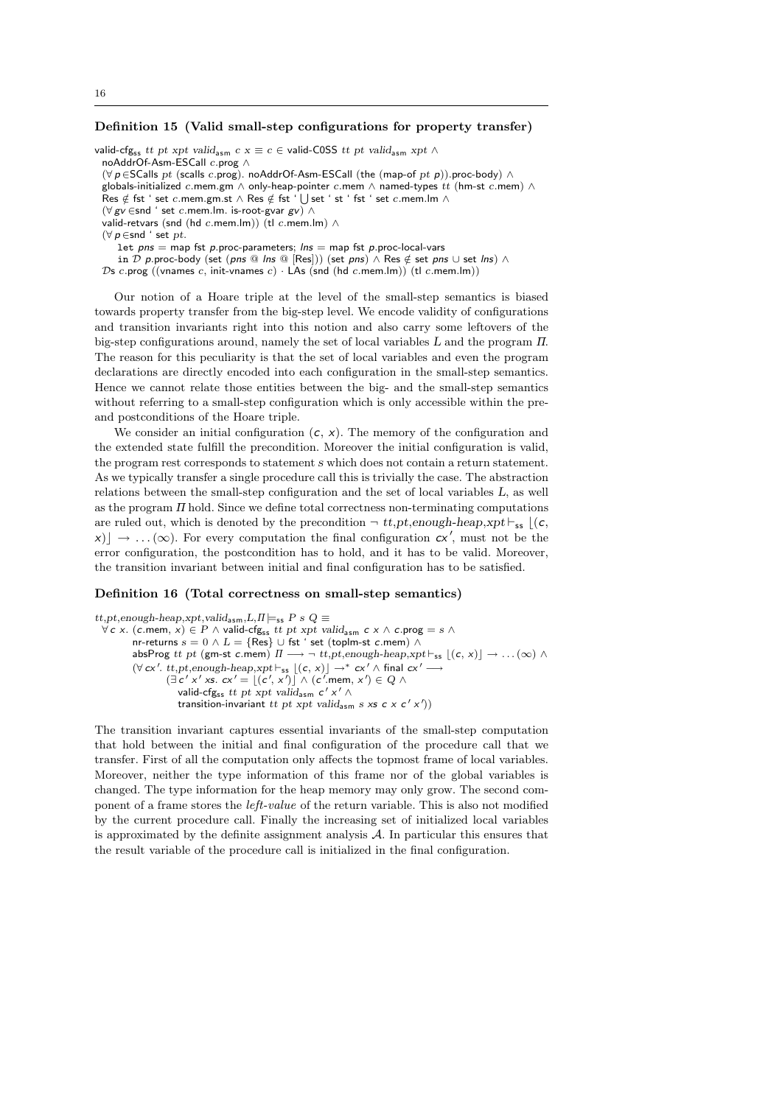# Definition 15 (Valid small-step configurations for property transfer)

valid-cfg<sub>ss</sub> tt pt xpt valid<sub>asm</sub> c  $x \equiv c \in$  valid-C0SS tt pt valid<sub>asm</sub> xpt  $\wedge$ noAddrOf-Asm-ESCall c.prog ∧ (∀ p ∈SCalls pt (scalls c.prog). noAddrOf-Asm-ESCall (the (map-of pt p)).proc-body) ∧ globals-initialized  $c.\text{mem}$ .gm  $\wedge$  only-heap-pointer  $c.\text{mem}$   $\wedge$  named-types  $tt$  (hm-st  $c.\text{mem})$   $\wedge$ Res  $\notin$  fst ' set  $c.$ mem.gm.st  $\wedge$  Res  $\notin$  fst '  $\bigcup$  set ' st ' fst ' set  $c.$ mem.lm  $\wedge$  $(\forall g \vee \in \mathsf{snd}$  ' set c.mem.lm. is-root-gvar  $g \vee$ ) ∧ valid-retvars (snd (hd c.mem.lm)) (tl c.mem.lm) ∧ ( $∀$   $p$  ∈snd ' set pt. let  $pns = map$  fst p.proc-parameters;  $Ins = map$  fst p.proc-local-vars in  ${\cal D}$  p.proc-body (set (pns @ lns @ [Res])) (set pns)  $\wedge$  Res  $\notin$  set pns  $\cup$  set lns)  $\wedge$ Ds c.prog ((vnames c, init-vnames c)  $\cdot$  LAs (snd (hd c.mem.lm)) (tl c.mem.lm))

Our notion of a Hoare triple at the level of the small-step semantics is biased towards property transfer from the big-step level. We encode validity of configurations and transition invariants right into this notion and also carry some leftovers of the big-step configurations around, namely the set of local variables  $L$  and the program  $\Pi$ . The reason for this peculiarity is that the set of local variables and even the program declarations are directly encoded into each configuration in the small-step semantics. Hence we cannot relate those entities between the big- and the small-step semantics without referring to a small-step configuration which is only accessible within the preand postconditions of the Hoare triple.

We consider an initial configuration  $(c, x)$ . The memory of the configuration and the extended state fulfill the precondition. Moreover the initial configuration is valid, the program rest corresponds to statement s which does not contain a return statement. As we typically transfer a single procedure call this is trivially the case. The abstraction relations between the small-step configuration and the set of local variables L, as well as the program  $\Pi$  hold. Since we define total correctness non-terminating computations are ruled out, which is denoted by the precondition  $-\,tt,pt,enough-heap, xpt \vdash_{ss} |(c,$  $|x\rangle| \rightarrow \ldots |\infty\rangle$ . For every computation the final configuration  $cx'$ , must not be the error configuration, the postcondition has to hold, and it has to be valid. Moreover, the transition invariant between initial and final configuration has to be satisfied.

# Definition 16 (Total correctness on small-step semantics)

tt,pt,enough-heap,xpt,valid<sub>asm</sub>, $L, \Pi \models_{ss} P s Q \equiv$  $\forall c \times c$ . (c.mem, x)  $\in P \wedge$  valid-cfg<sub>ss</sub> tt pt xpt valid<sub>asm</sub>  $c \times \wedge c$ .prog = s  $\wedge$ nr-returns  $s = 0 \land L = \{Res\} \cup \text{fst}$  ' set (toplm-st c.mem)  $\land$ absProg tt pt (gm-st c.mem)  $\Pi \longrightarrow \neg$  tt,pt,enough-heap,xpt  $\vdash_{ss} \lfloor (c, x) \rfloor \rightarrow ...$  ( $\infty$ ) ^  $(\forall \, cx'.\, \, tt,pt, enough-heap, xpt \vdash_{ss} \lfloor (c, x) \rfloor \rightarrow^* cx' \land final \, cx' \longrightarrow$  $(\exists c' \times' \times s. \ c x' = | (c', x') | \wedge (c'.mem, x') \in Q \wedge$ valid-cfg<sub>ss</sub> tt pt xpt valid<sub>asm</sub>  $c'$  x'  $\wedge$ transition-invariant tt pt xpt valid<sub>asm</sub> s xs c x c' x')

The transition invariant captures essential invariants of the small-step computation that hold between the initial and final configuration of the procedure call that we transfer. First of all the computation only affects the topmost frame of local variables. Moreover, neither the type information of this frame nor of the global variables is changed. The type information for the heap memory may only grow. The second component of a frame stores the left-value of the return variable. This is also not modified by the current procedure call. Finally the increasing set of initialized local variables is approximated by the definite assignment analysis  $A$ . In particular this ensures that the result variable of the procedure call is initialized in the final configuration.

16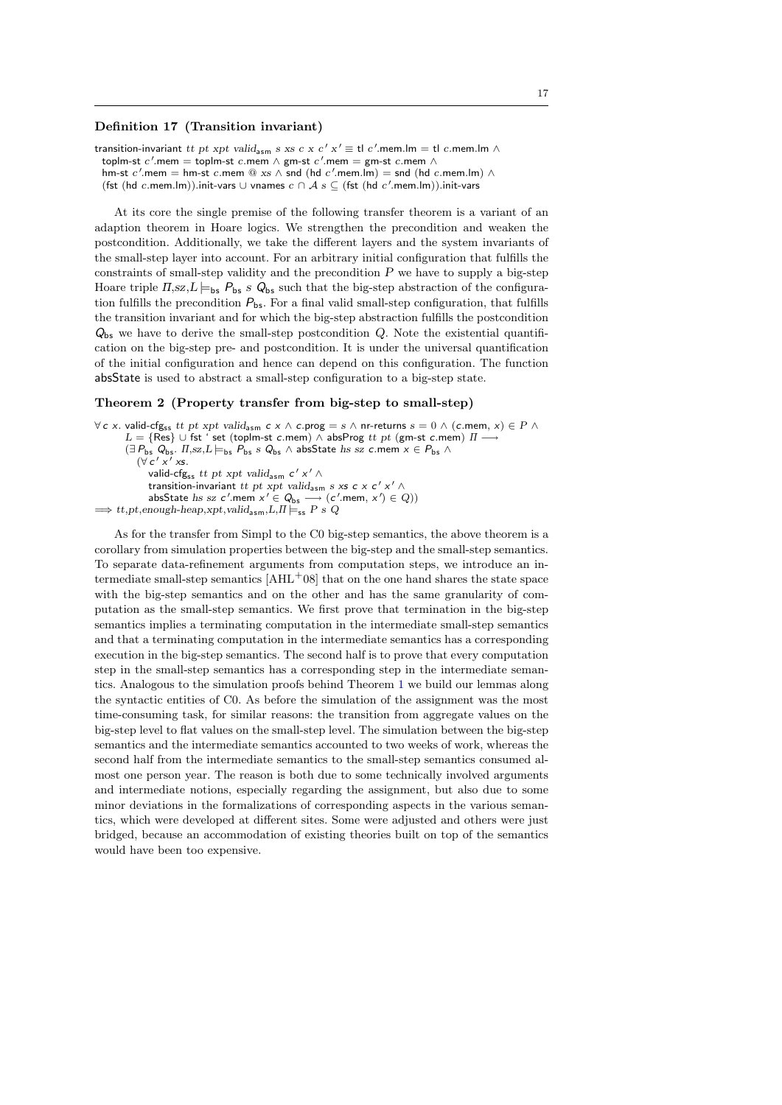# Definition 17 (Transition invariant)

transition-invariant  $tt$  pt  $xpt$  vali $d_{\text{asm}}$   $s$   $xs$   $c$   $x$   $c'$   $x' \equiv$  tl  $c'.$ mem.lm  $=$  tl  $c$ .mem.lm  $\wedge$ 

- toplm-st  $c'$ .mem = toplm-st  $c$ .mem  $\wedge$  gm-st  $c'$ .mem = gm-st  $c$ .mem  $\wedge$
- hm-st  $c'$ .mem = hm-st  $c$ .mem @ xs  $\wedge$  snd (hd  $c'$ .mem.lm) = snd (hd  $c$ .mem.lm)  $\wedge$
- (fst (hd c.mem.lm)).init-vars ∪ vnames  $c \cap A$  s ⊆ (fst (hd c'.mem.lm)).init-vars

At its core the single premise of the following transfer theorem is a variant of an adaption theorem in Hoare logics. We strengthen the precondition and weaken the postcondition. Additionally, we take the different layers and the system invariants of the small-step layer into account. For an arbitrary initial configuration that fulfills the constraints of small-step validity and the precondition  $P$  we have to supply a big-step Hoare triple  $\Pi$ ,  $\leq E$ ,  $\leq E$ ,  $\leq Q$ ,  $\leq Q$  such that the big-step abstraction of the configuration fulfills the precondition  $P_{bs}$ . For a final valid small-step configuration, that fulfills the transition invariant and for which the big-step abstraction fulfills the postcondition  $Q_{bs}$  we have to derive the small-step postcondition  $Q$ . Note the existential quantification on the big-step pre- and postcondition. It is under the universal quantification of the initial configuration and hence can depend on this configuration. The function absState is used to abstract a small-step configuration to a big-step state.

### <span id="page-16-0"></span>Theorem 2 (Property transfer from big-step to small-step)

 $\forall$  c x. valid-cfg<sub>ss</sub> tt pt xpt valid<sub>asm</sub> c x ∧ c.prog = s ∧ nr-returns s = 0 ∧ (c.mem, x) ∈ P ∧  $L = {Res} \cup$  fst ' set (toplm-st c.mem)  $\land$  absProg tt pt (gm-st c.mem)  $\Pi$  - $(\exists P_{bs} Q_{bs}, \Pi, sz, L \models_{bs} P_{bs} s Q_{bs} \land absState \; hs \; sz \; c.mem \; x \in P_{bs} \land$  $(\forall c' \times' \times s$ . valid-cfg<sub>ss</sub> tt pt xpt valid<sub>asm</sub>  $c' \times' \wedge$ transition-invariant  $tt$   $pt$   $xpt$   $\text{valid}_{\text{asm}}$   $s$   $\text{xs}$   $\text{c}$   $\times$   $\text{c}'$   $\times'$   $\wedge$ absState hs sz c'.mem  $x' \in Q_{bs} \longrightarrow (c'.\text{mem}, x') \in Q)$ )  $\implies$  tt,pt,enough-heap,xpt,valid<sub>asm</sub>,L, $\Pi \models_{ss} P s Q$ 

As for the transfer from Simpl to the C0 big-step semantics, the above theorem is a corollary from simulation properties between the big-step and the small-step semantics. To separate data-refinement arguments from computation steps, we introduce an intermediate small-step semantics  $[AHL<sup>+</sup>08]$  that on the one hand shares the state space with the big-step semantics and on the other and has the same granularity of computation as the small-step semantics. We first prove that termination in the big-step semantics implies a terminating computation in the intermediate small-step semantics and that a terminating computation in the intermediate semantics has a corresponding execution in the big-step semantics. The second half is to prove that every computation step in the small-step semantics has a corresponding step in the intermediate semantics. Analogous to the simulation proofs behind Theorem [1](#page-13-0) we build our lemmas along the syntactic entities of C0. As before the simulation of the assignment was the most time-consuming task, for similar reasons: the transition from aggregate values on the big-step level to flat values on the small-step level. The simulation between the big-step semantics and the intermediate semantics accounted to two weeks of work, whereas the second half from the intermediate semantics to the small-step semantics consumed almost one person year. The reason is both due to some technically involved arguments and intermediate notions, especially regarding the assignment, but also due to some minor deviations in the formalizations of corresponding aspects in the various semantics, which were developed at different sites. Some were adjusted and others were just bridged, because an accommodation of existing theories built on top of the semantics would have been too expensive.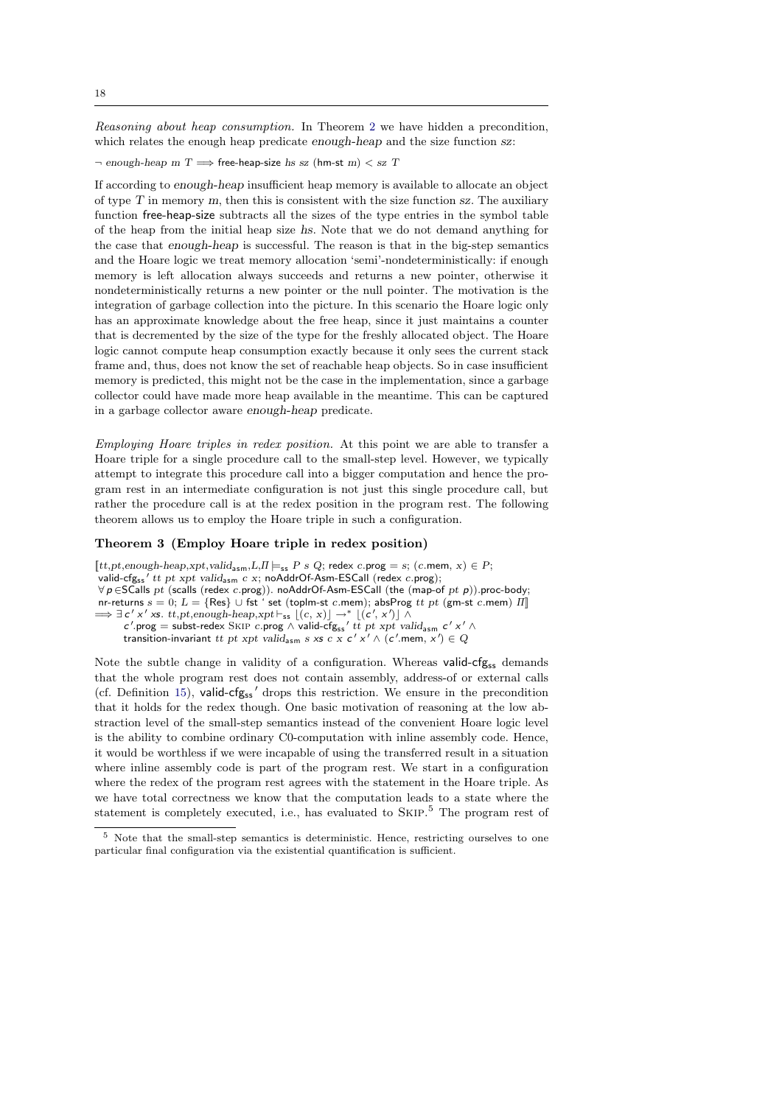<span id="page-17-0"></span>Reasoning about heap consumption. In Theorem [2](#page-16-0) we have hidden a precondition, which relates the enough heap predicate enough-heap and the size function sz:

 $\neg$  enough-heap m  $T \Longrightarrow$  free-heap-size hs sz (hm-st m)  $\lt$  sz T

If according to enough-heap insufficient heap memory is available to allocate an object of type  $T$  in memory  $m$ , then this is consistent with the size function  $sz$ . The auxiliary function free-heap-size subtracts all the sizes of the type entries in the symbol table of the heap from the initial heap size hs. Note that we do not demand anything for the case that enough-heap is successful. The reason is that in the big-step semantics and the Hoare logic we treat memory allocation 'semi'-nondeterministically: if enough memory is left allocation always succeeds and returns a new pointer, otherwise it nondeterministically returns a new pointer or the null pointer. The motivation is the integration of garbage collection into the picture. In this scenario the Hoare logic only has an approximate knowledge about the free heap, since it just maintains a counter that is decremented by the size of the type for the freshly allocated object. The Hoare logic cannot compute heap consumption exactly because it only sees the current stack frame and, thus, does not know the set of reachable heap objects. So in case insufficient memory is predicted, this might not be the case in the implementation, since a garbage collector could have made more heap available in the meantime. This can be captured in a garbage collector aware enough-heap predicate.

Employing Hoare triples in redex position. At this point we are able to transfer a Hoare triple for a single procedure call to the small-step level. However, we typically attempt to integrate this procedure call into a bigger computation and hence the program rest in an intermediate configuration is not just this single procedure call, but rather the procedure call is at the redex position in the program rest. The following theorem allows us to employ the Hoare triple in such a configuration.

#### <span id="page-17-1"></span>Theorem 3 (Employ Hoare triple in redex position)

 $[$ tt,pt,enough-heap,xpt,valid<sub>asm</sub>,L, $\Pi \models_{ss} P s Q$ ; redex  $c.\text{prog} = s$ ;  $(c.\text{mem}, x) \in P$ ; valid-cfg<sub>ss</sub>' tt pt xpt valid<sub>asm</sub> c x; noAddrOf-Asm-ESCall (redex c.prog); ∀p ∈SCalls  $pt$  (scalls (redex  $c.\mathsf{prog})$ ). noAddrOf-Asm-ESCall (the (map-of  $pt$   $p$ )).proc-body;<br>nr-returns  $s = 0;$   $L = \{\mathsf{Res}\} \cup \mathsf{fst}$  ' set (toplm-st  $c.\mathsf{mem});$  absProg  $tt$   $pt$  (gm-st  $c.\mathsf{mem})$   $\Pi\|$  $\Rightarrow \exists c' \ x' \ xs. \ t t, pt, enough-heap, xpt \vdash_{ss} [(c, x)] \rightarrow^* [(c', x')] \land$ c'.prog = subst-redex SKIP c.prog  $\wedge$  valid-cfg<sub>ss</sub>' tt pt xpt valid<sub>asm</sub> c' x'  $\wedge$ transition-invariant tt pt xpt valid<sub>asm</sub> s xs c x c' x'  $\wedge$  (c'.mem, x')  $\in$  Q

Note the subtle change in validity of a configuration. Whereas valid- $cf_{ss}$  demands that the whole program rest does not contain assembly, address-of or external calls (cf. Definition [15\)](#page-14-1), valid-cfg<sub>ss</sub>' drops this restriction. We ensure in the precondition that it holds for the redex though. One basic motivation of reasoning at the low abstraction level of the small-step semantics instead of the convenient Hoare logic level is the ability to combine ordinary C0-computation with inline assembly code. Hence, it would be worthless if we were incapable of using the transferred result in a situation where inline assembly code is part of the program rest. We start in a configuration where the redex of the program rest agrees with the statement in the Hoare triple. As we have total correctness we know that the computation leads to a state where the statement is completely executed, i.e., has evaluated to SKIP.<sup>5</sup> The program rest of

<sup>5</sup> Note that the small-step semantics is deterministic. Hence, restricting ourselves to one particular final configuration via the existential quantification is sufficient.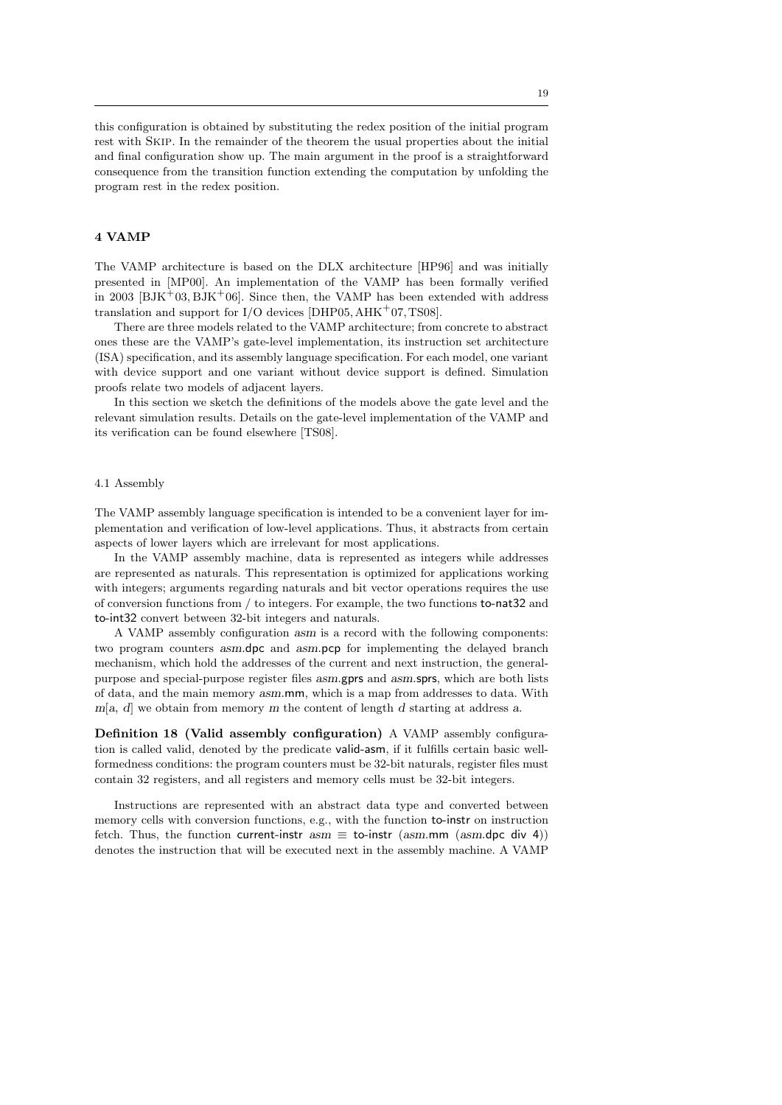this configuration is obtained by substituting the redex position of the initial program rest with Skip. In the remainder of the theorem the usual properties about the initial and final configuration show up. The main argument in the proof is a straightforward consequence from the transition function extending the computation by unfolding the program rest in the redex position.

# <span id="page-18-0"></span>4 VAMP

The VAMP architecture is based on the DLX architecture [HP96] and was initially presented in [MP00]. An implementation of the VAMP has been formally verified in 2003 [BJK<sup>+</sup>03, BJK<sup>+</sup>06]. Since then, the VAMP has been extended with address translation and support for  $I/O$  devices [DHP05,  $AHK^+07$ , TS08].

There are three models related to the VAMP architecture; from concrete to abstract ones these are the VAMP's gate-level implementation, its instruction set architecture (ISA) specification, and its assembly language specification. For each model, one variant with device support and one variant without device support is defined. Simulation proofs relate two models of adjacent layers.

In this section we sketch the definitions of the models above the gate level and the relevant simulation results. Details on the gate-level implementation of the VAMP and its verification can be found elsewhere [TS08].

# 4.1 Assembly

The VAMP assembly language specification is intended to be a convenient layer for implementation and verification of low-level applications. Thus, it abstracts from certain aspects of lower layers which are irrelevant for most applications.

In the VAMP assembly machine, data is represented as integers while addresses are represented as naturals. This representation is optimized for applications working with integers; arguments regarding naturals and bit vector operations requires the use of conversion functions from / to integers. For example, the two functions to-nat32 and to-int32 convert between 32-bit integers and naturals.

A VAMP assembly configuration asm is a record with the following components: two program counters asm.dpc and asm.pcp for implementing the delayed branch mechanism, which hold the addresses of the current and next instruction, the generalpurpose and special-purpose register files asm.gprs and asm.sprs, which are both lists of data, and the main memory asm.mm, which is a map from addresses to data. With  $m[a, d]$  we obtain from memory m the content of length d starting at address a.

Definition 18 (Valid assembly configuration) A VAMP assembly configuration is called valid, denoted by the predicate valid-asm, if it fulfills certain basic wellformedness conditions: the program counters must be 32-bit naturals, register files must contain 32 registers, and all registers and memory cells must be 32-bit integers.

Instructions are represented with an abstract data type and converted between memory cells with conversion functions, e.g., with the function to-instr on instruction fetch. Thus, the function current-instr  $asm \equiv$  to-instr  $(am.mm$   $(am.mq)$ denotes the instruction that will be executed next in the assembly machine. A VAMP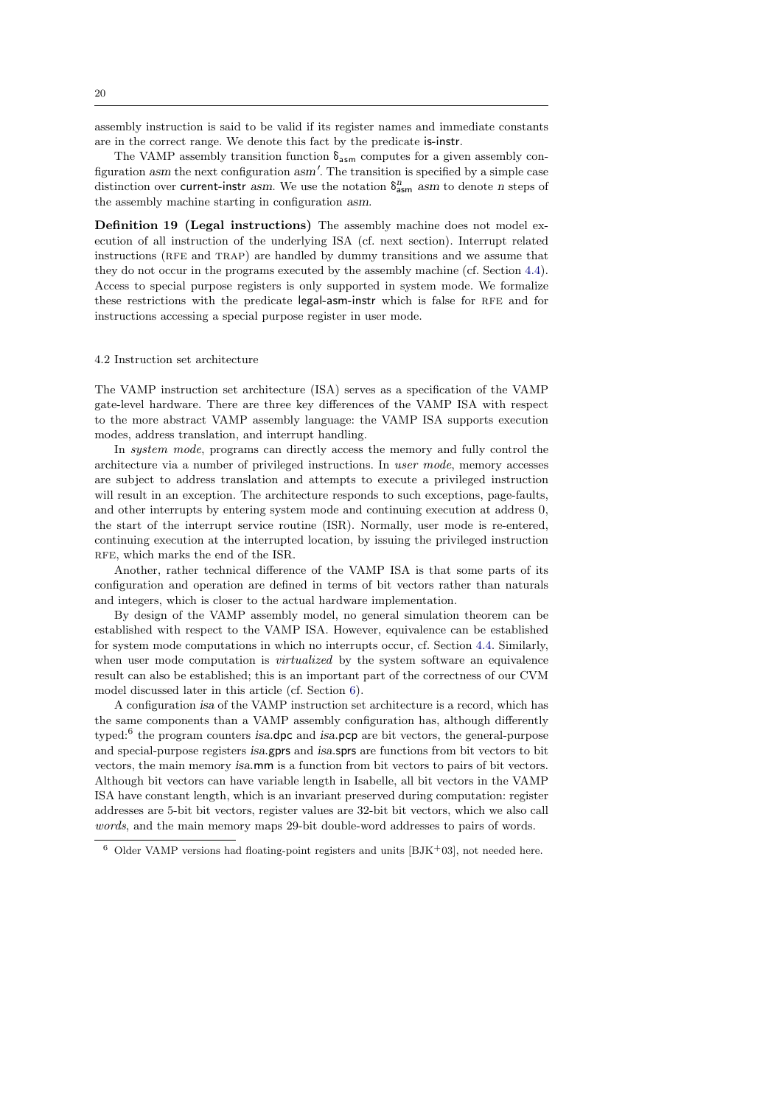assembly instruction is said to be valid if its register names and immediate constants are in the correct range. We denote this fact by the predicate is-instr.

The VAMP assembly transition function  $\delta_{\text{asm}}$  computes for a given assembly configuration  $asm$  the next configuration  $asm'$ . The transition is specified by a simple case distinction over current-instr asm. We use the notation  $\delta_{\text{asm}}^n$  asm to denote n steps of the assembly machine starting in configuration asm.

Definition 19 (Legal instructions) The assembly machine does not model execution of all instruction of the underlying ISA (cf. next section). Interrupt related instructions (RFE and TRAP) are handled by dummy transitions and we assume that they do not occur in the programs executed by the assembly machine (cf. Section [4.4\)](#page-21-0). Access to special purpose registers is only supported in system mode. We formalize these restrictions with the predicate legal-asm-instr which is false for RFE and for instructions accessing a special purpose register in user mode.

#### 4.2 Instruction set architecture

The VAMP instruction set architecture (ISA) serves as a specification of the VAMP gate-level hardware. There are three key differences of the VAMP ISA with respect to the more abstract VAMP assembly language: the VAMP ISA supports execution modes, address translation, and interrupt handling.

In system mode, programs can directly access the memory and fully control the architecture via a number of privileged instructions. In user mode, memory accesses are subject to address translation and attempts to execute a privileged instruction will result in an exception. The architecture responds to such exceptions, page-faults, and other interrupts by entering system mode and continuing execution at address 0, the start of the interrupt service routine (ISR). Normally, user mode is re-entered, continuing execution at the interrupted location, by issuing the privileged instruction RFE, which marks the end of the ISR.

Another, rather technical difference of the VAMP ISA is that some parts of its configuration and operation are defined in terms of bit vectors rather than naturals and integers, which is closer to the actual hardware implementation.

By design of the VAMP assembly model, no general simulation theorem can be established with respect to the VAMP ISA. However, equivalence can be established for system mode computations in which no interrupts occur, cf. Section [4.4.](#page-21-0) Similarly, when user mode computation is *virtualized* by the system software an equivalence result can also be established; this is an important part of the correctness of our CVM model discussed later in this article (cf. Section [6\)](#page-29-0).

A configuration isa of the VAMP instruction set architecture is a record, which has the same components than a VAMP assembly configuration has, although differently typed:<sup>6</sup> the program counters isa.dpc and isa.pcp are bit vectors, the general-purpose and special-purpose registers isa.gprs and isa.sprs are functions from bit vectors to bit vectors, the main memory isa.mm is a function from bit vectors to pairs of bit vectors. Although bit vectors can have variable length in Isabelle, all bit vectors in the VAMP ISA have constant length, which is an invariant preserved during computation: register addresses are 5-bit bit vectors, register values are 32-bit bit vectors, which we also call words, and the main memory maps 29-bit double-word addresses to pairs of words.

 $6$  Older VAMP versions had floating-point registers and units [BJK+03], not needed here.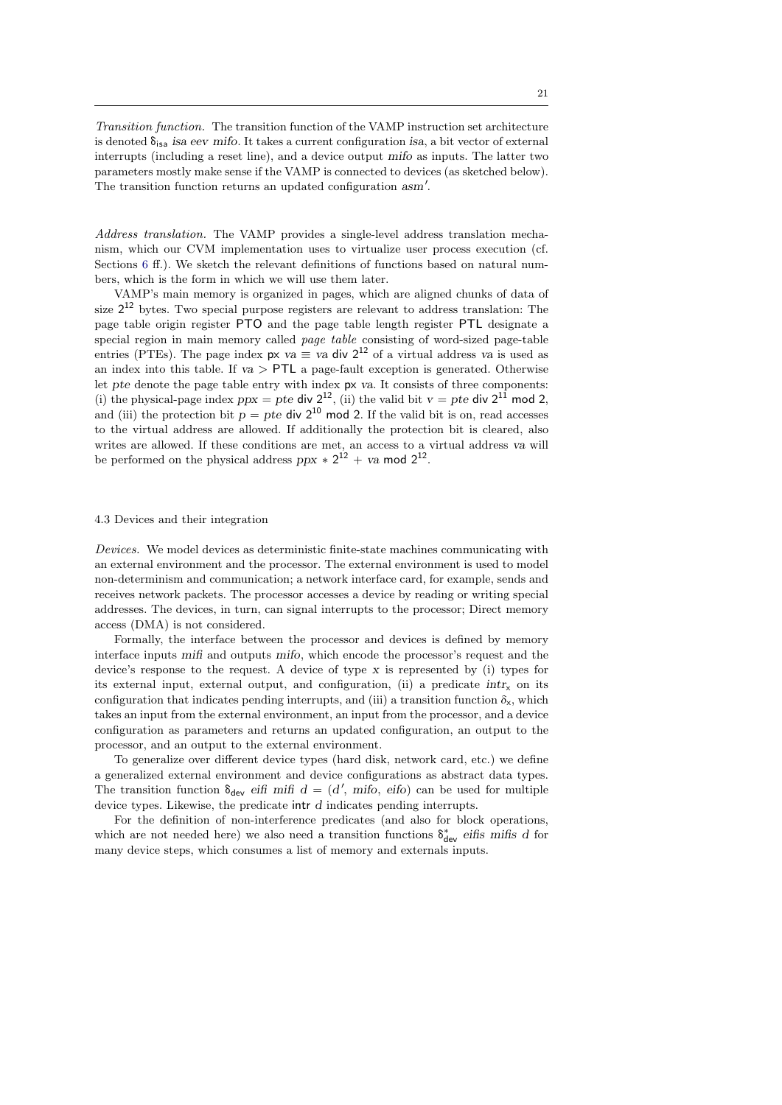Transition function. The transition function of the VAMP instruction set architecture is denoted  $\delta_{\text{isa}}$  is a eev mifo. It takes a current configuration is a, a bit vector of external interrupts (including a reset line), and a device output mifo as inputs. The latter two parameters mostly make sense if the VAMP is connected to devices (as sketched below). The transition function returns an updated configuration  $asm'$ .

Address translation. The VAMP provides a single-level address translation mechanism, which our CVM implementation uses to virtualize user process execution (cf. Sections [6](#page-29-0) ff.). We sketch the relevant definitions of functions based on natural numbers, which is the form in which we will use them later.

VAMP's main memory is organized in pages, which are aligned chunks of data of size  $2^{12}$  bytes. Two special purpose registers are relevant to address translation: The page table origin register PTO and the page table length register PTL designate a special region in main memory called *page table* consisting of word-sized page-table entries (PTEs). The page index  $px \text{ va } \equiv \text{ va } \text{div } 2^{12}$  of a virtual address va is used as an index into this table. If  $va > PTL$  a page-fault exception is generated. Otherwise let pte denote the page table entry with index px va. It consists of three components: (i) the physical-page index  $ppx = pte$  div  $2^{12}$ , (ii) the valid bit  $v = pte$  div  $2^{11}$  mod 2, and (iii) the protection bit  $p = pte$  div  $2^{10}$  mod 2. If the valid bit is on, read accesses to the virtual address are allowed. If additionally the protection bit is cleared, also writes are allowed. If these conditions are met, an access to a virtual address va will be performed on the physical address  $ppx * 2^{12} + va \mod 2^{12}$ .

#### 4.3 Devices and their integration

Devices. We model devices as deterministic finite-state machines communicating with an external environment and the processor. The external environment is used to model non-determinism and communication; a network interface card, for example, sends and receives network packets. The processor accesses a device by reading or writing special addresses. The devices, in turn, can signal interrupts to the processor; Direct memory access (DMA) is not considered.

Formally, the interface between the processor and devices is defined by memory interface inputs mifi and outputs mifo, which encode the processor's request and the device's response to the request. A device of type x is represented by (i) types for its external input, external output, and configuration, (ii) a predicate  $int_{x}$  on its configuration that indicates pending interrupts, and (iii) a transition function  $\delta_{x}$ , which takes an input from the external environment, an input from the processor, and a device configuration as parameters and returns an updated configuration, an output to the processor, and an output to the external environment.

To generalize over different device types (hard disk, network card, etc.) we define a generalized external environment and device configurations as abstract data types. The transition function  $\delta_{dev}$  eifi mifi  $d = (d', mifo, eifo)$  can be used for multiple device types. Likewise, the predicate intr d indicates pending interrupts.

For the definition of non-interference predicates (and also for block operations, which are not needed here) we also need a transition functions  $\delta^*_{dev}$  eifis mifis d for many device steps, which consumes a list of memory and externals inputs.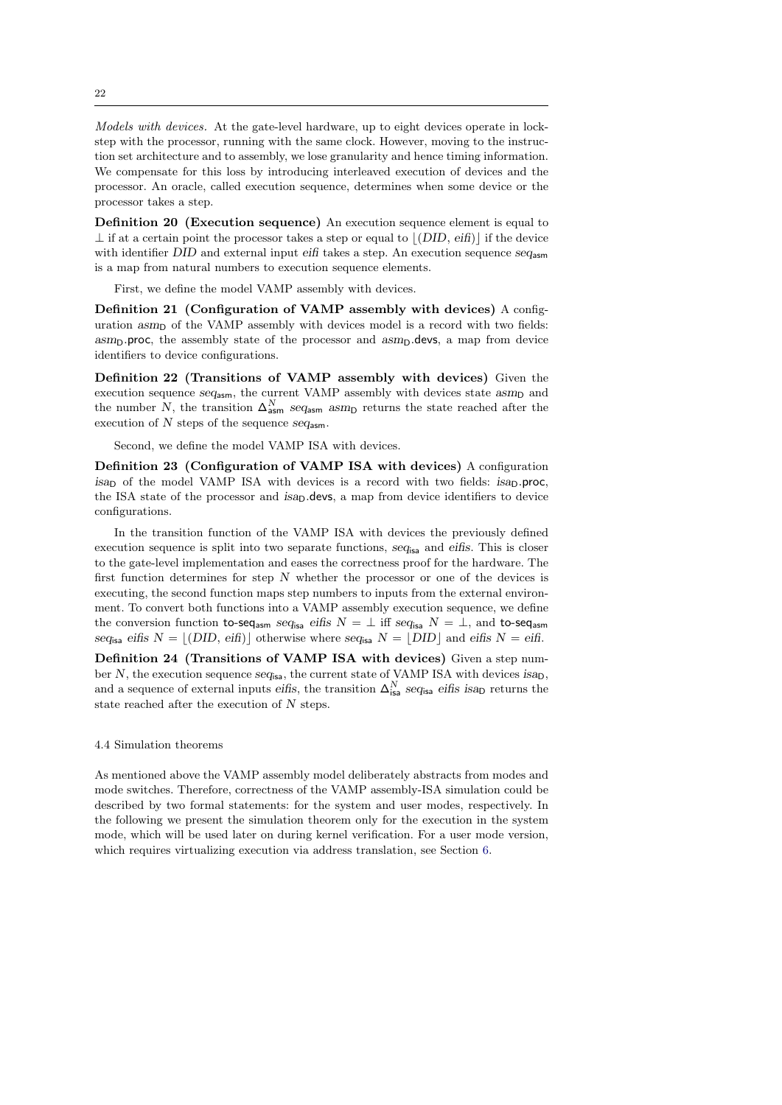Models with devices. At the gate-level hardware, up to eight devices operate in lockstep with the processor, running with the same clock. However, moving to the instruction set architecture and to assembly, we lose granularity and hence timing information. We compensate for this loss by introducing interleaved execution of devices and the processor. An oracle, called execution sequence, determines when some device or the processor takes a step.

Definition 20 (Execution sequence) An execution sequence element is equal to  $\perp$  if at a certain point the processor takes a step or equal to  $\vert(DID, eifi)\vert$  if the device with identifier DID and external input eifi takes a step. An execution sequence  $seq_{\text{asm}}$ is a map from natural numbers to execution sequence elements.

First, we define the model VAMP assembly with devices.

Definition 21 (Configuration of VAMP assembly with devices) A configuration  $asm<sub>D</sub>$  of the VAMP assembly with devices model is a record with two fields:  $a_{\rm SMD}$ , proc, the assembly state of the processor and  $a_{\rm SMD}$ , devs, a map from device identifiers to device configurations.

Definition 22 (Transitions of VAMP assembly with devices) Given the execution sequence  $seq_{asm}$ , the current VAMP assembly with devices state  $asm<sub>D</sub>$  and the number N, the transition  $\Delta_{\text{asm}}^N$  seq<sub>asm</sub> asm<sub>p</sub> returns the state reached after the execution of  $N$  steps of the sequence  $seq_{asm}$ .

Second, we define the model VAMP ISA with devices.

Definition 23 (Configuration of VAMP ISA with devices) A configuration isa<sub>D</sub> of the model VAMP ISA with devices is a record with two fields: isa<sub>D</sub>.proc, the ISA state of the processor and  $isa<sub>D</sub>$ , devs, a map from device identifiers to device configurations.

In the transition function of the VAMP ISA with devices the previously defined execution sequence is split into two separate functions, seq<sub>isa</sub> and eifis. This is closer to the gate-level implementation and eases the correctness proof for the hardware. The first function determines for step  $N$  whether the processor or one of the devices is executing, the second function maps step numbers to inputs from the external environment. To convert both functions into a VAMP assembly execution sequence, we define the conversion function to-seq<sub>asm</sub> seq<sub>isa</sub> eifis  $N = \perp$  iff seq<sub>isa</sub>  $N = \perp$ , and to-seq<sub>asm</sub> seq<sub>isa</sub> eifis  $N = |(DID, eif)$  otherwise where seq<sub>isa</sub>  $N = |DID|$  and eifis  $N = eifi$ .

Definition 24 (Transitions of VAMP ISA with devices) Given a step number N, the execution sequence  $seq_{\text{isa}}$ , the current state of VAMP ISA with devices isa<sub>D</sub>, and a sequence of external inputs eifis, the transition  $\Delta_{\text{isa}}^N$  seq<sub>isa</sub> eifis is a returns the state reached after the execution of N steps.

# <span id="page-21-0"></span>4.4 Simulation theorems

As mentioned above the VAMP assembly model deliberately abstracts from modes and mode switches. Therefore, correctness of the VAMP assembly-ISA simulation could be described by two formal statements: for the system and user modes, respectively. In the following we present the simulation theorem only for the execution in the system mode, which will be used later on during kernel verification. For a user mode version, which requires virtualizing execution via address translation, see Section [6.](#page-29-0)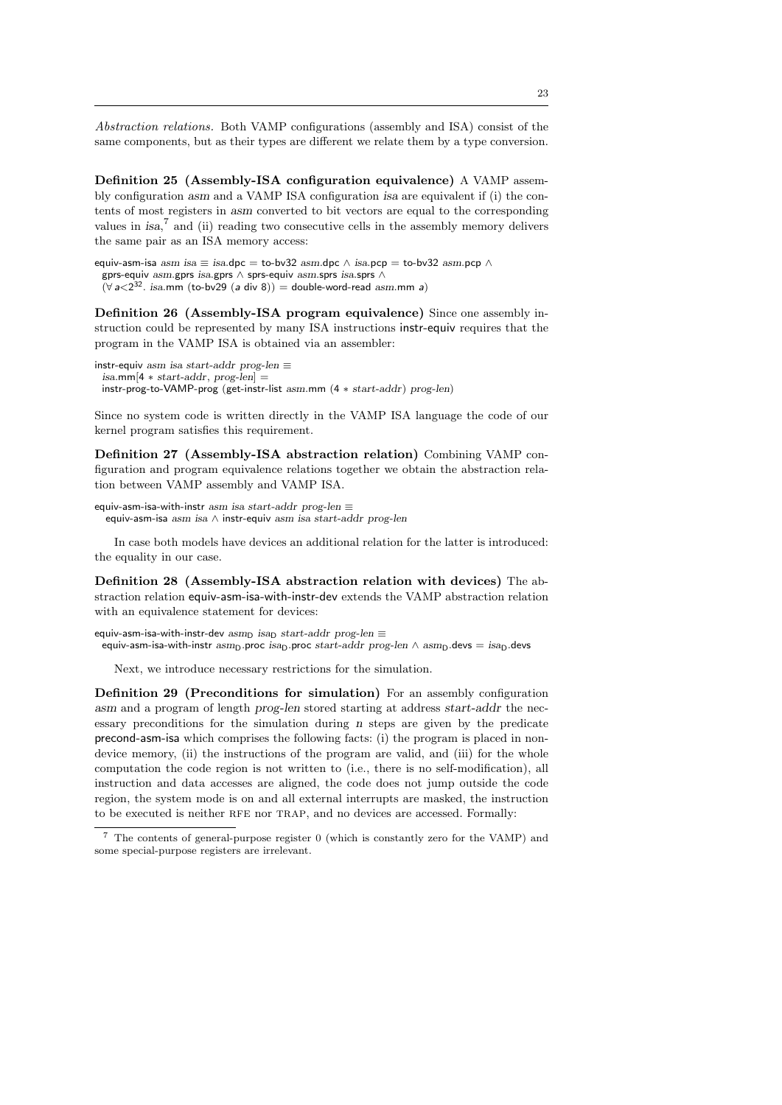Abstraction relations. Both VAMP configurations (assembly and ISA) consist of the same components, but as their types are different we relate them by a type conversion.

Definition 25 (Assembly-ISA configuration equivalence) A VAMP assembly configuration asm and a VAMP ISA configuration isa are equivalent if (i) the contents of most registers in asm converted to bit vectors are equal to the corresponding values in isa,<sup>7</sup> and (ii) reading two consecutive cells in the assembly memory delivers the same pair as an ISA memory access:

equiv-asm-isa asm isa  $\equiv$  isa.dpc = to-bv32 asm.dpc  $\wedge$  isa.pcp = to-bv32 asm.pcp  $\wedge$ gprs-equiv asm.gprs isa.gprs ∧ sprs-equiv asm.sprs isa.sprs ∧ ( $∀a < 2^{32}$ . isa.mm (to-bv29 (a div 8)) = double-word-read asm.mm a)

Definition 26 (Assembly-ISA program equivalence) Since one assembly instruction could be represented by many ISA instructions instr-equiv requires that the program in the VAMP ISA is obtained via an assembler:

```
instr-equiv asm isa start-addr prog-len ≡
 is a.mm[4 * start-addr, prog-len] =instr-prog-to-VAMP-prog (get-instr-list asm.mm (4 ∗ start-addr) prog-len)
```
Since no system code is written directly in the VAMP ISA language the code of our kernel program satisfies this requirement.

Definition 27 (Assembly-ISA abstraction relation) Combining VAMP configuration and program equivalence relations together we obtain the abstraction relation between VAMP assembly and VAMP ISA.

```
equiv-asm-isa-with-instr asm isa start-addr prog-len \equivequiv-asm-isa asm isa ∧ instr-equiv asm isa start-addr prog-len
```
In case both models have devices an additional relation for the latter is introduced: the equality in our case.

Definition 28 (Assembly-ISA abstraction relation with devices) The abstraction relation equiv-asm-isa-with-instr-dev extends the VAMP abstraction relation with an equivalence statement for devices:

```
equiv-asm-isa-with-instr-dev asm<sub>D</sub> isa<sub>D</sub> start-addr prog-len \equivequiv-asm-isa-with-instr asm<sub>D</sub>.proc isa<sub>D</sub>.proc start-addr prog-len \wedge asm<sub>D</sub>.devs = isa<sub>D</sub>.devs
```
Next, we introduce necessary restrictions for the simulation.

Definition 29 (Preconditions for simulation) For an assembly configuration asm and a program of length prog-len stored starting at address start-addr the necessary preconditions for the simulation during n steps are given by the predicate precond-asm-isa which comprises the following facts: (i) the program is placed in nondevice memory, (ii) the instructions of the program are valid, and (iii) for the whole computation the code region is not written to (i.e., there is no self-modification), all instruction and data accesses are aligned, the code does not jump outside the code region, the system mode is on and all external interrupts are masked, the instruction to be executed is neither RFE nor TRAP, and no devices are accessed. Formally:

<sup>7</sup> The contents of general-purpose register 0 (which is constantly zero for the VAMP) and some special-purpose registers are irrelevant.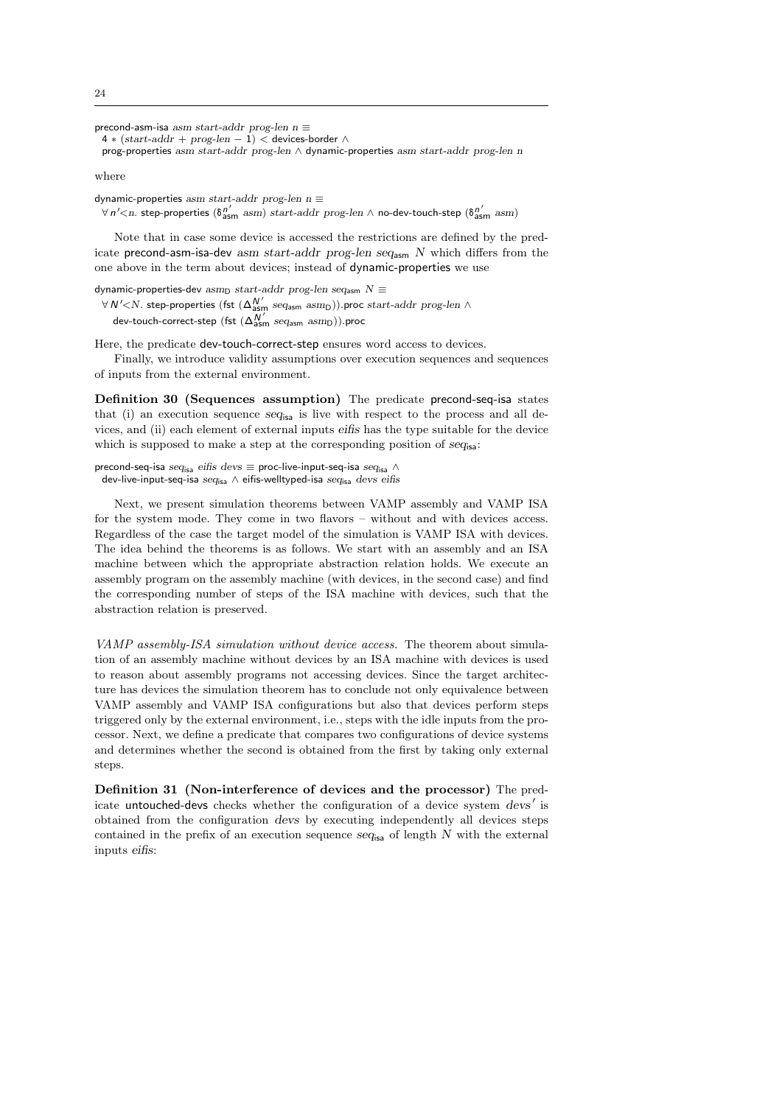precond-asm-isa asm start-addr prog-len  $n \equiv$ 

 $4 * (start-addr + prog-len - 1) <$  devices-border  $\wedge$ 

prog-properties asm start-addr prog-len ∧ dynamic-properties asm start-addr prog-len n

where

dynamic-properties asm start-addr prog-len  $n \equiv$ ∀n'<n. step-properties ( $\delta^{n'}_{\rm asm}$  asm) start-addr prog-len ∧ no-dev-touch-step ( $\delta^{n'}_{\rm asm}$  asm)

Note that in case some device is accessed the restrictions are defined by the predicate precond-asm-isa-dev asm start-addr prog-len seq<sub>asm</sub>  $N$  which differs from the one above in the term about devices; instead of dynamic-properties we use

dynamic-properties-dev $\mathit{asm}_\mathsf{D}$  start-addr prog-len seq $_{\mathsf{asm}}$  N  $\equiv$  $\forall$   $\mathsf{N}'{<}N.$  step-properties (fst  $(\Delta^{N'}_{\mathsf{asm}}$   $seq_{\mathsf{asm}}$   $asm_{\mathsf{D}}))$ .proc  $start\text{-}addr$   $prop\text{-}len$   $\wedge$ dev-touch-correct-step (fst  $(\Delta^{N'}_{\rm asm}$   $seq_{\rm asm}$   $asm_{\rm D})$ ).proc

Here, the predicate dev-touch-correct-step ensures word access to devices.

Finally, we introduce validity assumptions over execution sequences and sequences of inputs from the external environment.

Definition 30 (Sequences assumption) The predicate precond-seq-isa states that (i) an execution sequence  $seq_{\text{isa}}$  is live with respect to the process and all devices, and (ii) each element of external inputs eifis has the type suitable for the device which is supposed to make a step at the corresponding position of  $seq_{\text{isa}}$ :

precond-seq-isa  $seq_{\text{isa}}$  eifis  $devs \equiv \text{proc-live-input-seq-isa}$   $seq_{\text{isa}}$   $\land$ dev-live-input-seq-isa  $seq_{isa} \wedge$  eifis-welltyped-isa  $seq_{isa}$  devs eifis

Next, we present simulation theorems between VAMP assembly and VAMP ISA for the system mode. They come in two flavors – without and with devices access. Regardless of the case the target model of the simulation is VAMP ISA with devices. The idea behind the theorems is as follows. We start with an assembly and an ISA machine between which the appropriate abstraction relation holds. We execute an assembly program on the assembly machine (with devices, in the second case) and find the corresponding number of steps of the ISA machine with devices, such that the abstraction relation is preserved.

VAMP assembly-ISA simulation without device access. The theorem about simulation of an assembly machine without devices by an ISA machine with devices is used to reason about assembly programs not accessing devices. Since the target architecture has devices the simulation theorem has to conclude not only equivalence between VAMP assembly and VAMP ISA configurations but also that devices perform steps triggered only by the external environment, i.e., steps with the idle inputs from the processor. Next, we define a predicate that compares two configurations of device systems and determines whether the second is obtained from the first by taking only external steps.

Definition 31 (Non-interference of devices and the processor) The predicate untouched-devs checks whether the configuration of a device system devs' is obtained from the configuration devs by executing independently all devices steps contained in the prefix of an execution sequence  $seq_{\text{isa}}$  of length N with the external inputs eifis: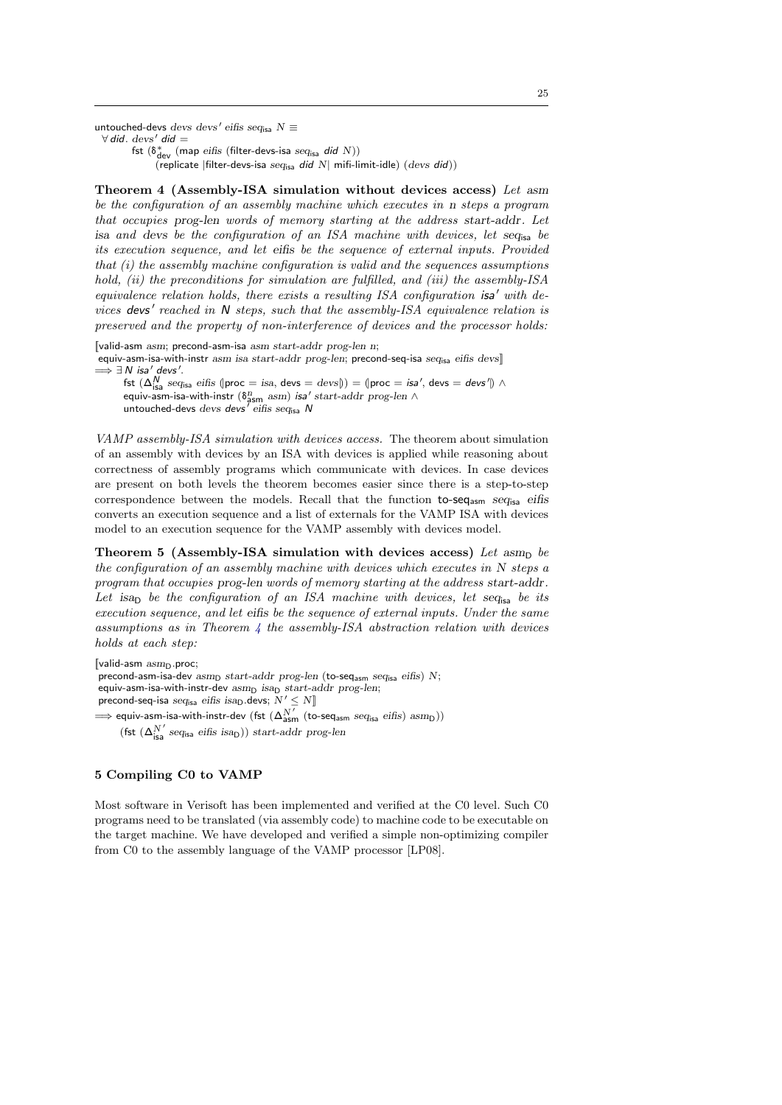untouched-devs devs devs' eifis seq<sub>isa</sub>  $N \equiv$ 

 $\forall$  did. devs' did =

fst  $(\delta_{\text{dev}}^*$  (map eifis (filter-devs-isa seq<sub>isa</sub> did N)) (replicate | filter-devs-isa  $seq_{\text{isa}}$  did N| mifi-limit-idle)  $(devs$  did))

<span id="page-24-1"></span>Theorem 4 (Assembly-ISA simulation without devices access) Let asm be the configuration of an assembly machine which executes in n steps a program that occupies prog-len words of memory starting at the address start-addr. Let isa and devs be the configuration of an ISA machine with devices, let seq<sub>isa</sub> be its execution sequence, and let eifis be the sequence of external inputs. Provided that  $(i)$  the assembly machine configuration is valid and the sequences assumptions hold,  $(ii)$  the preconditions for simulation are fulfilled, and  $(iii)$  the assembly-ISA equivalence relation holds, there exists a resulting ISA configuration  $isa'$  with devices devs' reached in  $N$  steps, such that the assembly-ISA equivalence relation is preserved and the property of non-interference of devices and the processor holds:

[[valid-asm asm; precond-asm-isa asm start-addr prog-len n;

equiv-asm-isa-with-instr  $asm$  isa start-addr prog-len; precond-seq-isa  $seq_{\text{isa}}$  eifis  $devs$ 

 $\Longrightarrow \exists N$  isa' devs'. fst  $(\Delta_{\text{isa}}^N \; \text{seq}_{\text{isa}} \; \text{eifis} \; (\text{proc} = \text{isa}, \; \text{devs} = \text{devs})) = (\text{proc} = \text{isa}', \; \text{devs} = \text{devs}') \land$ equiv-asm-isa-with-instr ( $\delta_{\text{asm}}^n$  asm) isa' start-addr prog-len  $\wedge$ untouched-devs devs devs' eifis seq<sub>isa</sub> N

VAMP assembly-ISA simulation with devices access. The theorem about simulation of an assembly with devices by an ISA with devices is applied while reasoning about correctness of assembly programs which communicate with devices. In case devices are present on both levels the theorem becomes easier since there is a step-to-step correspondence between the models. Recall that the function to-seq<sub>asm</sub> seq<sub>isa</sub> eifis converts an execution sequence and a list of externals for the VAMP ISA with devices model to an execution sequence for the VAMP assembly with devices model.

<span id="page-24-2"></span>Theorem 5 (Assembly-ISA simulation with devices access) Let  $a_{\text{SMD}}$  be the configuration of an assembly machine with devices which executes in N steps a program that occupies prog-len words of memory starting at the address start-addr. Let isa<sub>D</sub> be the configuration of an ISA machine with devices, let seq<sub>isa</sub> be its execution sequence, and let eifis be the sequence of external inputs. Under the same assumptions as in Theorem  $4$  the assembly-ISA abstraction relation with devices holds at each step:

 $\sqrt{[}$ valid-asm  $asm$ n.proc: precond-asm-isa-dev  $asm<sub>D</sub> start-addr prog-len$  (to-seq<sub>asm</sub> seq<sub>isa</sub> eifis) N; equiv-asm-isa-with-instr-dev  $a s m_D$  isa $_D$  start-addr prog-len;<br>precond-seq-isa  $s e q_{\text{isa}}$  eifis isa $_D$ .devs;  $N' \le N$ ]  $\implies$  equiv-asm-isa-with-instr-dev (fst  $(\Delta^{N'}_{\mathsf{asm}}$  (to-seq<sub>asm</sub>  $seq_{\mathsf{isa}}$   $eifis)$   $asm_{\mathsf{D}}))$ 

(fst $(\Delta_\mathsf{isa}^{\ensuremath{N}'}$ seq<sub>isa</sub> eifis isa<sub>D</sub>)) start-addr prog-len

# <span id="page-24-0"></span>5 Compiling C0 to VAMP

Most software in Verisoft has been implemented and verified at the C0 level. Such C0 programs need to be translated (via assembly code) to machine code to be executable on the target machine. We have developed and verified a simple non-optimizing compiler from C0 to the assembly language of the VAMP processor [LP08].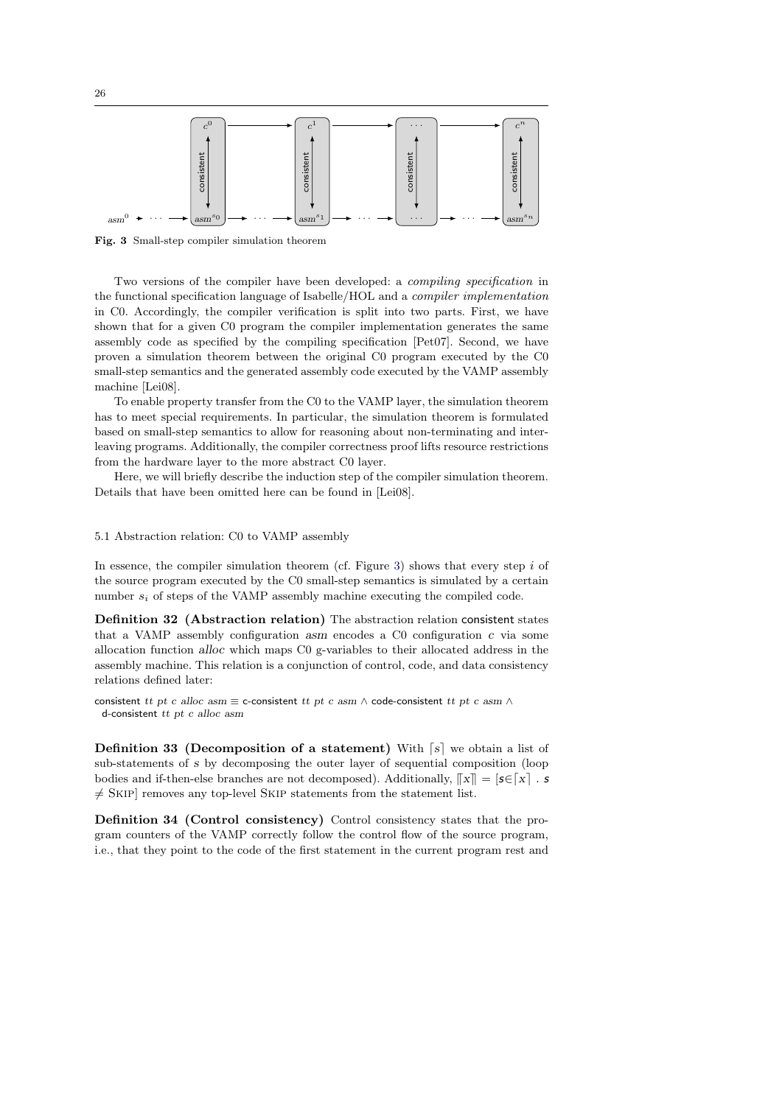

<span id="page-25-0"></span>Fig. 3 Small-step compiler simulation theorem

Two versions of the compiler have been developed: a compiling specification in the functional specification language of Isabelle/HOL and a compiler implementation in C0. Accordingly, the compiler verification is split into two parts. First, we have shown that for a given C0 program the compiler implementation generates the same assembly code as specified by the compiling specification [Pet07]. Second, we have proven a simulation theorem between the original C0 program executed by the C0 small-step semantics and the generated assembly code executed by the VAMP assembly machine [Lei08].

To enable property transfer from the C0 to the VAMP layer, the simulation theorem has to meet special requirements. In particular, the simulation theorem is formulated based on small-step semantics to allow for reasoning about non-terminating and interleaving programs. Additionally, the compiler correctness proof lifts resource restrictions from the hardware layer to the more abstract C0 layer.

Here, we will briefly describe the induction step of the compiler simulation theorem. Details that have been omitted here can be found in [Lei08].

#### 5.1 Abstraction relation: C0 to VAMP assembly

In essence, the compiler simulation theorem (cf. Figure [3\)](#page-25-0) shows that every step  $i$  of the source program executed by the C0 small-step semantics is simulated by a certain number  $s_i$  of steps of the VAMP assembly machine executing the compiled code.

Definition 32 (Abstraction relation) The abstraction relation consistent states that a VAMP assembly configuration asm encodes a C0 configuration c via some allocation function alloc which maps C0 g-variables to their allocated address in the assembly machine. This relation is a conjunction of control, code, and data consistency relations defined later:

consistent tt pt c alloc asm  $\equiv$  c-consistent tt pt c asm  $\land$  code-consistent tt pt c asm  $\land$ d-consistent  $tt$  pt  $c$  alloc asm

**Definition 33 (Decomposition of a statement)** With  $\lceil s \rceil$  we obtain a list of sub-statements of s by decomposing the outer layer of sequential composition (loop bodies and if-then-else branches are not decomposed). Additionally,  $\|x\| = [s \in [x]$ . s  $\neq$  SKIP] removes any top-level SKIP statements from the statement list.

Definition 34 (Control consistency) Control consistency states that the program counters of the VAMP correctly follow the control flow of the source program, i.e., that they point to the code of the first statement in the current program rest and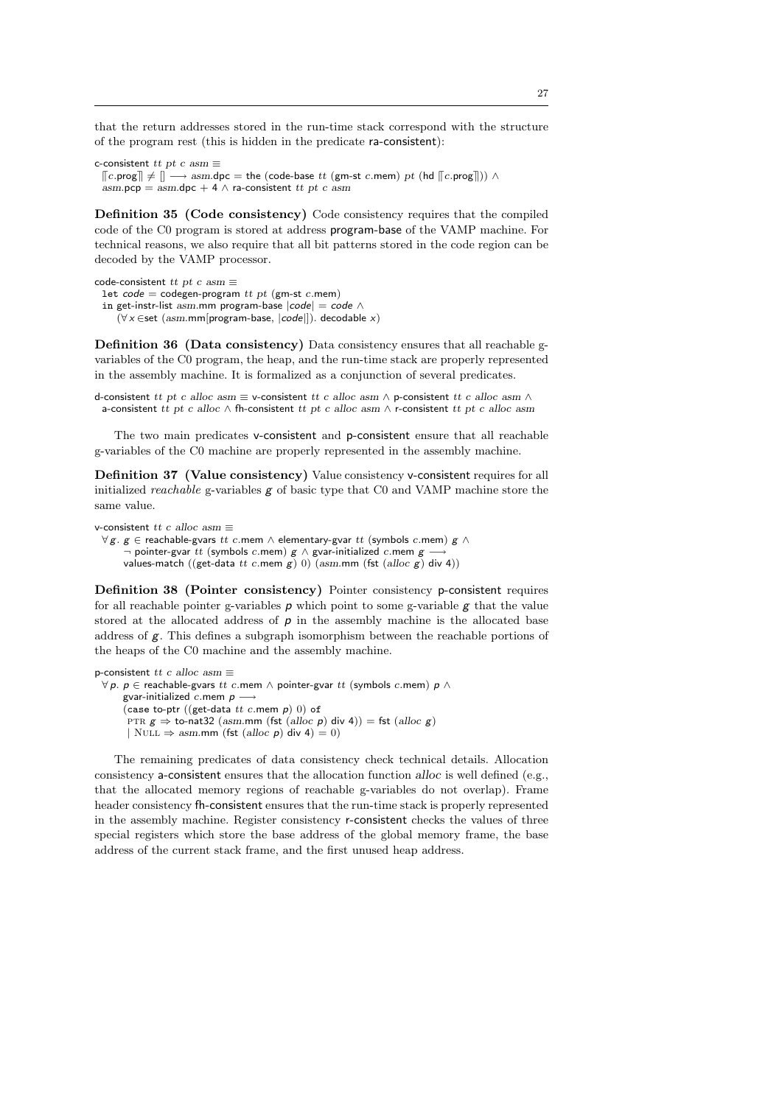that the return addresses stored in the run-time stack correspond with the structure of the program rest (this is hidden in the predicate ra-consistent):

c-consistent tt pt c asm  $\equiv$  $\lceil\lceil c.\mathsf{prog}\rceil\rceil \neq \lceil\rfloor \longrightarrow \text{asm.dpc} = \text{the (code-base } tt \text{ (gm-st } c.\text{mem) } pt \text{ (hd } \lceil\lceil c.\mathsf{prog}\rceil\text{)) } \land$ asm.pcp = asm.dpc + 4  $\land$  ra-consistent tt pt c asm

Definition 35 (Code consistency) Code consistency requires that the compiled code of the C0 program is stored at address program-base of the VAMP machine. For technical reasons, we also require that all bit patterns stored in the code region can be decoded by the VAMP processor.

```
code-consistent tt pt c asm \equivlet code = codeeodegen-program tt pt (gm-st c.mem)
 in get-instr-list asm.mm program-base |code| = code \land
```
(∀ x ∈set (asm.mm[program-base, |code|]). decodable x)

Definition 36 (Data consistency) Data consistency ensures that all reachable gvariables of the C0 program, the heap, and the run-time stack are properly represented in the assembly machine. It is formalized as a conjunction of several predicates.

d-consistent tt pt c alloc asm  $\equiv$  v-consistent tt c alloc asm  $\land$  p-consistent tt c alloc asm  $\land$ a-consistent tt pt c alloc  $\land$  fh-consistent tt pt c alloc asm  $\land$  r-consistent tt pt c alloc asm

The two main predicates v-consistent and p-consistent ensure that all reachable g-variables of the C0 machine are properly represented in the assembly machine.

Definition 37 (Value consistency) Value consistency v-consistent requires for all initialized reachable g-variables  $g$  of basic type that C0 and VAMP machine store the same value.

```
v-consistent tt c alloc asm =\forall g. g \in reachable-gvars tt c.mem ∧ elementary-gvar tt (symbols c.mem) g ∧
        pointer-gvar tt (symbols c.mem) g \wedge gvar-initialized c.mem g
      values-match ((get-data tt c.mem g) 0) (asm.mm (fst (alloc g) div 4))
```
Definition 38 (Pointer consistency) Pointer consistency p-consistent requires for all reachable pointer g-variables  $p$  which point to some g-variable  $g$  that the value stored at the allocated address of  $\rho$  in the assembly machine is the allocated base address of  $g$ . This defines a subgraph isomorphism between the reachable portions of the heaps of the C0 machine and the assembly machine.

```
p-consistent tt c alloc asm \equiv\forall p. p \in reachable-gvars tt c.mem ∧ pointer-gvar tt (symbols c.mem) p ∧
      gvar-initialized c.mem p -(case to-ptr ((get-data tt c.mem p) 0) of
       PTR g \Rightarrow to-nat32 (asm.mm (fst (alloc p) div 4)) = fst (alloc g)
       | NULL \Rightarrow asm.mm (fst (alloc p) div 4) = 0)
```
The remaining predicates of data consistency check technical details. Allocation consistency a-consistent ensures that the allocation function alloc is well defined (e.g., that the allocated memory regions of reachable g-variables do not overlap). Frame header consistency fh-consistent ensures that the run-time stack is properly represented in the assembly machine. Register consistency r-consistent checks the values of three special registers which store the base address of the global memory frame, the base address of the current stack frame, and the first unused heap address.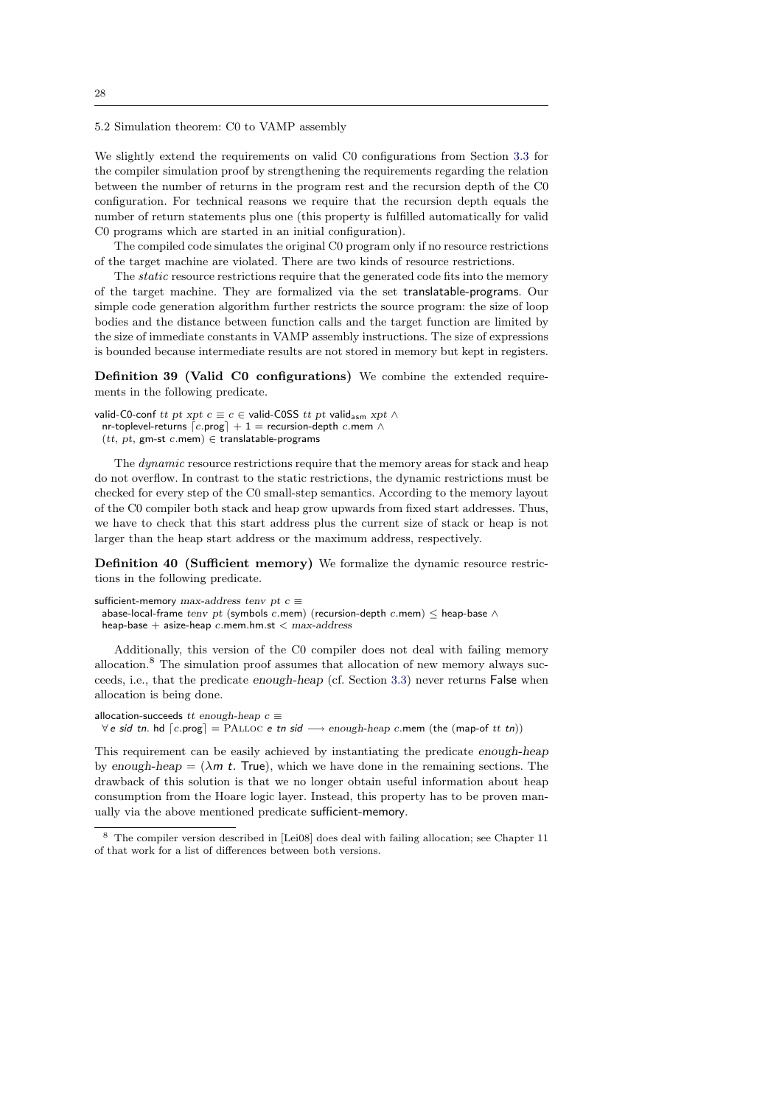# <span id="page-27-0"></span>5.2 Simulation theorem: C0 to VAMP assembly

We slightly extend the requirements on valid C0 configurations from Section [3.3](#page-10-0) for the compiler simulation proof by strengthening the requirements regarding the relation between the number of returns in the program rest and the recursion depth of the C0 configuration. For technical reasons we require that the recursion depth equals the number of return statements plus one (this property is fulfilled automatically for valid C0 programs which are started in an initial configuration).

The compiled code simulates the original C0 program only if no resource restrictions of the target machine are violated. There are two kinds of resource restrictions.

The *static* resource restrictions require that the generated code fits into the memory of the target machine. They are formalized via the set translatable-programs. Our simple code generation algorithm further restricts the source program: the size of loop bodies and the distance between function calls and the target function are limited by the size of immediate constants in VAMP assembly instructions. The size of expressions is bounded because intermediate results are not stored in memory but kept in registers.

Definition 39 (Valid C0 configurations) We combine the extended requirements in the following predicate.

```
valid-C0-conf tt pt xpt c \equiv c \in valid-C0SS tt pt valid<sub>asm</sub> xpt \wedgenr-toplevel-returns [c.prog] + 1 = recursion-depth c.mem \wedge
```

```
(tt, pt, gm-st c.mem) \in translatable-programs
```
The *dynamic* resource restrictions require that the memory areas for stack and heap do not overflow. In contrast to the static restrictions, the dynamic restrictions must be checked for every step of the C0 small-step semantics. According to the memory layout of the C0 compiler both stack and heap grow upwards from fixed start addresses. Thus, we have to check that this start address plus the current size of stack or heap is not larger than the heap start address or the maximum address, respectively.

Definition 40 (Sufficient memory) We formalize the dynamic resource restrictions in the following predicate.

```
sufficient-memory max-address teny pt c \equivabase-local-frame tenv pt (symbols c.mem) (recursion-depth c.mem) \leq heap-base \wedgeheap-base + asize-heap c.mem.hm.st < max-address
```
Additionally, this version of the C0 compiler does not deal with failing memory allocation.<sup>8</sup> The simulation proof assumes that allocation of new memory always succeeds, i.e., that the predicate enough-heap (cf. Section [3.3\)](#page-10-0) never returns False when allocation is being done.

```
allocation-succeeds tt enough-heap c =∀e sid tn. hd [c.prog] = PALLOC e tn sid → enough-heap c.mem (the (map-of tt tn))
```
This requirement can be easily achieved by instantiating the predicate enough-heap by enough-heap =  $(\lambda m t)$ . True), which we have done in the remaining sections. The drawback of this solution is that we no longer obtain useful information about heap consumption from the Hoare logic layer. Instead, this property has to be proven manually via the above mentioned predicate sufficient-memory.

 $^8\,$  The compiler version described in [Lei08] does deal with failing allocation; see Chapter 11 of that work for a list of differences between both versions.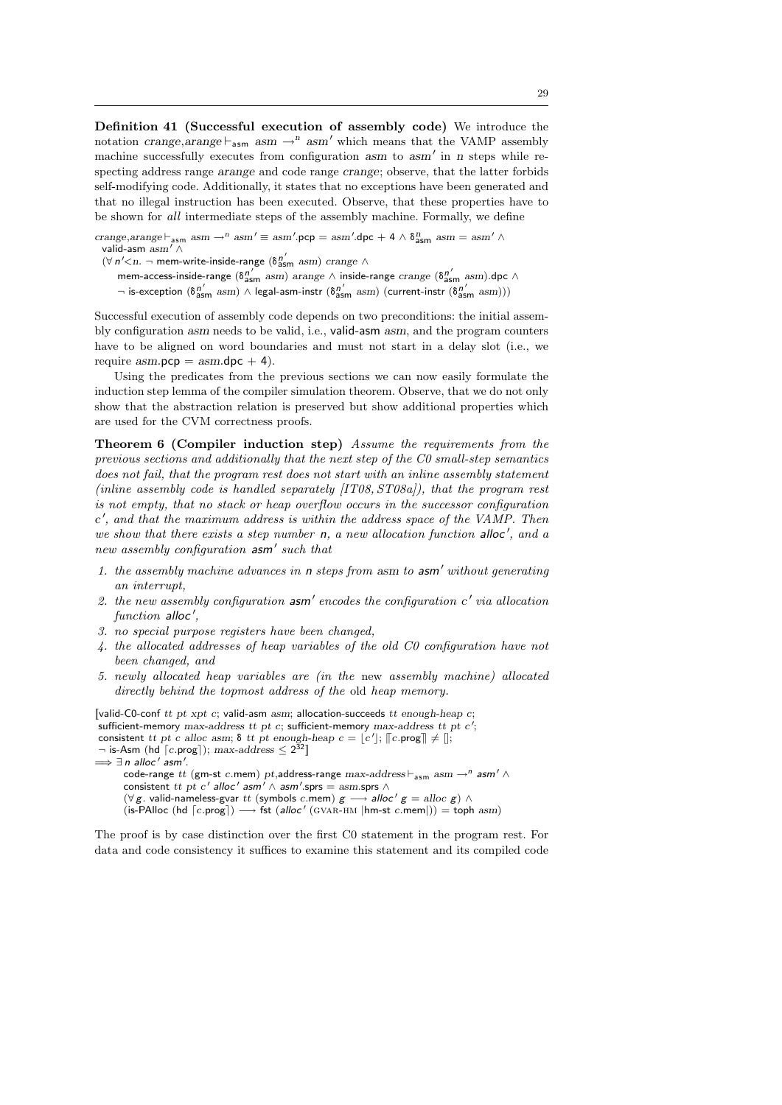Definition 41 (Successful execution of assembly code) We introduce the notation crange, arange  $\vdash$ <sub>asm</sub> asm  $\rightarrow$ <sup>n</sup> asm' which means that the VAMP assembly machine successfully executes from configuration  $asm$  to  $asm'$  in n steps while respecting address range arange and code range crange; observe, that the latter forbids self-modifying code. Additionally, it states that no exceptions have been generated and that no illegal instruction has been executed. Observe, that these properties have to be shown for all intermediate steps of the assembly machine. Formally, we define

 $\text{orange}, \text{arange} \vdash_{\text{asm}} \text{asm} \rightarrow^n \text{asm}' \equiv \text{asm}'.\textsf{pop} = \text{asm}'.\textsf{dpc} + 4 \wedge \delta^n_{\textsf{asm}} \text{asm} = \text{asm}' \wedge \text{p}$ valid-asm asm' ∧

 $(∀ n' < n$  ¬ mem-write-inside-range ( $δ<sub>asm</sub><sup>n'</sup>$  asm) crange ∧

mem-access-inside-range ( $\delta_{\text{asm}}^{n'}$  asm) arange ∧ inside-range  $c$ range ( $\delta_{\text{asm}}^{n'}$  asm).dpc ∧

 $\rightarrow$  is-exception (δ<sub>asm</sub> asm) ∧ legal-asm-instr (δ<sub>asm</sub> asm) (current-instr (δ<sub>asm</sub> asm)))

Successful execution of assembly code depends on two preconditions: the initial assembly configuration asm needs to be valid, i.e., valid-asm asm, and the program counters have to be aligned on word boundaries and must not start in a delay slot (i.e., we require  $asm.pop = asm.dpc + 4$ .

Using the predicates from the previous sections we can now easily formulate the induction step lemma of the compiler simulation theorem. Observe, that we do not only show that the abstraction relation is preserved but show additional properties which are used for the CVM correctness proofs.

<span id="page-28-0"></span>Theorem 6 (Compiler induction step) Assume the requirements from the previous sections and additionally that the next step of the C0 small-step semantics does not fail, that the program rest does not start with an inline assembly statement (inline assembly code is handled separately [IT08, ST08a]), that the program rest is not empty, that no stack or heap overflow occurs in the successor configuration c', and that the maximum address is within the address space of the VAMP. Then we show that there exists a step number  $n$ , a new allocation function alloc', and a new assembly configuration asm' such that

- 1. the assembly machine advances in  $n$  steps from asm to  $asm'$  without generating an interrupt,
- 2. the new assembly configuration  $asm'$  encodes the configuration  $c'$  via allocation  $function$  alloc',
- 3. no special purpose registers have been changed,
- 4. the allocated addresses of heap variables of the old C0 configuration have not been changed, and
- 5. newly allocated heap variables are (in the new assembly machine) allocated directly behind the topmost address of the old heap memory.

 $\lceil$ valid-C0-conf tt pt xpt c; valid-asm asm; allocation-succeeds tt enough-heap c; sufficient-memory  $\max$ -address  $tt$   $pt$   $c;$  sufficient-memory  $\max$ -address  $tt$   $pt$   $c';$ consistent tt pt c alloc asm;  $\delta$  tt pt enough-heap  $c = \lfloor c' \rfloor$ ;  $\lceil c \text{ .} \text{prog} \rceil \neq \lceil$ ;  $\lceil \text{ .} \text{ $} \text{ ^}}$  is-Asm (hd  $\lceil c \text{ .} \text{prog} \rceil \rceil$ ;  $\text{ {max-} }$  address  $\leq 2^{32} \rceil$ 

 $\implies \exists n \text{ } \text{alloc'} \text{ } \text{asm}'.$ 

code-range tt (gm-st c.mem) pt,address-range  $\max$ -address $\vdash_{\textsf{asm}}$  asm  $\rightarrow$ <sup>n</sup> asm'  $\land$ consistent tt pt c' alloc' asm'  $\land$  asm'.sprs = asm.sprs  $\land$ ( $\forall$  g. valid-nameless-gvar tt (symbols c.mem) g  $\longrightarrow$  alloc' g = alloc g)  $\land$ 

 $(is-PAlloc (hd [c.prog]) \longrightarrow \text{fst} (alloc' (GVAR-HM |hm-st c.mem])) = \text{toph} asm)$ 

The proof is by case distinction over the first C0 statement in the program rest. For data and code consistency it suffices to examine this statement and its compiled code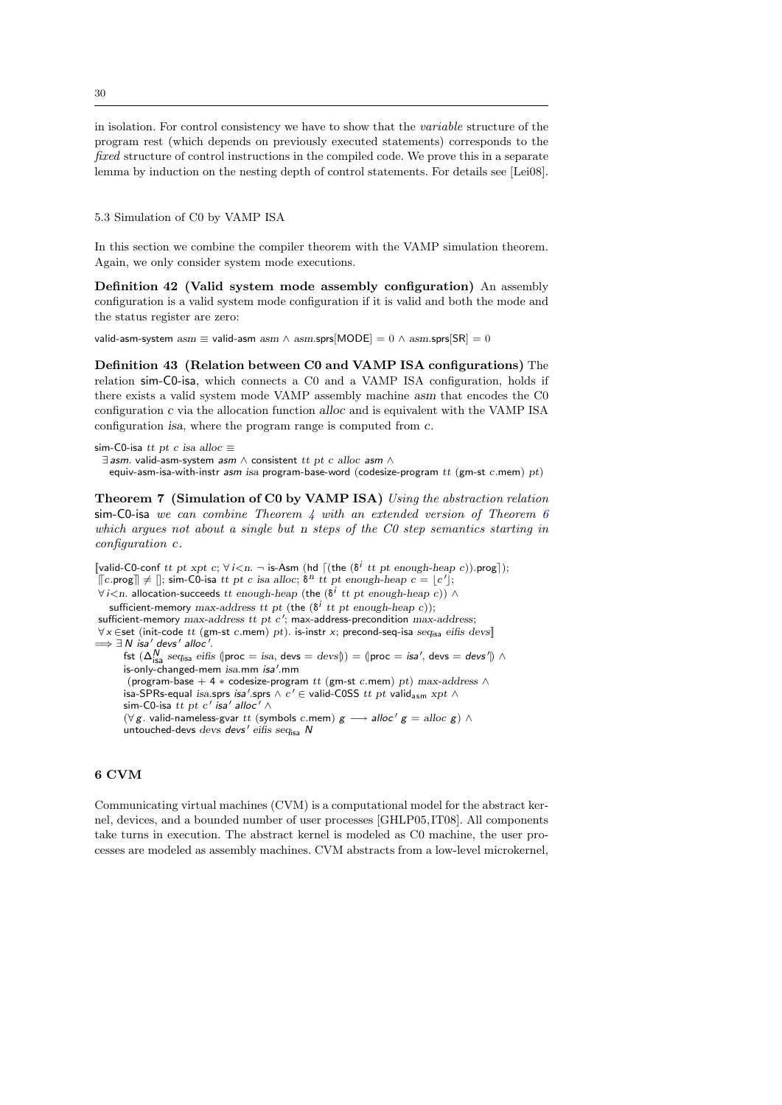in isolation. For control consistency we have to show that the *variable* structure of the program rest (which depends on previously executed statements) corresponds to the fixed structure of control instructions in the compiled code. We prove this in a separate lemma by induction on the nesting depth of control statements. For details see [Lei08].

#### <span id="page-29-1"></span>5.3 Simulation of C0 by VAMP ISA

In this section we combine the compiler theorem with the VAMP simulation theorem. Again, we only consider system mode executions.

Definition 42 (Valid system mode assembly configuration) An assembly configuration is a valid system mode configuration if it is valid and both the mode and the status register are zero:

valid-asm-system  $asm \equiv$  valid-asm  $asm \wedge asm.sprs[MODE] = 0 \wedge asm.sprs[SR] = 0$ 

Definition 43 (Relation between C0 and VAMP ISA configurations) The relation sim-C0-isa, which connects a C0 and a VAMP ISA configuration, holds if there exists a valid system mode VAMP assembly machine asm that encodes the C0 configuration c via the allocation function alloc and is equivalent with the VAMP ISA configuration isa, where the program range is computed from c.

```
sim-C0-isa tt pt c isa alloc \equiv
```
 $\exists$  asm. valid-asm-system asm  $\land$  consistent tt pt c alloc asm  $\land$ 

equiv-asm-isa-with-instr asm isa program-base-word (codesize-program  $tt$  (gm-st c.mem)  $pt$ )

Theorem 7 (Simulation of C0 by VAMP ISA) Using the abstraction relation sim-C0-isa we can combine Theorem [4](#page-24-1) with an extended version of Theorem [6](#page-28-0) which argues not about a single but n steps of the C0 step semantics starting in configuration c.

[valid-C0-conf tt pt xpt c; ∀ i<n. ¬ is-Asm (hd [(the  $(\delta^i$  tt pt enough-heap c)).prog]);  $\llbracket c$ .prog $\rrbracket \neq \rrbracket$ ; sim-C0-isa tt pt c isa alloc;  $\delta^n$  it pt enough-heap  $c = \lfloor c' \rfloor$ ; ∀ $i$ <n. allocation-succeeds  $tt$  enough-heap (the ( $\delta^i$   $tt$   $pt$  enough-heap  $c$ ))  $\land$ sufficient-memory max-address tt pt (the  $(\delta^i$  tt pt enough-heap c)); sufficient-memory  $max$ -address tt pt  $c$ '; max-address-precondition  $max$ -address;  $∀x ∈ set (init-code *tt* (gm-st *c*.mem) pt). is-instr x; precond-seq-isa *seq*<sub>isa</sub> *eifis devs*].$ ⇒  $\exists N$  isa' devs' alloc'.<br>fst ( $\Delta_{\text{isa}}^N$  seq<sub>isa</sub> eifis (|proc = isa, devs = devs|)) = (|proc = isa', devs = devs'|) ∧ is-only-changed-mem isa.mm isa'.mm (program-base + 4 \* codesize-program tt (gm-st c.mem) pt) max-address  $\wedge$ isa-SPRs-equal isa.sprs isa'.sprs  $\land$   $c' \in$  valid-C0SS tt pt valid<sub>asm</sub> xpt  $\land$ sim-C0-isa tt pt  $c'$  isa' alloc'  $\wedge$  $(\forall g.$  valid-nameless-gvar tt (symbols c.mem)  $g \rightarrow$  alloc'  $g =$  alloc g)  $\land$ untouched-devs devs devs' eifis seq<sub>isa</sub>  $N$ 

# <span id="page-29-0"></span>6 CVM

Communicating virtual machines (CVM) is a computational model for the abstract kernel, devices, and a bounded number of user processes [GHLP05, IT08]. All components take turns in execution. The abstract kernel is modeled as C0 machine, the user processes are modeled as assembly machines. CVM abstracts from a low-level microkernel,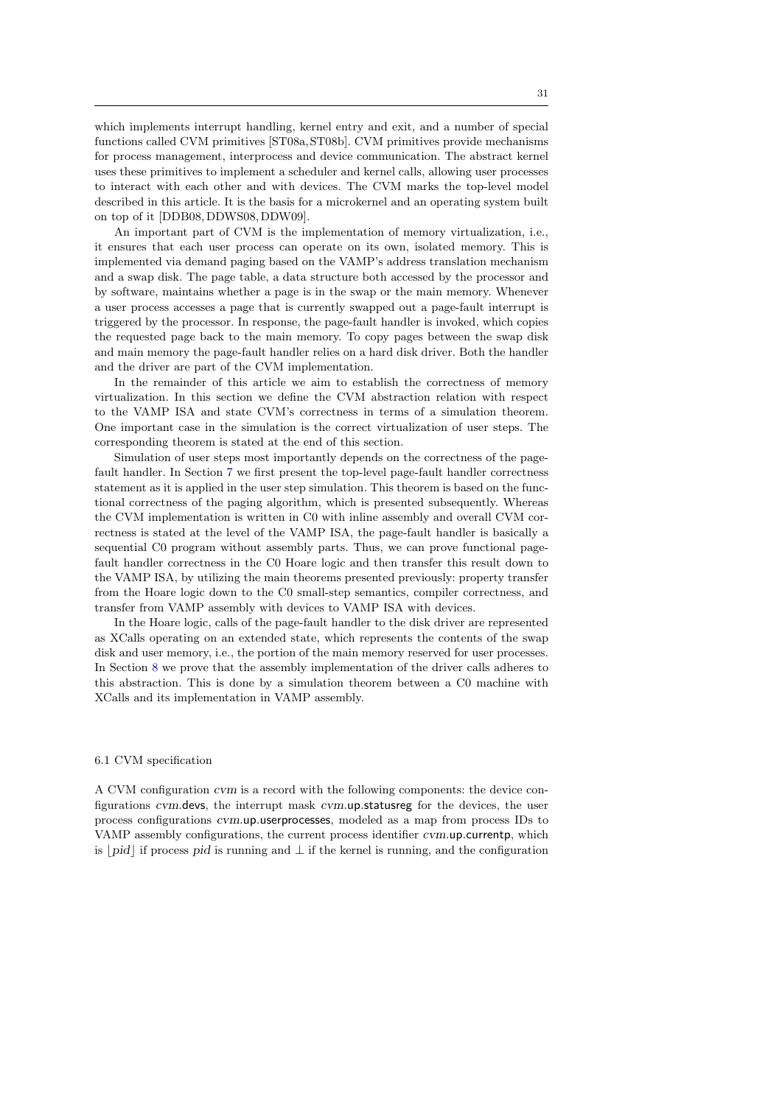which implements interrupt handling, kernel entry and exit, and a number of special functions called CVM primitives [ST08a, ST08b]. CVM primitives provide mechanisms for process management, interprocess and device communication. The abstract kernel uses these primitives to implement a scheduler and kernel calls, allowing user processes to interact with each other and with devices. The CVM marks the top-level model described in this article. It is the basis for a microkernel and an operating system built on top of it [DDB08, DDWS08, DDW09].

An important part of CVM is the implementation of memory virtualization, i.e., it ensures that each user process can operate on its own, isolated memory. This is implemented via demand paging based on the VAMP's address translation mechanism and a swap disk. The page table, a data structure both accessed by the processor and by software, maintains whether a page is in the swap or the main memory. Whenever a user process accesses a page that is currently swapped out a page-fault interrupt is triggered by the processor. In response, the page-fault handler is invoked, which copies the requested page back to the main memory. To copy pages between the swap disk and main memory the page-fault handler relies on a hard disk driver. Both the handler and the driver are part of the CVM implementation.

In the remainder of this article we aim to establish the correctness of memory virtualization. In this section we define the CVM abstraction relation with respect to the VAMP ISA and state CVM's correctness in terms of a simulation theorem. One important case in the simulation is the correct virtualization of user steps. The corresponding theorem is stated at the end of this section.

Simulation of user steps most importantly depends on the correctness of the pagefault handler. In Section [7](#page-36-0) we first present the top-level page-fault handler correctness statement as it is applied in the user step simulation. This theorem is based on the functional correctness of the paging algorithm, which is presented subsequently. Whereas the CVM implementation is written in C0 with inline assembly and overall CVM correctness is stated at the level of the VAMP ISA, the page-fault handler is basically a sequential C0 program without assembly parts. Thus, we can prove functional pagefault handler correctness in the C0 Hoare logic and then transfer this result down to the VAMP ISA, by utilizing the main theorems presented previously: property transfer from the Hoare logic down to the C0 small-step semantics, compiler correctness, and transfer from VAMP assembly with devices to VAMP ISA with devices.

In the Hoare logic, calls of the page-fault handler to the disk driver are represented as XCalls operating on an extended state, which represents the contents of the swap disk and user memory, i.e., the portion of the main memory reserved for user processes. In Section [8](#page-43-0) we prove that the assembly implementation of the driver calls adheres to this abstraction. This is done by a simulation theorem between a C0 machine with XCalls and its implementation in VAMP assembly.

#### 6.1 CVM specification

A CVM configuration cvm is a record with the following components: the device configurations cvm.devs, the interrupt mask cvm.up.statusreg for the devices, the user process configurations cvm.up.userprocesses, modeled as a map from process IDs to VAMP assembly configurations, the current process identifier cvm.up.currentp, which is  $|pid|$  if process pid is running and  $\perp$  if the kernel is running, and the configuration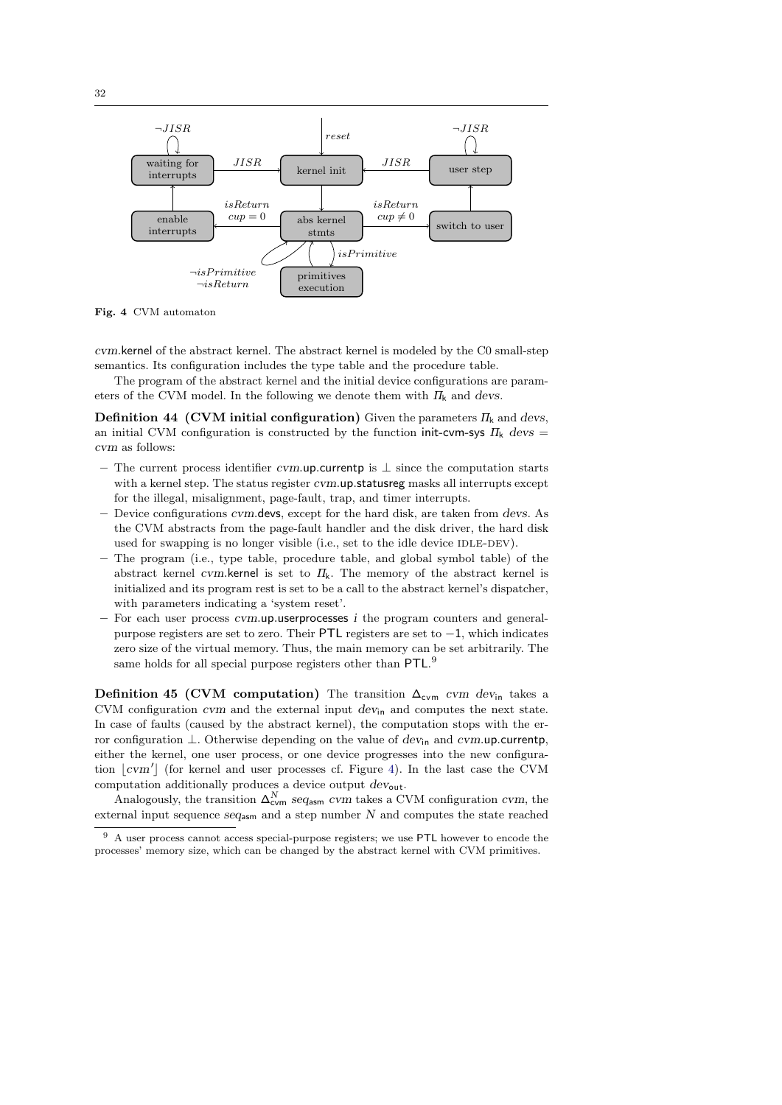

<span id="page-31-0"></span>Fig. 4 CVM automaton

cvm.kernel of the abstract kernel. The abstract kernel is modeled by the C0 small-step semantics. Its configuration includes the type table and the procedure table.

The program of the abstract kernel and the initial device configurations are parameters of the CVM model. In the following we denote them with  $\Pi_k$  and devs.

**Definition 44 (CVM initial configuration)** Given the parameters  $\Pi_k$  and devs, an initial CVM configuration is constructed by the function init-cvm-sys  $\Pi_k$  devs = cvm as follows:

- The current process identifier cvm.up.current p is  $\perp$  since the computation starts with a kernel step. The status register  $cvm$ .up.statusreg masks all interrupts except for the illegal, misalignment, page-fault, trap, and timer interrupts.
- Device configurations cvm.devs, except for the hard disk, are taken from devs. As the CVM abstracts from the page-fault handler and the disk driver, the hard disk used for swapping is no longer visible (i.e., set to the idle device IDLE-DEV).
- The program (i.e., type table, procedure table, and global symbol table) of the abstract kernel cvm.kernel is set to  $\Pi_k$ . The memory of the abstract kernel is initialized and its program rest is set to be a call to the abstract kernel's dispatcher, with parameters indicating a 'system reset'.
- For each user process  $cvm.\text{up.}$  userprocesses i the program counters and generalpurpose registers are set to zero. Their PTL registers are set to −1, which indicates zero size of the virtual memory. Thus, the main memory can be set arbitrarily. The same holds for all special purpose registers other than PTL.<sup>9</sup>

**Definition 45 (CVM computation)** The transition  $\Delta_{\text{cvm}}$  cvm dev<sub>in</sub> takes a CVM configuration cvm and the external input devin and computes the next state. In case of faults (caused by the abstract kernel), the computation stops with the error configuration ⊥. Otherwise depending on the value of devin and cvm.up.currentp, either the kernel, one user process, or one device progresses into the new configuration  $\vert \text{ cum'} \vert$  (for kernel and user processes cf. Figure [4\)](#page-31-0). In the last case the CVM computation additionally produces a device output  $dev_{\text{out}}$ .

Analogously, the transition  $\Delta_{\text{cvm}}^N$  seq<sub>asm</sub> cvm takes a CVM configuration cvm, the external input sequence  $seq_{asm}$  and a step number  $N$  and computes the state reached

<sup>9</sup> A user process cannot access special-purpose registers; we use PTL however to encode the processes' memory size, which can be changed by the abstract kernel with CVM primitives.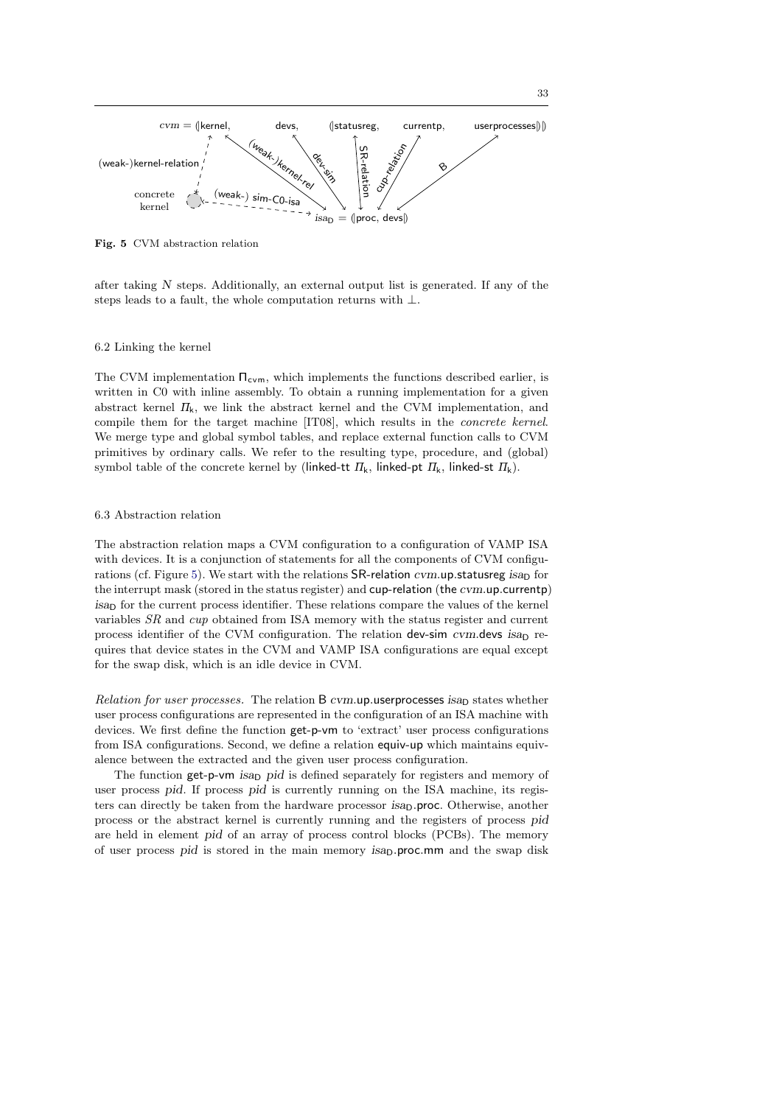

<span id="page-32-0"></span>Fig. 5 CVM abstraction relation

after taking N steps. Additionally, an external output list is generated. If any of the steps leads to a fault, the whole computation returns with  $\bot$ .

#### 6.2 Linking the kernel

The CVM implementation  $\Pi_{\text{cvm}}$ , which implements the functions described earlier, is written in C0 with inline assembly. To obtain a running implementation for a given abstract kernel  $\Pi_{k}$ , we link the abstract kernel and the CVM implementation, and compile them for the target machine [IT08], which results in the concrete kernel. We merge type and global symbol tables, and replace external function calls to CVM primitives by ordinary calls. We refer to the resulting type, procedure, and (global) symbol table of the concrete kernel by (linked-tt  $\Pi_k$ , linked-pt  $\Pi_k$ , linked-st  $\Pi_k$ ).

## <span id="page-32-1"></span>6.3 Abstraction relation

The abstraction relation maps a CVM configuration to a configuration of VAMP ISA with devices. It is a conjunction of statements for all the components of CVM configu-rations (cf. Figure [5\)](#page-32-0). We start with the relations  $SR$ -relation cvm.up.statusreg isa<sub>D</sub> for the interrupt mask (stored in the status register) and cup-relation (the cvm.up.currentp) isa<sub>D</sub> for the current process identifier. These relations compare the values of the kernel variables SR and cup obtained from ISA memory with the status register and current process identifier of the CVM configuration. The relation dev-sim cvm.devs isa<sub>D</sub> requires that device states in the CVM and VAMP ISA configurations are equal except for the swap disk, which is an idle device in CVM.

Relation for user processes. The relation  $\bf{B}$  cvm.up.userprocesses is a states whether user process configurations are represented in the configuration of an ISA machine with devices. We first define the function get-p-vm to 'extract' user process configurations from ISA configurations. Second, we define a relation equiv-up which maintains equivalence between the extracted and the given user process configuration.

The function  $get$ -p-vm isa<sub>D</sub> pid is defined separately for registers and memory of user process pid. If process pid is currently running on the ISA machine, its registers can directly be taken from the hardware processor  $isa<sub>D</sub>$ .proc. Otherwise, another process or the abstract kernel is currently running and the registers of process pid are held in element pid of an array of process control blocks (PCBs). The memory of user process pid is stored in the main memory  $isa<sub>D</sub>$ .proc.mm and the swap disk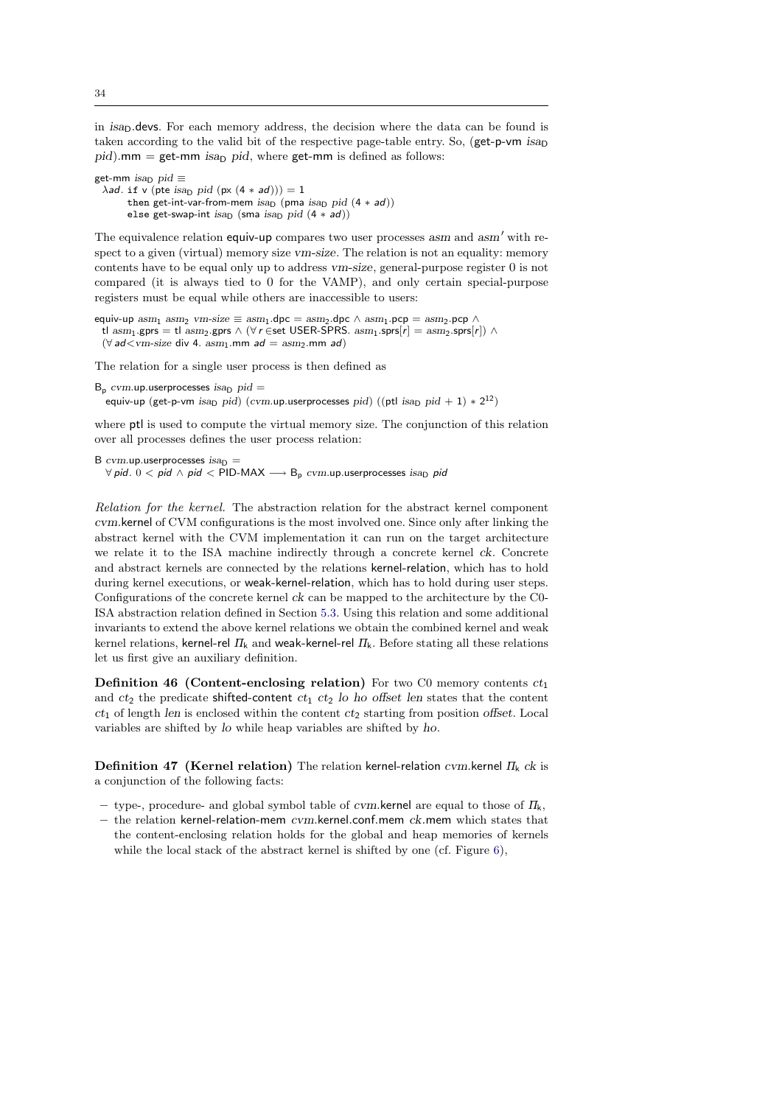in isaD.devs. For each memory address, the decision where the data can be found is taken according to the valid bit of the respective page-table entry. So, (get-p-vm isap pid).mm = get-mm isa<sub>D</sub> pid, where get-mm is defined as follows:

get-mm isan pid  $\equiv$  $\lambda$ ad. if v (pte isa<sub>D</sub> pid (px  $(4 * ad)) = 1$ then get-int-var-from-mem isa<sub>D</sub> (pma isa<sub>D</sub> pid  $(4 * ad)$ ) else get-swap-int isa<sub>D</sub> (sma isa<sub>D</sub> pid  $(4 * ad)$ )

The equivalence relation equiv-up compares two user processes asm and  $\text{asm}'$  with respect to a given (virtual) memory size vm-size. The relation is not an equality: memory contents have to be equal only up to address vm-size, general-purpose register 0 is not compared (it is always tied to 0 for the VAMP), and only certain special-purpose registers must be equal while others are inaccessible to users:

```
equiv-up asm_1 asm_2 vm-size \equiv asm_1 \cdotdpc = asm_2 \cdotdpc \land asm_1 \cdotpcp = asm_2 \cdotpcp \landtl asm_1.gprs = tl asm_2.gprs \wedge (\forall r \in set \text{USER-SPRS. }asm_1.sprs[r] = asm_2.sprs[r]) \wedge(\forall ad \lt m\text{-}size\ div 4.\ arm_1.\text{mm}\ ad =\ asym_2.\text{mm}\ ad)
```
The relation for a single user process is then defined as

 $B_p$  cvm.up.userprocesses isap pid = equiv-up (get-p-vm  $isa_{\rm D}$   $pid)$  (cvm.up.userprocesses  $pid)$  ((ptl  $isa_{\rm D}$   $pid$   $+$   $1)$   $*$   $2^{12})$ 

where ptl is used to compute the virtual memory size. The conjunction of this relation over all processes defines the user process relation:

B cvm.up.userprocesses isa $\cap$  =

 $∀ pid. 0 < pid ∧ pid <$  PID-MAX  $→$  B<sub>p</sub> cvm.up.userprocesses isa<sub>D</sub> pid

Relation for the kernel. The abstraction relation for the abstract kernel component cvm.kernel of CVM configurations is the most involved one. Since only after linking the abstract kernel with the CVM implementation it can run on the target architecture we relate it to the ISA machine indirectly through a concrete kernel ck. Concrete and abstract kernels are connected by the relations kernel-relation, which has to hold during kernel executions, or weak-kernel-relation, which has to hold during user steps. Configurations of the concrete kernel ck can be mapped to the architecture by the C0- ISA abstraction relation defined in Section [5.3.](#page-29-1) Using this relation and some additional invariants to extend the above kernel relations we obtain the combined kernel and weak kernel relations, kernel-rel  $\Pi_{k}$  and weak-kernel-rel  $\Pi_{k}$ . Before stating all these relations let us first give an auxiliary definition.

**Definition 46 (Content-enclosing relation)** For two C0 memory contents  $ct_1$ and  $ct_2$  the predicate shifted-content  $ct_1$   $ct_2$  lo ho offset len states that the content  $ct_1$  of length len is enclosed within the content  $ct_2$  starting from position offset. Local variables are shifted by lo while heap variables are shifted by ho.

**Definition 47 (Kernel relation)** The relation kernel-relation cvm.kernel  $\Pi_k$  ck is a conjunction of the following facts:

- type-, procedure- and global symbol table of cvm.kernel are equal to those of  $\Pi_{\mathbf{k}}$ ,
- $-$  the relation kernel-relation-mem cvm.kernel.conf.mem ck.mem which states that the content-enclosing relation holds for the global and heap memories of kernels while the local stack of the abstract kernel is shifted by one (cf. Figure [6\)](#page-34-0),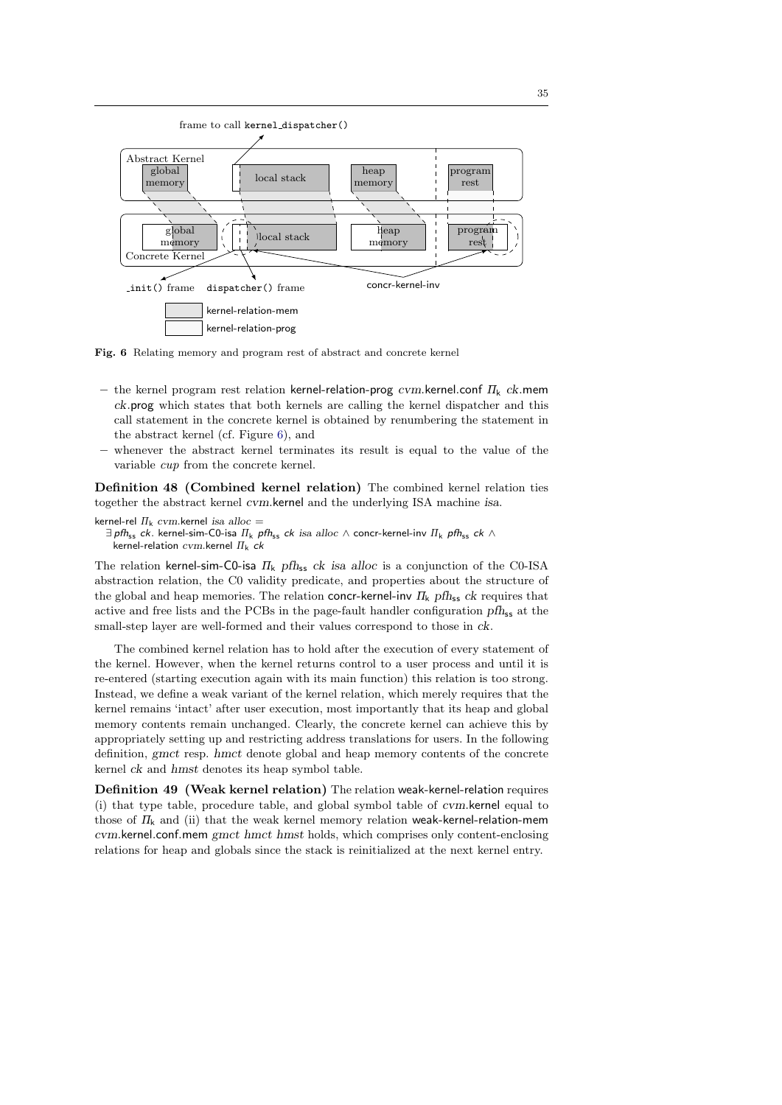

<span id="page-34-0"></span>

- the kernel program rest relation kernel-relation-prog cvm.kernel.conf  $\Pi_k$  ck.mem ck.prog which states that both kernels are calling the kernel dispatcher and this call statement in the concrete kernel is obtained by renumbering the statement in the abstract kernel (cf. Figure [6\)](#page-34-0), and
- whenever the abstract kernel terminates its result is equal to the value of the variable cup from the concrete kernel.

<span id="page-34-1"></span>Definition 48 (Combined kernel relation) The combined kernel relation ties together the abstract kernel cvm.kernel and the underlying ISA machine isa.

kernel-rel  $\Pi_k$  cvm.kernel isa alloc =

The relation kernel-sim-C0-isa  $\Pi_k$  pfh<sub>ss</sub> ck isa alloc is a conjunction of the C0-ISA abstraction relation, the C0 validity predicate, and properties about the structure of the global and heap memories. The relation concr-kernel-inv  $\Pi_k$  pfh<sub>ss</sub> ck requires that active and free lists and the PCBs in the page-fault handler configuration  $\text{pfh}_{ss}$  at the small-step layer are well-formed and their values correspond to those in  $ck$ .

The combined kernel relation has to hold after the execution of every statement of the kernel. However, when the kernel returns control to a user process and until it is re-entered (starting execution again with its main function) this relation is too strong. Instead, we define a weak variant of the kernel relation, which merely requires that the kernel remains 'intact' after user execution, most importantly that its heap and global memory contents remain unchanged. Clearly, the concrete kernel can achieve this by appropriately setting up and restricting address translations for users. In the following definition, gmct resp. hmct denote global and heap memory contents of the concrete kernel ck and hmst denotes its heap symbol table.

Definition 49 (Weak kernel relation) The relation weak-kernel-relation requires (i) that type table, procedure table, and global symbol table of cvm.kernel equal to those of  $\Pi_{k}$  and (ii) that the weak kernel memory relation weak-kernel-relation-mem cvm.kernel.conf.mem gmct hmct hmst holds, which comprises only content-enclosing relations for heap and globals since the stack is reinitialized at the next kernel entry.

 $\exists$  pfh<sub>ss</sub> ck. kernel-sim-C0-isa  $\Pi_k$  pfh<sub>ss</sub> ck isa alloc  $\wedge$  concr-kernel-inv  $\Pi_k$  pfh<sub>ss</sub> ck  $\wedge$ kernel-relation cvm.kernel  $\Pi_k$  ck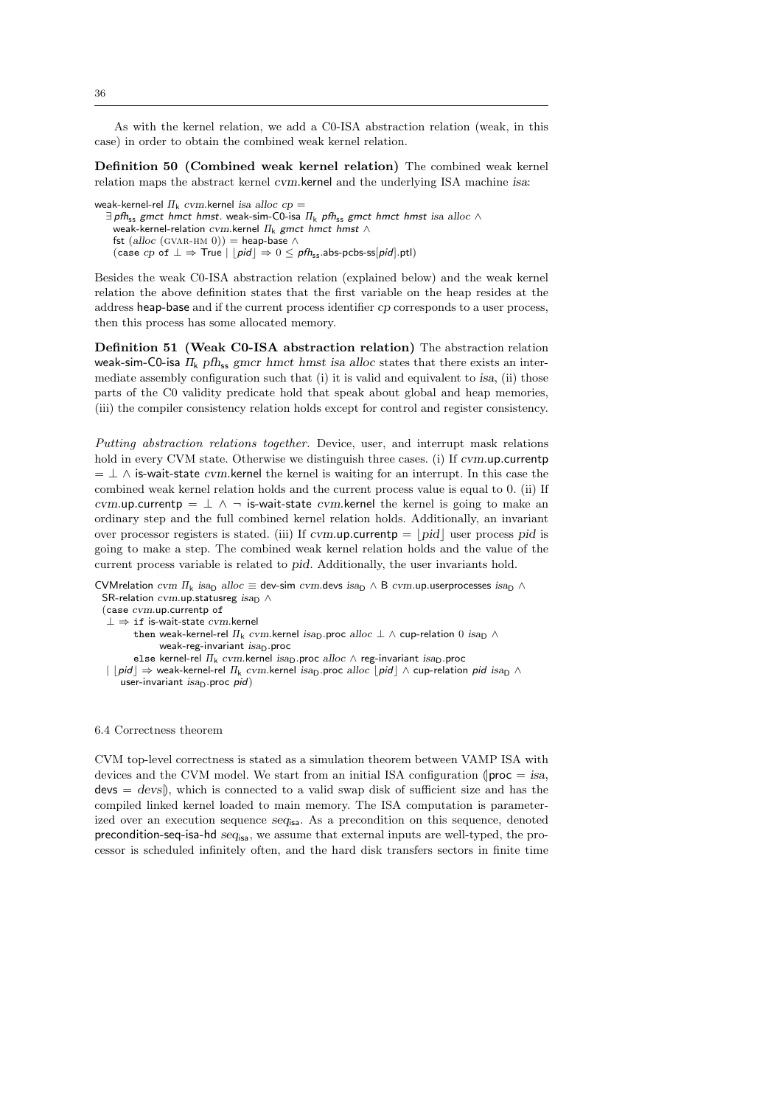As with the kernel relation, we add a C0-ISA abstraction relation (weak, in this case) in order to obtain the combined weak kernel relation.

Definition 50 (Combined weak kernel relation) The combined weak kernel relation maps the abstract kernel cvm.kernel and the underlying ISA machine isa:

weak-kernel-rel  $\Pi_k$  cvm.kernel isa alloc cp =  $\exists$  pfh<sub>ss</sub> gmct hmct hmst. weak-sim-C0-isa  $\Pi_k$  pfh<sub>ss</sub> gmct hmct hmst isa alloc  $\wedge$ weak-kernel-relation cvm.kernel  $\Pi_k$  gmct hmct hmst  $\wedge$ fst (alloc (GVAR-HM 0)) = heap-base  $\wedge$ (case cp of  $\perp \Rightarrow$  True  $| |pid| \Rightarrow 0 \leq pfh_{ss}.$ abs-pcbs-ss $[pid].$ ptl)

Besides the weak C0-ISA abstraction relation (explained below) and the weak kernel relation the above definition states that the first variable on the heap resides at the address heap-base and if the current process identifier cp corresponds to a user process, then this process has some allocated memory.

Definition 51 (Weak C0-ISA abstraction relation) The abstraction relation weak-sim-C0-isa  $\Pi_k$  pfh<sub>ss</sub> gmcr hmct hmst isa alloc states that there exists an intermediate assembly configuration such that (i) it is valid and equivalent to isa, (ii) those parts of the C0 validity predicate hold that speak about global and heap memories, (iii) the compiler consistency relation holds except for control and register consistency.

Putting abstraction relations together. Device, user, and interrupt mask relations hold in every CVM state. Otherwise we distinguish three cases. (i) If cvm.up.currentp  $= \perp \wedge$  is-wait-state cvm.kernel the kernel is waiting for an interrupt. In this case the combined weak kernel relation holds and the current process value is equal to 0. (ii) If cvm.up.currentp =  $\perp \wedge \neg$  is-wait-state cvm.kernel the kernel is going to make an ordinary step and the full combined kernel relation holds. Additionally, an invariant over processor registers is stated. (iii) If cvm.up.current  $p = |pid|$  user process pid is going to make a step. The combined weak kernel relation holds and the value of the current process variable is related to pid. Additionally, the user invariants hold.

```
CVMrelation cvm \Pi_k isa<sub>D</sub> alloc \equiv dev-sim cvm.devs isa<sub>D</sub> \land B cvm.up.userprocesses isa<sub>D</sub> \landSR-relation cvm.up.statusreg isa_D \wedge(case cvm.up.currentp of
   \bot \Rightarrow if is-wait-state {\it cvm}.kernel
          then weak-kernel-rel \varPi_k cvm.kernel isa<sub>D</sub>.proc alloc \bot ∧ cup-relation 0 isa<sub>D</sub> ∧
                  weak-reg-invariant isa_D.proc
```
- else kernel-rel  $\Pi_k$  cvm.kernel isa<sub>D</sub>.proc alloc  $\wedge$  reg-invariant isa<sub>D</sub>.proc
- |  $|$  pid |  $\Rightarrow$  weak-kernel-rel  $\Pi_k$  cvm.kernel isa<sub>D</sub>.proc alloc  $|$  pid | ∧ cup-relation pid isa<sub>D</sub> ∧ user-invariant  $isa<sub>D</sub>$ .proc pid)

#### 6.4 Correctness theorem

CVM top-level correctness is stated as a simulation theorem between VAMP ISA with devices and the CVM model. We start from an initial ISA configuration ( $|proc = isa$ ,  $devs = devs$ , which is connected to a valid swap disk of sufficient size and has the compiled linked kernel loaded to main memory. The ISA computation is parameterized over an execution sequence  $seq_{\text{isa}}$ . As a precondition on this sequence, denoted precondition-seq-isa-hd  $seq_{iss}$ , we assume that external inputs are well-typed, the processor is scheduled infinitely often, and the hard disk transfers sectors in finite time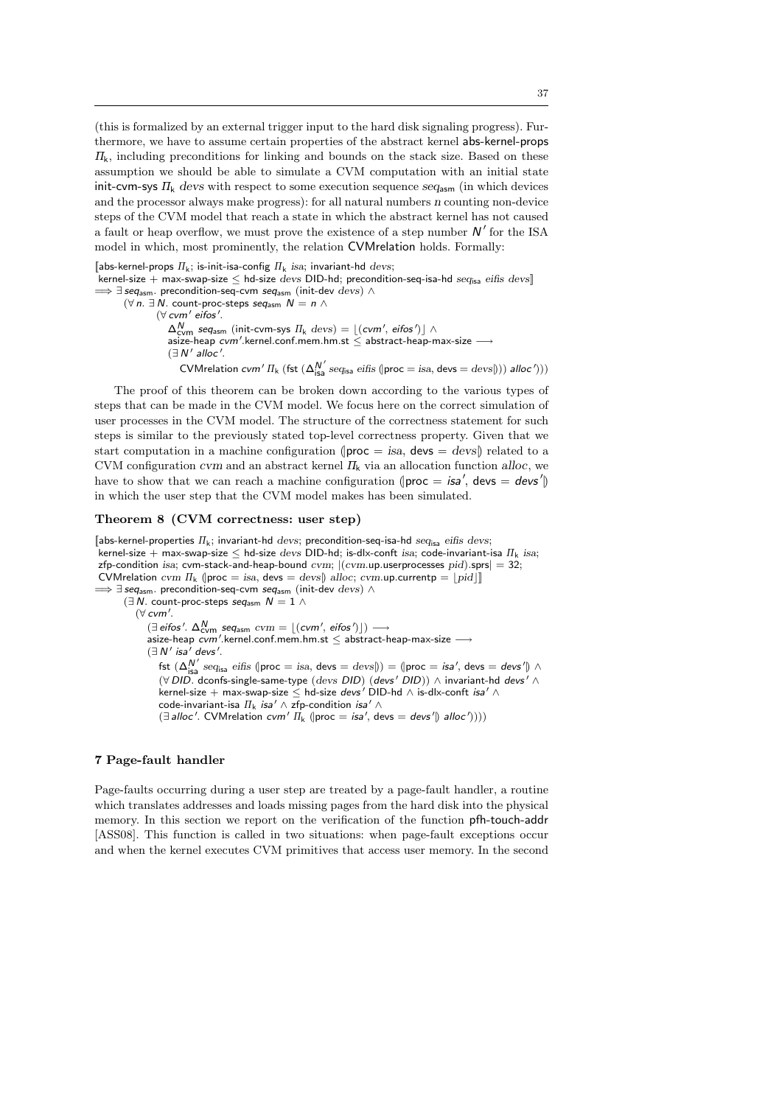(this is formalized by an external trigger input to the hard disk signaling progress). Furthermore, we have to assume certain properties of the abstract kernel abs-kernel-props  $\Pi_{k}$ , including preconditions for linking and bounds on the stack size. Based on these assumption we should be able to simulate a CVM computation with an initial state init-cvm-sys  $\Pi_k$  devs with respect to some execution sequence seq<sub>asm</sub> (in which devices and the processor always make progress): for all natural numbers n counting non-device steps of the CVM model that reach a state in which the abstract kernel has not caused a fault or heap overflow, we must prove the existence of a step number  $N'$  for the ISA model in which, most prominently, the relation CVMrelation holds. Formally:

[abs-kernel-props  $\Pi_k$ ; is-init-isa-config  $\Pi_k$  isa; invariant-hd devs;

kernel-size + max-swap-size  $\leq$  hd-size  $\emph{devs}$  DID-hd; precondition-seq-isa-hd  $\emph{seq}_{\text{isa}}$  eifis  $\emph{devs}$   $\parallel$  $\implies \exists$  seq<sub>asm</sub>. precondition-seq-cvm seq<sub>asm</sub> (init-dev devs)  $\land$ 

 $(\forall n. \exists N.$  count-proc-steps seq<sub>asm</sub>  $N = n \land$  $(\forall$  cvm' eifos'.  $\Delta_{\text{Cvm}}^N$  seq<sub>asm</sub> (init-cvm-sys  $\varPi_k$  devs) =  $\lfloor$ (cvm', eifos')]  $\wedge$ asize-heap  $\textit{cvm}$ '.kernel.conf.mem.hm.st  $\leq$  abstract-heap-max-size  $\longrightarrow$  $(\exists N'$  alloc'.

CVMrelation  $\textit{cum}'$   $\Pi_k$  (fst  $(\Delta_{\mathsf{isa}}^{N'} \, \textit{seq}_{\mathsf{isa}} \, \textit{eifis} \, (\textit{proc} = \textit{isa}, \textit{devs} = \textit{devs})))$  alloc')))

The proof of this theorem can be broken down according to the various types of steps that can be made in the CVM model. We focus here on the correct simulation of user processes in the CVM model. The structure of the correctness statement for such steps is similar to the previously stated top-level correctness property. Given that we start computation in a machine configuration ( $\mathsf{proc} = isa$ ,  $\mathsf{devs} = des$ ) related to a CVM configuration cvm and an abstract kernel  $\Pi_k$  via an allocation function alloc, we have to show that we can reach a machine configuration ( $\mathsf{proc} = \mathsf{isa}'$ ,  $\mathsf{devs} = \mathsf{devs}'$ ) in which the user step that the CVM model makes has been simulated.

#### Theorem 8 (CVM correctness: user step)

[abs-kernel-properties  $\Pi_k$ ; invariant-hd devs; precondition-seq-isa-hd seq<sub>isa</sub> eifis devs; kernel-size + max-swap-size  $\leq$  hd-size devs DID-hd; is-dlx-conft isa; code-invariant-isa  $\Pi_{k}$  isa; zfp-condition isa; cvm-stack-and-heap-bound cvm;  $|(cvm.up.userprocesses pid).sprs| = 32;$ CVMrelation cvm  $\Pi_k$  (|proc = isa, devs = devs|) alloc; cvm.up.currentp =  $\lfloor pid\rfloor\rfloor$  $\implies$  ∃ seq<sub>asm</sub>. precondition-seq-cvm seq<sub>asm</sub> (init-dev devs) ∧ (∃ N. count-proc-steps seqasm N = 1 ∧  $(∀ cvm'.$  $(\exists \text{ eifos}'. \Delta_{\text{cvm}}^N \text{ seq}_{\text{asm}} \text{ cum} = \lfloor (\text{cvm}', \text{ eifos'}) \rfloor) \longrightarrow$  $a$ size-heap  $\overline{c}$ vm'.kernel.conf.mem.hm.st  $\le$  abstract-heap-max-size  $\longrightarrow$  $(\exists N'$  isa' devs'. fst  $(\Delta_{\text{isa}}^{N'} \text{ seq}_{\text{isa}} \text{ eifis (proc = isa, devs = devs)} ) = (\text{proc = isa', devs = devs'}) \land$  $(\forall$  DID. dconfs-single-same-type  $(devs$  DID)  $(devs'$  DID))  $\land$  invariant-hd devs'  $\land$ kernel-size + max-swap-size  $\leq$  hd-size devs' DID-hd  $\wedge$  is-dlx-conft isa'  $\wedge$ code-invariant-isa  $\Pi_k$  isa<sup> $\prime$ </sup>  $\wedge$  zfp-condition isa $\prime$   $\wedge$  $(\exists$  alloc'. CVMrelation cvm'  $\Pi_k$  (|proc = isa', devs = devs'|) alloc'))))

# <span id="page-36-0"></span>7 Page-fault handler

Page-faults occurring during a user step are treated by a page-fault handler, a routine which translates addresses and loads missing pages from the hard disk into the physical memory. In this section we report on the verification of the function pfh-touch-addr [ASS08]. This function is called in two situations: when page-fault exceptions occur and when the kernel executes CVM primitives that access user memory. In the second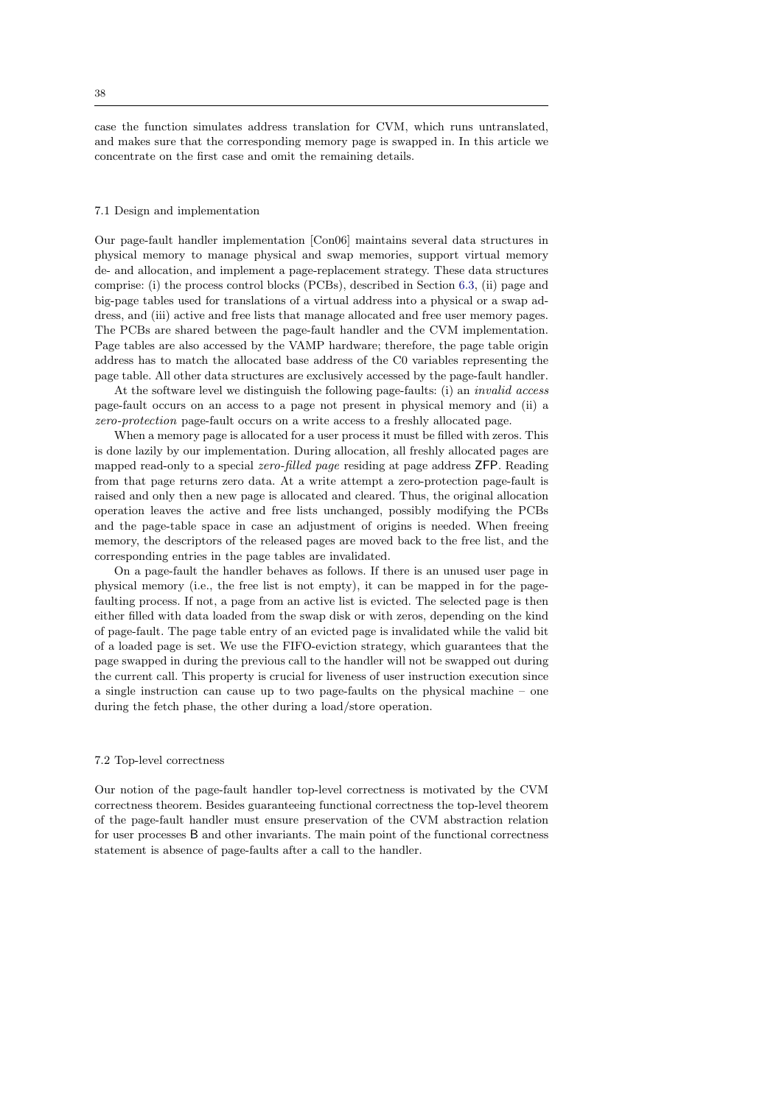case the function simulates address translation for CVM, which runs untranslated, and makes sure that the corresponding memory page is swapped in. In this article we concentrate on the first case and omit the remaining details.

# <span id="page-37-0"></span>7.1 Design and implementation

Our page-fault handler implementation [Con06] maintains several data structures in physical memory to manage physical and swap memories, support virtual memory de- and allocation, and implement a page-replacement strategy. These data structures comprise: (i) the process control blocks (PCBs), described in Section [6.3,](#page-32-1) (ii) page and big-page tables used for translations of a virtual address into a physical or a swap address, and (iii) active and free lists that manage allocated and free user memory pages. The PCBs are shared between the page-fault handler and the CVM implementation. Page tables are also accessed by the VAMP hardware; therefore, the page table origin address has to match the allocated base address of the C0 variables representing the page table. All other data structures are exclusively accessed by the page-fault handler.

At the software level we distinguish the following page-faults: (i) an invalid access page-fault occurs on an access to a page not present in physical memory and (ii) a zero-protection page-fault occurs on a write access to a freshly allocated page.

When a memory page is allocated for a user process it must be filled with zeros. This is done lazily by our implementation. During allocation, all freshly allocated pages are mapped read-only to a special zero-filled page residing at page address ZFP. Reading from that page returns zero data. At a write attempt a zero-protection page-fault is raised and only then a new page is allocated and cleared. Thus, the original allocation operation leaves the active and free lists unchanged, possibly modifying the PCBs and the page-table space in case an adjustment of origins is needed. When freeing memory, the descriptors of the released pages are moved back to the free list, and the corresponding entries in the page tables are invalidated.

On a page-fault the handler behaves as follows. If there is an unused user page in physical memory (i.e., the free list is not empty), it can be mapped in for the pagefaulting process. If not, a page from an active list is evicted. The selected page is then either filled with data loaded from the swap disk or with zeros, depending on the kind of page-fault. The page table entry of an evicted page is invalidated while the valid bit of a loaded page is set. We use the FIFO-eviction strategy, which guarantees that the page swapped in during the previous call to the handler will not be swapped out during the current call. This property is crucial for liveness of user instruction execution since a single instruction can cause up to two page-faults on the physical machine – one during the fetch phase, the other during a load/store operation.

#### <span id="page-37-1"></span>7.2 Top-level correctness

Our notion of the page-fault handler top-level correctness is motivated by the CVM correctness theorem. Besides guaranteeing functional correctness the top-level theorem of the page-fault handler must ensure preservation of the CVM abstraction relation for user processes B and other invariants. The main point of the functional correctness statement is absence of page-faults after a call to the handler.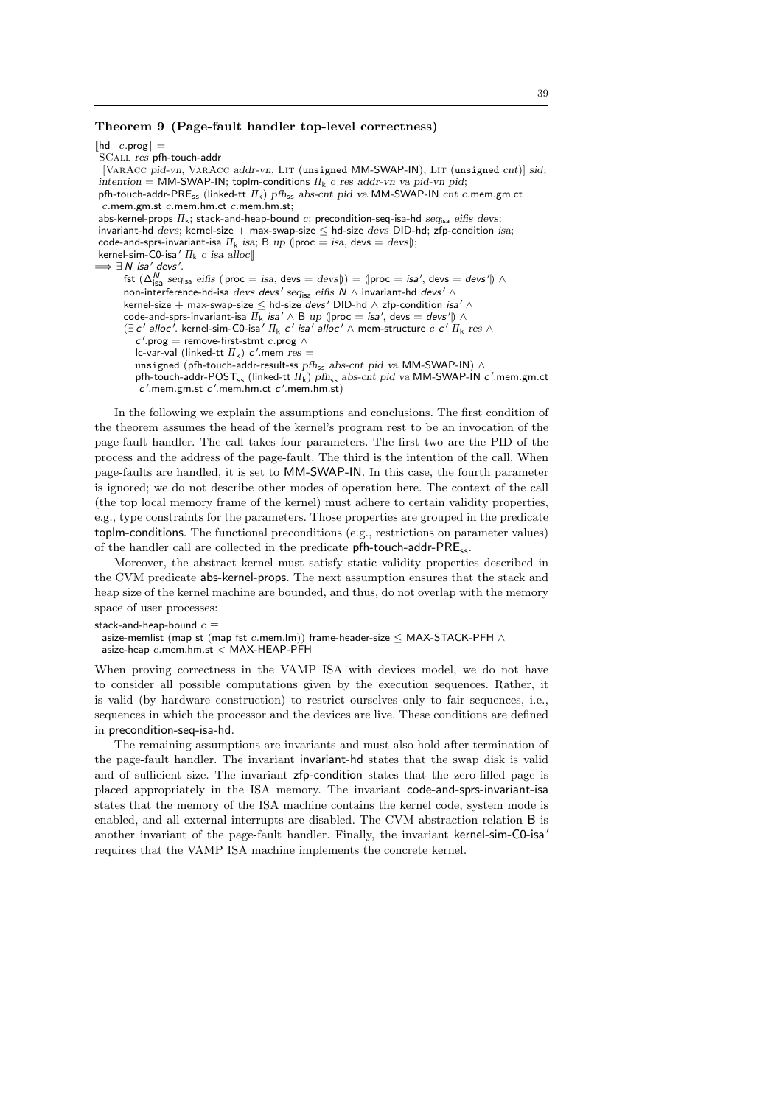#### Theorem 9 (Page-fault handler top-level correctness)

 $\lceil \mathsf{hd} \rceil$  c.prog $\rceil$  =

SCall res pfh-touch-addr [VARAcc pid-vn, VARAcc addr-vn, LIT (unsigned MM-SWAP-IN), LIT (unsigned cnt)] sid; intention = MM-SWAP-IN; toplm-conditions  $\Pi_k$  c res addr-vn va pid-vn pid; pfh-touch-addr-PRE<sub>ss</sub> (linked-tt  $\Pi_k$ ) pfh<sub>ss</sub> abs-cnt pid va MM-SWAP-IN cnt c.mem.gm.ct c.mem.gm.st c.mem.hm.ct c.mem.hm.st; abs-kernel-props  $\Pi_k$ ; stack-and-heap-bound c; precondition-seq-isa-hd seq<sub>isa</sub> eifis devs; invariant-hd devs; kernel-size + max-swap-size  $\leq$  hd-size devs DID-hd; zfp-condition isa; code-and-sprs-invariant-isa  $\Pi_k$  isa; B up (|proc = isa, devs = devs|); kernel-sim-C0-isa $'H_k$  c isa alloc] ⇒ ∃ N isa' devs'.<br>fst ( $\Delta_{\text{isa}}^{N}$  seq<sub>isa</sub> eifis (|proc = isa, devs = devs|)) = (|proc = isa', devs = devs'|) ∧ non-interference-hd-isa  $devs$  devs' seq<sub>isa</sub> eifis  $N \wedge$  invariant-hd devs'  $\wedge$ kernel-size + max-swap-size  $\leq$  hd-size devs' DID-hd  $\wedge$  zfp-condition isa'  $\wedge$ code-and-sprs-invariant-isa  $\overline{H_{\mathsf{k}}}$  isa'  $\wedge$  B  $\mu p$  (|proc = isa', devs = devs'|)  $\wedge$ ( $\exists$  c' alloc'. kernel-sim-C0-isa'  $\Pi_k$  c' isa' alloc' ∧ mem-structure  $c$  c'  $\Pi_k$  res ∧  $c'.$ prog = remove-first-stmt c.prog  $\wedge$ lc-var-val (linked-tt  $\Pi_k$ ) c'.mem  $res =$ unsigned (pfh-touch-addr-result-ss pfh<sub>ss</sub> abs-cnt pid va MM-SWAP-IN) ∧ pfh-touch-addr-POST<sub>ss</sub> (linked-tt  $\bar{H}_k$ )  $\bar{p}fh_{ss}$  abs-cnt pid va MM-SWAP-IN c'.mem.gm.ct  $c'.$ mem.gm.st  $c'.$ mem.hm.ct  $c'.$ mem.hm.st)

In the following we explain the assumptions and conclusions. The first condition of the theorem assumes the head of the kernel's program rest to be an invocation of the page-fault handler. The call takes four parameters. The first two are the PID of the process and the address of the page-fault. The third is the intention of the call. When page-faults are handled, it is set to MM-SWAP-IN. In this case, the fourth parameter is ignored; we do not describe other modes of operation here. The context of the call (the top local memory frame of the kernel) must adhere to certain validity properties, e.g., type constraints for the parameters. Those properties are grouped in the predicate toplm-conditions. The functional preconditions (e.g., restrictions on parameter values) of the handler call are collected in the predicate pfh-touch-addr-PRE<sub>ss</sub>.

Moreover, the abstract kernel must satisfy static validity properties described in the CVM predicate abs-kernel-props. The next assumption ensures that the stack and heap size of the kernel machine are bounded, and thus, do not overlap with the memory space of user processes:

```
stack-and-heap-bound c \equiv
```

```
asize-memlist (map st (map fst c.mem.lm)) frame-header-size ≤ MAX-STACK-PFH ∧
asize-heap c.mem.hm.st < MAX-HEAP-PFH
```
When proving correctness in the VAMP ISA with devices model, we do not have to consider all possible computations given by the execution sequences. Rather, it is valid (by hardware construction) to restrict ourselves only to fair sequences, i.e., sequences in which the processor and the devices are live. These conditions are defined in precondition-seq-isa-hd.

The remaining assumptions are invariants and must also hold after termination of the page-fault handler. The invariant invariant-hd states that the swap disk is valid and of sufficient size. The invariant zfp-condition states that the zero-filled page is placed appropriately in the ISA memory. The invariant code-and-sprs-invariant-isa states that the memory of the ISA machine contains the kernel code, system mode is enabled, and all external interrupts are disabled. The CVM abstraction relation B is another invariant of the page-fault handler. Finally, the invariant kernel-sim-CO-isa' requires that the VAMP ISA machine implements the concrete kernel.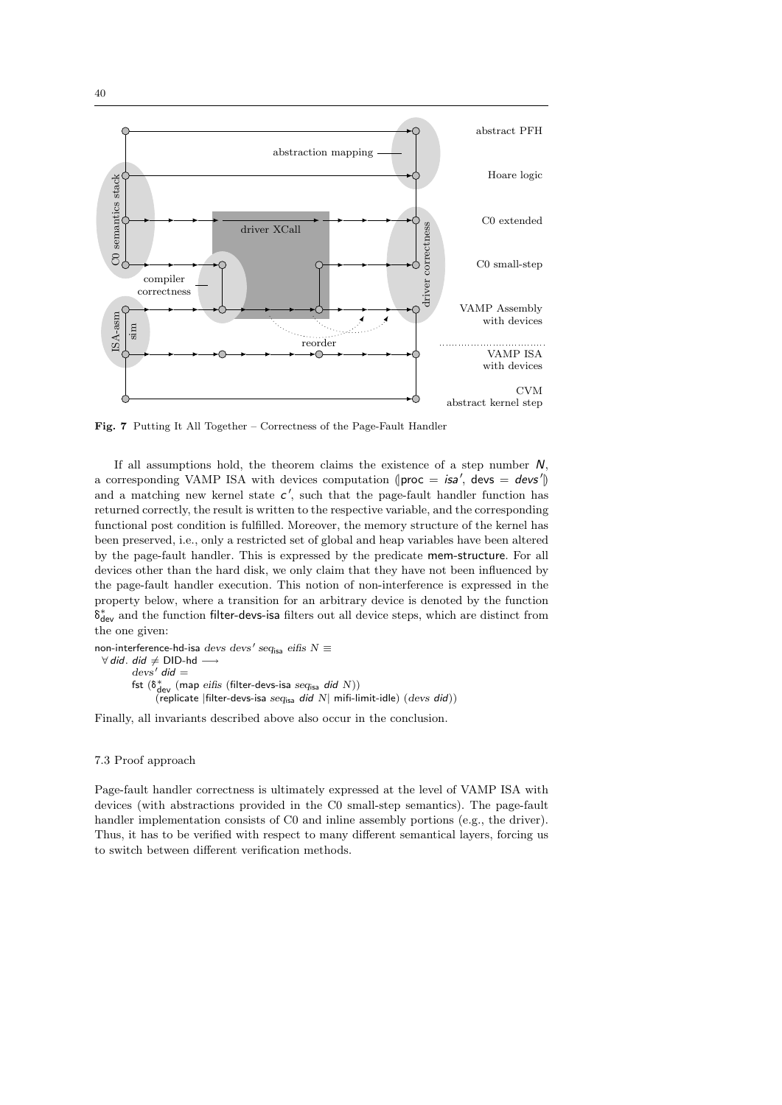

<span id="page-39-0"></span>Fig. 7 Putting It All Together – Correctness of the Page-Fault Handler

If all assumptions hold, the theorem claims the existence of a step number  $N$ , a corresponding VAMP ISA with devices computation ( $\mathsf{proc} = \mathsf{isa}', \mathsf{devs} = \mathsf{devs}'$ ) and a matching new kernel state  $c'$ , such that the page-fault handler function has returned correctly, the result is written to the respective variable, and the corresponding functional post condition is fulfilled. Moreover, the memory structure of the kernel has been preserved, i.e., only a restricted set of global and heap variables have been altered by the page-fault handler. This is expressed by the predicate mem-structure. For all devices other than the hard disk, we only claim that they have not been influenced by the page-fault handler execution. This notion of non-interference is expressed in the property below, where a transition for an arbitrary device is denoted by the function  $\delta_{\text{dev}}^*$  and the function filter-devs-isa filters out all device steps, which are distinct from the one given:

non-interference-hd-isa devs devs' seq<sub>isa</sub> eifis  $N \equiv$  $\forall$  did. did  $\neq$  DID-hd  $\cdot$  $devs'$  did  $=$ fst  $(\delta_{\text{dev}}^*$  (map eifis (filter-devs-isa seq<sub>isa</sub> did N)) (replicate |filter-devs-isa seq<sub>isa</sub> did N| mifi-limit-idle) (devs did))

Finally, all invariants described above also occur in the conclusion.

#### 7.3 Proof approach

Page-fault handler correctness is ultimately expressed at the level of VAMP ISA with devices (with abstractions provided in the C0 small-step semantics). The page-fault handler implementation consists of C0 and inline assembly portions (e.g., the driver). Thus, it has to be verified with respect to many different semantical layers, forcing us to switch between different verification methods.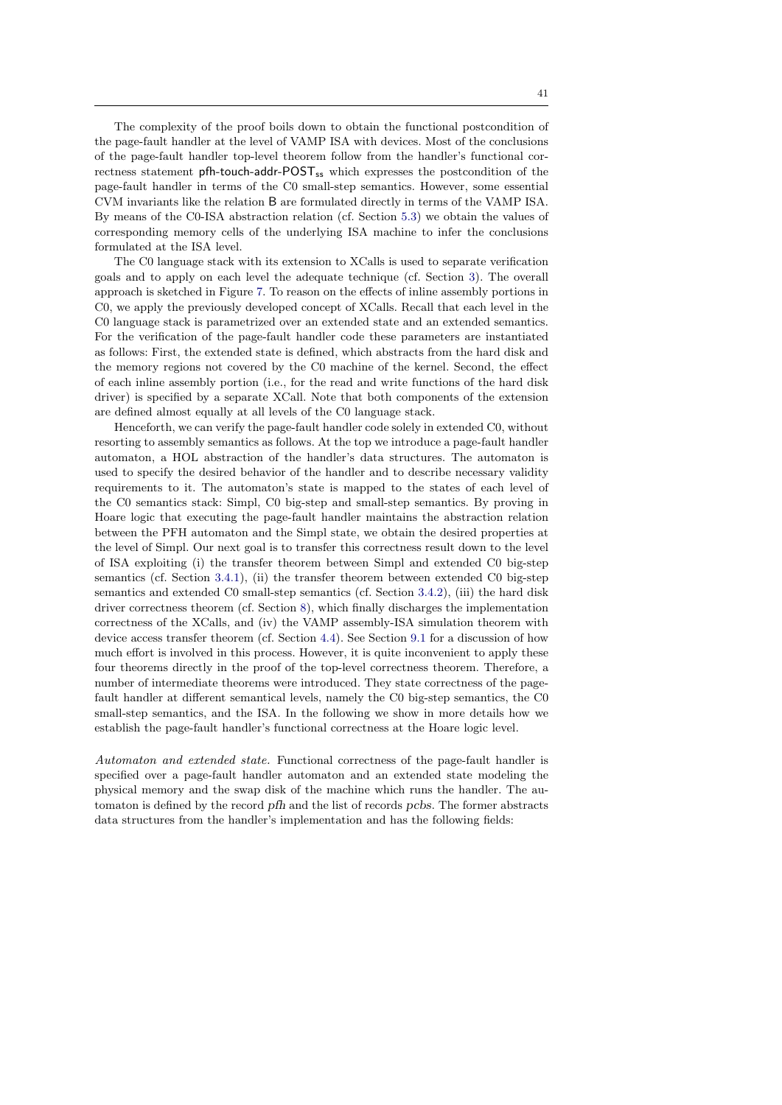The complexity of the proof boils down to obtain the functional postcondition of the page-fault handler at the level of VAMP ISA with devices. Most of the conclusions of the page-fault handler top-level theorem follow from the handler's functional correctness statement pfh-touch-addr-POSTss which expresses the postcondition of the page-fault handler in terms of the C0 small-step semantics. However, some essential CVM invariants like the relation B are formulated directly in terms of the VAMP ISA. By means of the C0-ISA abstraction relation (cf. Section [5.3\)](#page-29-1) we obtain the values of corresponding memory cells of the underlying ISA machine to infer the conclusions formulated at the ISA level.

The C0 language stack with its extension to XCalls is used to separate verification goals and to apply on each level the adequate technique (cf. Section [3\)](#page-5-0). The overall approach is sketched in Figure [7.](#page-39-0) To reason on the effects of inline assembly portions in C0, we apply the previously developed concept of XCalls. Recall that each level in the C0 language stack is parametrized over an extended state and an extended semantics. For the verification of the page-fault handler code these parameters are instantiated as follows: First, the extended state is defined, which abstracts from the hard disk and the memory regions not covered by the C0 machine of the kernel. Second, the effect of each inline assembly portion (i.e., for the read and write functions of the hard disk driver) is specified by a separate XCall. Note that both components of the extension are defined almost equally at all levels of the C0 language stack.

Henceforth, we can verify the page-fault handler code solely in extended C0, without resorting to assembly semantics as follows. At the top we introduce a page-fault handler automaton, a HOL abstraction of the handler's data structures. The automaton is used to specify the desired behavior of the handler and to describe necessary validity requirements to it. The automaton's state is mapped to the states of each level of the C0 semantics stack: Simpl, C0 big-step and small-step semantics. By proving in Hoare logic that executing the page-fault handler maintains the abstraction relation between the PFH automaton and the Simpl state, we obtain the desired properties at the level of Simpl. Our next goal is to transfer this correctness result down to the level of ISA exploiting (i) the transfer theorem between Simpl and extended C0 big-step semantics (cf. Section [3.4.1\)](#page-12-0), (ii) the transfer theorem between extended C0 big-step semantics and extended C0 small-step semantics (cf. Section [3.4.2\)](#page-14-0), (iii) the hard disk driver correctness theorem (cf. Section [8\)](#page-43-0), which finally discharges the implementation correctness of the XCalls, and (iv) the VAMP assembly-ISA simulation theorem with device access transfer theorem (cf. Section [4.4\)](#page-21-0). See Section [9.1](#page-49-1) for a discussion of how much effort is involved in this process. However, it is quite inconvenient to apply these four theorems directly in the proof of the top-level correctness theorem. Therefore, a number of intermediate theorems were introduced. They state correctness of the pagefault handler at different semantical levels, namely the C0 big-step semantics, the C0 small-step semantics, and the ISA. In the following we show in more details how we establish the page-fault handler's functional correctness at the Hoare logic level.

<span id="page-40-0"></span>Automaton and extended state. Functional correctness of the page-fault handler is specified over a page-fault handler automaton and an extended state modeling the physical memory and the swap disk of the machine which runs the handler. The automaton is defined by the record pfh and the list of records pcbs. The former abstracts data structures from the handler's implementation and has the following fields: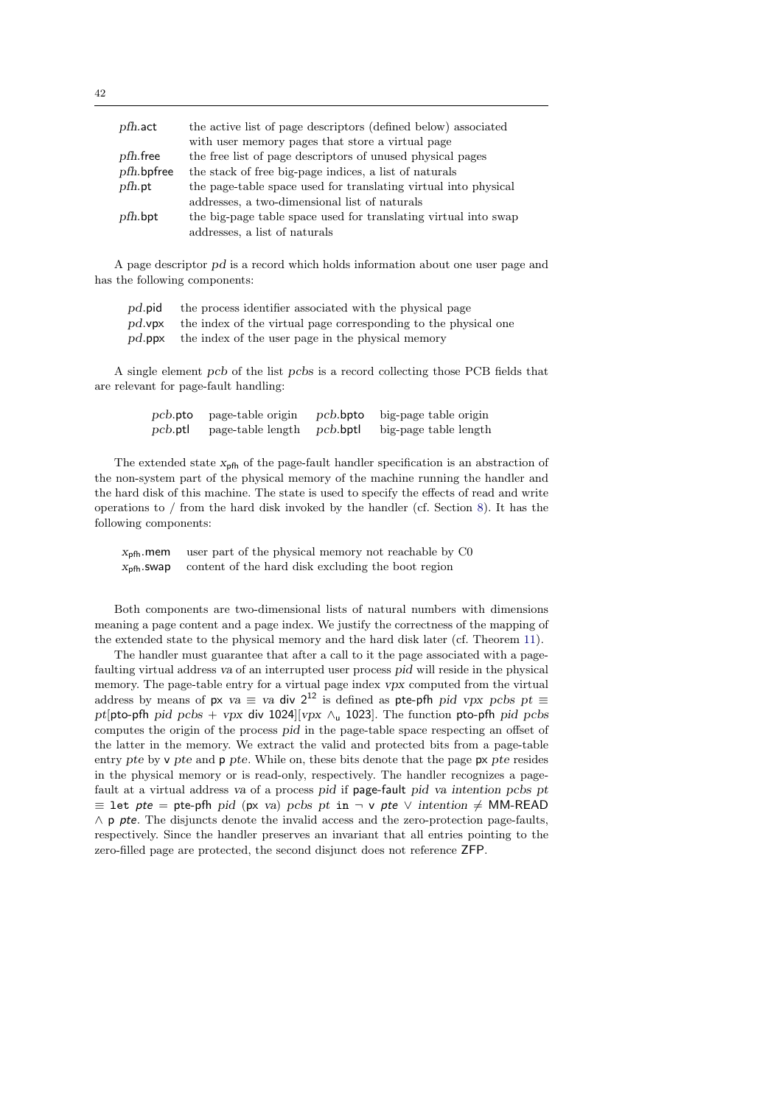<span id="page-41-0"></span>

| <i>pfh.act</i>  | the active list of page descriptors (defined below) associated  |  |
|-----------------|-----------------------------------------------------------------|--|
|                 | with user memory pages that store a virtual page                |  |
| <i>pfh.free</i> | the free list of page descriptors of unused physical pages      |  |
| pfh.bpfree      | the stack of free big-page indices, a list of naturals          |  |
| <i>pfh.pt</i>   | the page-table space used for translating virtual into physical |  |
|                 | addresses, a two-dimensional list of naturals                   |  |
| <i>pfh.bpt</i>  | the big-page table space used for translating virtual into swap |  |
|                 | addresses, a list of naturals                                   |  |

A page descriptor pd is a record which holds information about one user page and has the following components:

| $pd$ . pid | the process identifier associated with the physical page                |
|------------|-------------------------------------------------------------------------|
|            | pd. vpx the index of the virtual page corresponding to the physical one |
|            | <i>pd.</i> <b>ppx</b> the index of the user page in the physical memory |

A single element pcb of the list pcbs is a record collecting those PCB fields that are relevant for page-fault handling:

| pcb.pto    | page-table origin | $pcb.$ bpto | big-page table origin |
|------------|-------------------|-------------|-----------------------|
| $pcb$ .ptl | page-table length | $pcb$ .bptl | big-page table length |

The extended state xpfh of the page-fault handler specification is an abstraction of the non-system part of the physical memory of the machine running the handler and the hard disk of this machine. The state is used to specify the effects of read and write operations to / from the hard disk invoked by the handler (cf. Section [8\)](#page-43-0). It has the following components:

 $x<sub>pfh</sub>$ .mem user part of the physical memory not reachable by C0  $x<sub>pfh</sub>$ . Swap content of the hard disk excluding the boot region

Both components are two-dimensional lists of natural numbers with dimensions meaning a page content and a page index. We justify the correctness of the mapping of the extended state to the physical memory and the hard disk later (cf. Theorem [11\)](#page-48-0).

The handler must guarantee that after a call to it the page associated with a pagefaulting virtual address va of an interrupted user process pid will reside in the physical memory. The page-table entry for a virtual page index vpx computed from the virtual address by means of px va  $\equiv$  va div 2<sup>12</sup> is defined as pte-pfh pid vpx pcbs pt  $\equiv$ pt[pto-pfh pid pcbs + vpx div 1024][vpx  $\wedge$ <sub>u</sub> 1023]. The function pto-pfh pid pcbs computes the origin of the process pid in the page-table space respecting an offset of the latter in the memory. We extract the valid and protected bits from a page-table entry pte by  $\nu$  pte and  $\nu$  pte. While on, these bits denote that the page  $\nu$  pte resides in the physical memory or is read-only, respectively. The handler recognizes a pagefault at a virtual address va of a process pid if page-fault pid va intention pcbs pt  $\equiv$  let pte = pte-pfh pid (px va) pcbs pt in  $\neg$  v pte  $\vee$  intention  $\neq$  MM-READ  $\wedge$  p pte. The disjuncts denote the invalid access and the zero-protection page-faults, respectively. Since the handler preserves an invariant that all entries pointing to the zero-filled page are protected, the second disjunct does not reference ZFP.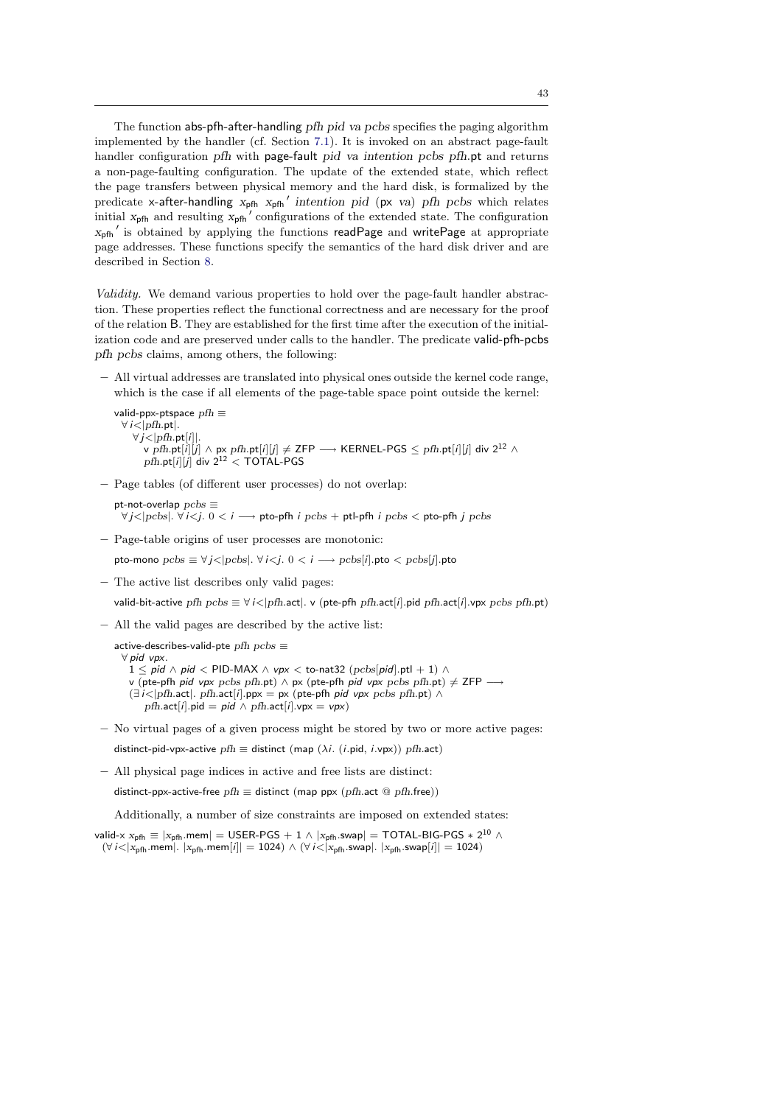The function abs-pfh-after-handling pfh pid va pcbs specifies the paging algorithm implemented by the handler (cf. Section [7.1\)](#page-37-0). It is invoked on an abstract page-fault handler configuration pfh with page-fault pid va intention pcbs pfh.pt and returns a non-page-faulting configuration. The update of the extended state, which reflect the page transfers between physical memory and the hard disk, is formalized by the predicate x-after-handling  $x_{pfh}$   $x_{pfh}'$  intention pid (px va) pfh pcbs which relates initial  $x_{\text{pfh}}$  and resulting  $x_{\text{pfh}}'$  configurations of the extended state. The configuration  $x_{\text{pfh}}'$  is obtained by applying the functions readPage and writePage at appropriate page addresses. These functions specify the semantics of the hard disk driver and are described in Section [8.](#page-43-0)

Validity. We demand various properties to hold over the page-fault handler abstraction. These properties reflect the functional correctness and are necessary for the proof of the relation B. They are established for the first time after the execution of the initialization code and are preserved under calls to the handler. The predicate valid-pfh-pcbs pfh pcbs claims, among others, the following:

– All virtual addresses are translated into physical ones outside the kernel code range, which is the case if all elements of the page-table space point outside the kernel:

valid-ppx-ptspace  $pfh \equiv$  $∀ i < |pfh$ .pt|.  $\forall j < |pfh.$ pt $[i]|$ v pfh.pt $[i][j] \wedge$  px pfh.pt $[i][j] \neq \textsf{ZFP} \longrightarrow \textsf{KERNEL-PGS} \leq p\textsf{fh}$ .pt $[i][j]$  div  $2^{12} \wedge$  $pfh$ .pt $[i][j]$  div  $2^{12} <$  TOTAL-PGS

– Page tables (of different user processes) do not overlap:

pt-not-overlap  $pcbs \equiv$  $\forall j$  < | pcbs|.  $\forall i$  < j. 0 < i → pto-pfh i pcbs + ptl-pfh i pcbs < pto-pfh j pcbs

– Page-table origins of user processes are monotonic:

pto-mono  $pchs \equiv \forall j < |pchs|$ .  $\forall i < j$ .  $0 < i \longrightarrow pchs[i]$ .pto  $\lt pcbs[j]$ .pto

– The active list describes only valid pages:

valid-bit-active pfh  $pcbs \equiv \forall i < |pfh.act|$ . v (pte-pfh pfh.act[i].pid pfh.act[i].vpx pcbs pfh.pt)

– All the valid pages are described by the active list:

active-describes-valid-pte pfh  $pcbs \equiv$ ∀ pid vpx. 1 ≤ pid  $\land$  pid < PID-MAX  $\land$  vpx < to-nat32 (pcbs[pid].ptl + 1)  $\land$ v (pte-pfh pid vpx pcbs pfh.pt)  $\land$  px (pte-pfh pid vpx pcbs pfh.pt)  $\neq$  ZFP  $\longrightarrow$  $(∃ i < |pfh.act|. pfh.act[i].ppx = px (pte-pfh pid vpx pchs pfh.pt) ∧$ pfh.act[i].pid = pid  $\land$  pfh.act[i].vpx = vpx)

– No virtual pages of a given process might be stored by two or more active pages:

distinct-pid-vpx-active  $pfh \equiv$  distinct (map ( $\lambda i$ . (*i*.pid, *i*.vpx)) pfh.act)

– All physical page indices in active and free lists are distinct:

distinct-ppx-active-free pfh  $\equiv$  distinct (map ppx (pfh.act @ pfh.free))

Additionally, a number of size constraints are imposed on extended states:

valid-x  $x_{\sf pfh} \equiv |x_{\sf pfh}$ .mem $| = {\sf USER\text{-}PGS\,} + 1 \land |x_{\sf pfh}.\mathsf{swap}| = {\sf TOTAL\text{-}BIG\text{-}PGS} * 2^{10} \land$  $(\forall i<|x_{\text{pfh}}.$ mem $|.$  | $x_{\text{pfh}}.$ mem $[i]|$  = 1024) ∧ ( $\forall i<|x_{\text{pfh}}.$ swap $|.$  | $x_{\text{pfh}}.$ swap $[i]|$  = 1024)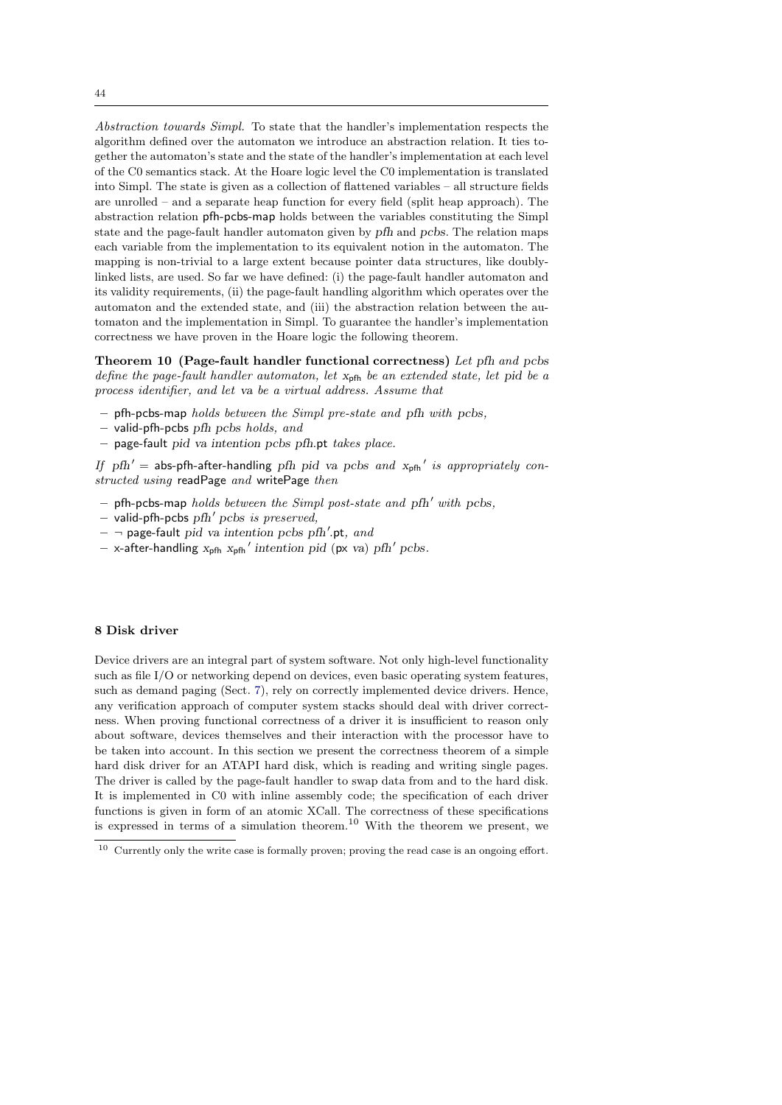Abstraction towards Simpl. To state that the handler's implementation respects the algorithm defined over the automaton we introduce an abstraction relation. It ties together the automaton's state and the state of the handler's implementation at each level of the C0 semantics stack. At the Hoare logic level the C0 implementation is translated into Simpl. The state is given as a collection of flattened variables – all structure fields are unrolled – and a separate heap function for every field (split heap approach). The abstraction relation pfh-pcbs-map holds between the variables constituting the Simpl state and the page-fault handler automaton given by pfh and pcbs. The relation maps each variable from the implementation to its equivalent notion in the automaton. The mapping is non-trivial to a large extent because pointer data structures, like doublylinked lists, are used. So far we have defined: (i) the page-fault handler automaton and its validity requirements, (ii) the page-fault handling algorithm which operates over the automaton and the extended state, and (iii) the abstraction relation between the automaton and the implementation in Simpl. To guarantee the handler's implementation correctness we have proven in the Hoare logic the following theorem.

Theorem 10 (Page-fault handler functional correctness) Let pfh and pcbs define the page-fault handler automaton, let  $x_{pfn}$  be an extended state, let pid be a process identifier, and let va be a virtual address. Assume that

 $-$  pfh-pcbs-map holds between the Simpl pre-state and pfh with pcbs,

- valid-pfh-pcbs pfh pcbs holds, and
- page-fault pid va intention pcbs pfh.pt takes place.

If pfh' = abs-pfh-after-handling pfh pid va pcbs and  $x_{pfn}$ ' is appropriately constructed using readPage and writePage then

- $-$  pfh-pcbs-map holds between the Simpl post-state and pfh' with pcbs,
- valid-pfh-pcbs pfh<sup>'</sup> pcbs is preserved,
- $\neg$  page-fault pid va intention pcbs pfh'.pt, and
- x-after-handling  $x_{\text{pfh}} x_{\text{pfh}}'$  intention pid (px va) pfh' pcbs.

# <span id="page-43-0"></span>8 Disk driver

Device drivers are an integral part of system software. Not only high-level functionality such as file I/O or networking depend on devices, even basic operating system features, such as demand paging (Sect. [7\)](#page-36-0), rely on correctly implemented device drivers. Hence, any verification approach of computer system stacks should deal with driver correctness. When proving functional correctness of a driver it is insufficient to reason only about software, devices themselves and their interaction with the processor have to be taken into account. In this section we present the correctness theorem of a simple hard disk driver for an ATAPI hard disk, which is reading and writing single pages. The driver is called by the page-fault handler to swap data from and to the hard disk. It is implemented in C0 with inline assembly code; the specification of each driver functions is given in form of an atomic XCall. The correctness of these specifications is expressed in terms of a simulation theorem.<sup>10</sup> With the theorem we present, we

 $10$  Currently only the write case is formally proven; proving the read case is an ongoing effort.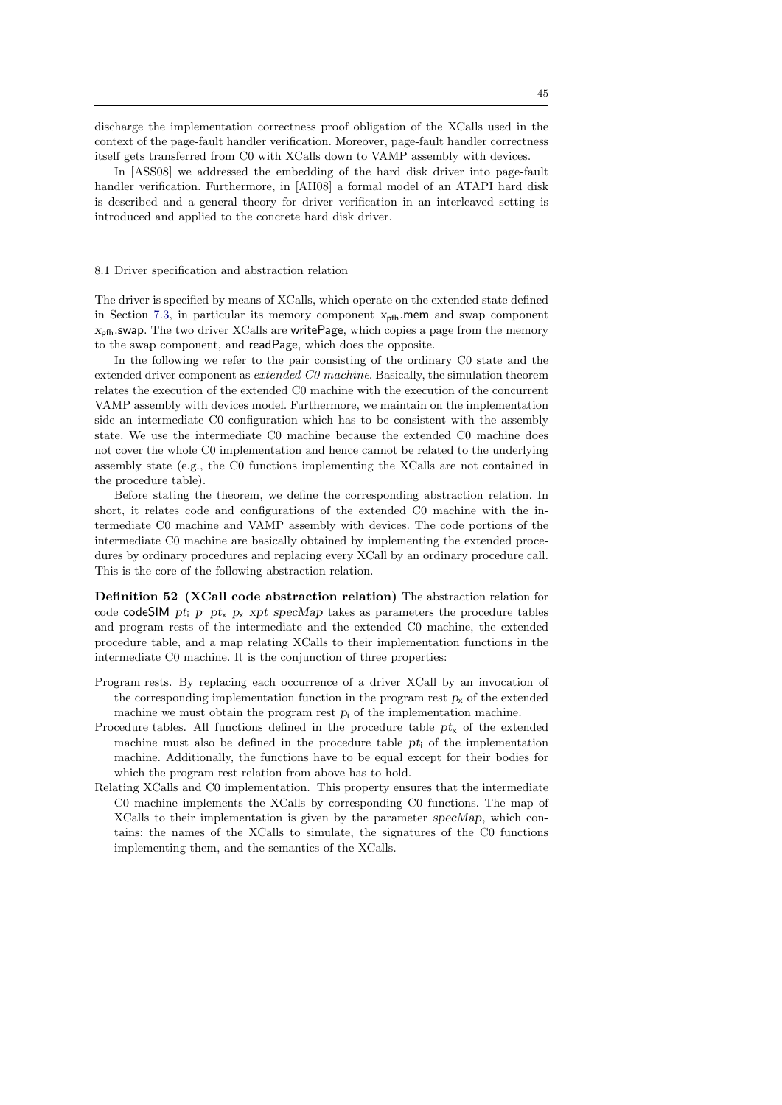discharge the implementation correctness proof obligation of the XCalls used in the context of the page-fault handler verification. Moreover, page-fault handler correctness itself gets transferred from C0 with XCalls down to VAMP assembly with devices.

In [ASS08] we addressed the embedding of the hard disk driver into page-fault handler verification. Furthermore, in [AH08] a formal model of an ATAPI hard disk is described and a general theory for driver verification in an interleaved setting is introduced and applied to the concrete hard disk driver.

#### 8.1 Driver specification and abstraction relation

The driver is specified by means of XCalls, which operate on the extended state defined in Section [7.3,](#page-40-0) in particular its memory component  $x_{\text{off}}$  mem and swap component  $x<sub>ofh</sub>$  swap. The two driver XCalls are writePage, which copies a page from the memory to the swap component, and readPage, which does the opposite.

In the following we refer to the pair consisting of the ordinary C0 state and the extended driver component as *extended C0 machine*. Basically, the simulation theorem relates the execution of the extended C0 machine with the execution of the concurrent VAMP assembly with devices model. Furthermore, we maintain on the implementation side an intermediate C0 configuration which has to be consistent with the assembly state. We use the intermediate C0 machine because the extended C0 machine does not cover the whole C0 implementation and hence cannot be related to the underlying assembly state (e.g., the C0 functions implementing the XCalls are not contained in the procedure table).

Before stating the theorem, we define the corresponding abstraction relation. In short, it relates code and configurations of the extended C0 machine with the intermediate C0 machine and VAMP assembly with devices. The code portions of the intermediate C0 machine are basically obtained by implementing the extended procedures by ordinary procedures and replacing every XCall by an ordinary procedure call. This is the core of the following abstraction relation.

Definition 52 (XCall code abstraction relation) The abstraction relation for code codeSIM pt<sub>i</sub> p<sub>i</sub> pt<sub>x</sub> p<sub>x</sub> xpt specMap takes as parameters the procedure tables and program rests of the intermediate and the extended C0 machine, the extended procedure table, and a map relating XCalls to their implementation functions in the intermediate C0 machine. It is the conjunction of three properties:

- Program rests. By replacing each occurrence of a driver XCall by an invocation of the corresponding implementation function in the program rest  $p<sub>x</sub>$  of the extended machine we must obtain the program rest  $p_i$  of the implementation machine.
- Procedure tables. All functions defined in the procedure table  $pt_x$  of the extended machine must also be defined in the procedure table  $pt_i$  of the implementation machine. Additionally, the functions have to be equal except for their bodies for which the program rest relation from above has to hold.
- Relating XCalls and C0 implementation. This property ensures that the intermediate C0 machine implements the XCalls by corresponding C0 functions. The map of XCalls to their implementation is given by the parameter specMap, which contains: the names of the XCalls to simulate, the signatures of the C0 functions implementing them, and the semantics of the XCalls.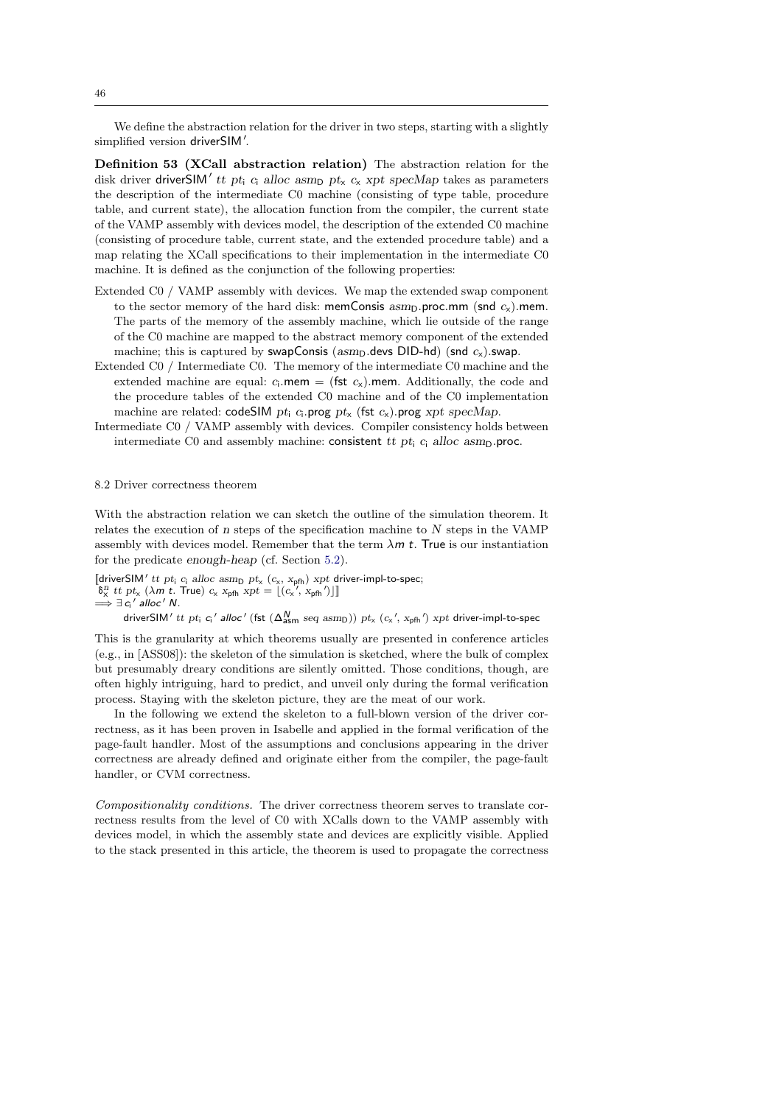We define the abstraction relation for the driver in two steps, starting with a slightly simplified version driverSIM'.

Definition 53 (XCall abstraction relation) The abstraction relation for the disk driver driverSIM' tt pt<sub>i</sub> c<sub>i</sub> alloc asm<sub>D</sub> pt<sub>x</sub> c<sub>x</sub> xpt specMap takes as parameters the description of the intermediate C0 machine (consisting of type table, procedure table, and current state), the allocation function from the compiler, the current state of the VAMP assembly with devices model, the description of the extended C0 machine (consisting of procedure table, current state, and the extended procedure table) and a map relating the XCall specifications to their implementation in the intermediate C0 machine. It is defined as the conjunction of the following properties:

- Extended C0 / VAMP assembly with devices. We map the extended swap component to the sector memory of the hard disk: memConsis  $\alpha s m_D$ .proc.mm (snd  $c_x$ ).mem. The parts of the memory of the assembly machine, which lie outside of the range of the C0 machine are mapped to the abstract memory component of the extended machine; this is captured by swapConsis ( $a_{\text{SMD}}$ .devs DID-hd) (snd  $c_{\text{x}}$ ).swap.
- Extended C0 / Intermediate C0. The memory of the intermediate C0 machine and the extended machine are equal:  $c_i$ .mem = (fst  $c_x$ ).mem. Additionally, the code and the procedure tables of the extended C0 machine and of the C0 implementation machine are related: codeSIM pt<sub>i</sub>  $c_i$ .prog pt<sub>x</sub> (fst  $c_x$ ).prog xpt specMap.
- Intermediate C0 / VAMP assembly with devices. Compiler consistency holds between intermediate C0 and assembly machine: consistent tt pt<sub>i</sub>  $c_i$  alloc asm<sub>p</sub>.proc.

8.2 Driver correctness theorem

With the abstraction relation we can sketch the outline of the simulation theorem. It relates the execution of  $n$  steps of the specification machine to  $N$  steps in the VAMP assembly with devices model. Remember that the term  $\lambda m t$ . True is our instantiation for the predicate enough-heap (cf. Section [5.2\)](#page-27-0).

[driverSIM' tt pt<sub>i</sub> c<sub>i</sub> alloc asm<sub>D</sub> pt<sub>x</sub> (c<sub>x</sub>, x<sub>pfh</sub>) xpt driver-impl-to-spec;  $\delta_{\mathsf{x}}^n$  tt pt<sub>x</sub> ( $\lambda m$  t. True)  $c_{\mathsf{x}}$   $x_{\text{pfh}}$   $xpt = [(c_{\mathsf{x}}', c_{\text{pfh}}')]$  $\Rightarrow$   $\exists$  c<sub>i</sub>' alloc' N.

driverSIM' tt pt<sub>i</sub>  $c_i$ ' alloc' (fst  $(\Delta_{\text{asm}}^N$  seq  $\text{asm_D}))$  pt<sub>x</sub>  $(c_\text{x}', x_\text{pfh}')$  xpt driver-impl-to-spec

This is the granularity at which theorems usually are presented in conference articles (e.g., in [ASS08]): the skeleton of the simulation is sketched, where the bulk of complex but presumably dreary conditions are silently omitted. Those conditions, though, are often highly intriguing, hard to predict, and unveil only during the formal verification process. Staying with the skeleton picture, they are the meat of our work.

In the following we extend the skeleton to a full-blown version of the driver correctness, as it has been proven in Isabelle and applied in the formal verification of the page-fault handler. Most of the assumptions and conclusions appearing in the driver correctness are already defined and originate either from the compiler, the page-fault handler, or CVM correctness.

Compositionality conditions. The driver correctness theorem serves to translate correctness results from the level of C0 with XCalls down to the VAMP assembly with devices model, in which the assembly state and devices are explicitly visible. Applied to the stack presented in this article, the theorem is used to propagate the correctness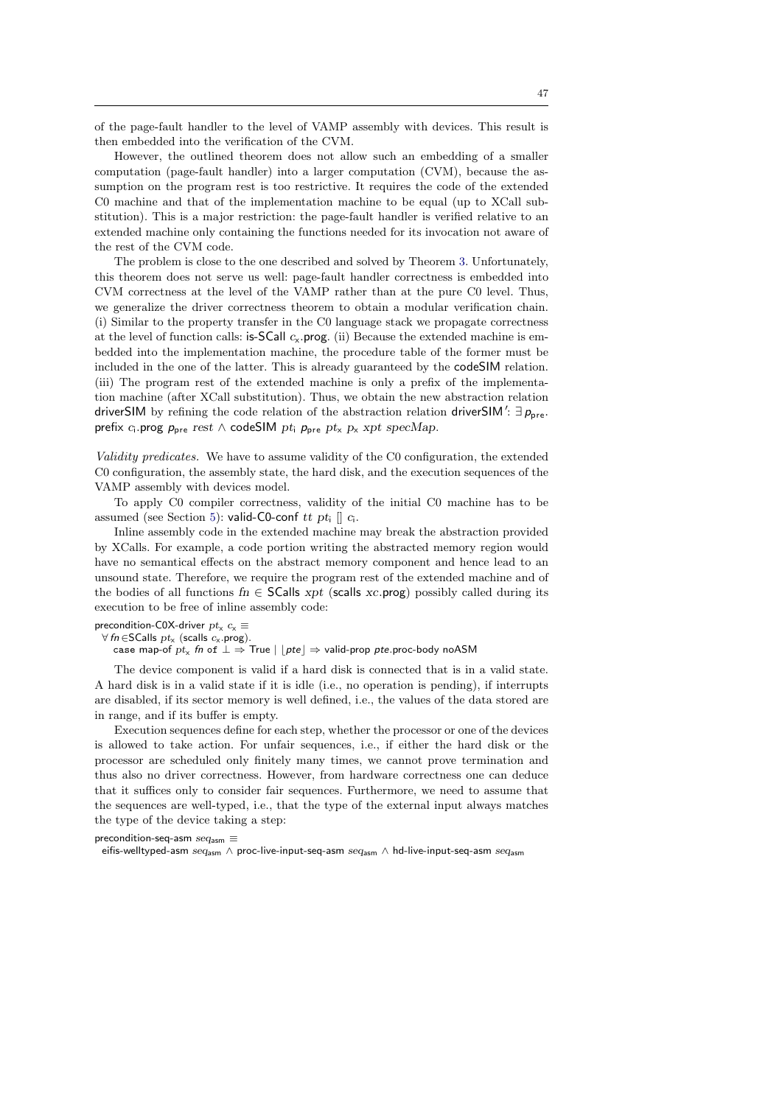of the page-fault handler to the level of VAMP assembly with devices. This result is then embedded into the verification of the CVM.

However, the outlined theorem does not allow such an embedding of a smaller computation (page-fault handler) into a larger computation (CVM), because the assumption on the program rest is too restrictive. It requires the code of the extended C0 machine and that of the implementation machine to be equal (up to XCall substitution). This is a major restriction: the page-fault handler is verified relative to an extended machine only containing the functions needed for its invocation not aware of the rest of the CVM code.

The problem is close to the one described and solved by Theorem [3.](#page-17-1) Unfortunately, this theorem does not serve us well: page-fault handler correctness is embedded into CVM correctness at the level of the VAMP rather than at the pure C0 level. Thus, we generalize the driver correctness theorem to obtain a modular verification chain. (i) Similar to the property transfer in the C0 language stack we propagate correctness at the level of function calls: is-SCall  $c_x$ .prog. (ii) Because the extended machine is embedded into the implementation machine, the procedure table of the former must be included in the one of the latter. This is already guaranteed by the codeSIM relation. (iii) The program rest of the extended machine is only a prefix of the implementation machine (after XCall substitution). Thus, we obtain the new abstraction relation driverSIM by refining the code relation of the abstraction relation driverSIM':  $\exists p_{pre}$ . prefix c<sub>i</sub>.prog  $p_{pre}$  rest  $\wedge$  codeSIM pt<sub>i</sub>  $p_{pre}$  pt<sub>x</sub>  $p_x$  xpt specMap.

Validity predicates. We have to assume validity of the C0 configuration, the extended C0 configuration, the assembly state, the hard disk, and the execution sequences of the VAMP assembly with devices model.

To apply C0 compiler correctness, validity of the initial C0 machine has to be assumed (see Section [5\)](#page-24-0): valid-C0-conf tt pt<sub>i</sub>  $[]$  c<sub>i</sub>.

Inline assembly code in the extended machine may break the abstraction provided by XCalls. For example, a code portion writing the abstracted memory region would have no semantical effects on the abstract memory component and hence lead to an unsound state. Therefore, we require the program rest of the extended machine and of the bodies of all functions  $fn \in \mathsf{SCalls}$  xpt (scalls xc.prog) possibly called during its execution to be free of inline assembly code:

```
precondition-C0X-driver pt_x c_x \equiv
```
 $\forall$  fn ∈SCalls  $pt_x$  (scalls  $c_x$ .prog).

case map-of  $pt_x$  fn of  $\bot \Rightarrow$  True  $| \$ pte $| \Rightarrow$  valid-prop pte.proc-body noASM

The device component is valid if a hard disk is connected that is in a valid state. A hard disk is in a valid state if it is idle (i.e., no operation is pending), if interrupts are disabled, if its sector memory is well defined, i.e., the values of the data stored are in range, and if its buffer is empty.

Execution sequences define for each step, whether the processor or one of the devices is allowed to take action. For unfair sequences, i.e., if either the hard disk or the processor are scheduled only finitely many times, we cannot prove termination and thus also no driver correctness. However, from hardware correctness one can deduce that it suffices only to consider fair sequences. Furthermore, we need to assume that the sequences are well-typed, i.e., that the type of the external input always matches the type of the device taking a step:

precondition-seq-asm  $seq_{\text{asm}} \equiv$ 

eifis-welltyped-asm seq<sub>asm</sub>  $\land$  proc-live-input-seq-asm seq<sub>asm</sub>  $\land$  hd-live-input-seq-asm seq<sub>asm</sub>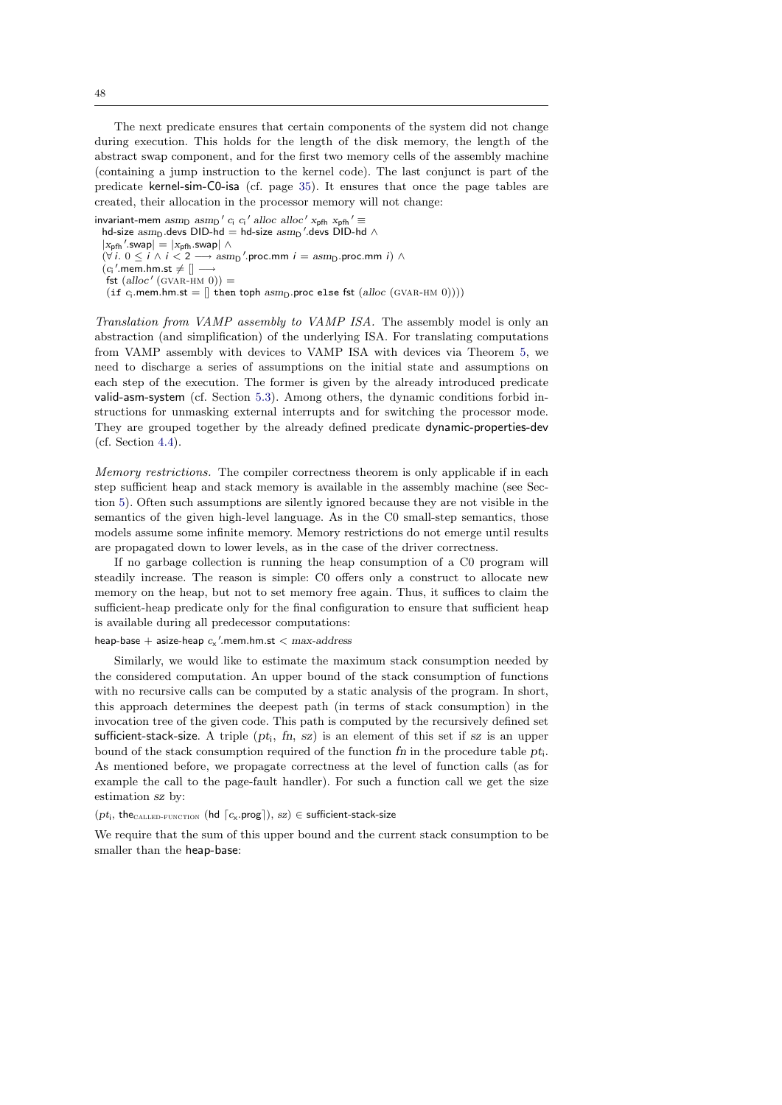The next predicate ensures that certain components of the system did not change during execution. This holds for the length of the disk memory, the length of the abstract swap component, and for the first two memory cells of the assembly machine (containing a jump instruction to the kernel code). The last conjunct is part of the predicate kernel-sim-C0-isa (cf. page [35\)](#page-34-1). It ensures that once the page tables are created, their allocation in the processor memory will not change:

invariant-mem  $a_{\text{SMD}}$   $a_{\text{SMD}}'$   $c_i$   $c_i'$  alloc alloc'  $x_{\text{pfh}}$   $x_{\text{pfh}}' \equiv$ hd-size  $\text{asm}_\text{D}$ .devs DID-hd = hd-size  $\text{asm}_\text{D}'$ .devs DID-hd  $\land$  $|x_{\text{pfh}}$ '.swap $|=|x_{\text{pfh}}$ .swap $|\wedge$  $(\forall i. 0 \le i \land i < 2 \longrightarrow \text{asm}_D'.$ proc.mm  $i = \text{asm}_D.\text{proc.mm } i) \land$  $(c_i$ '.mem.hm.st  $\neq$  [] → fst  $(alloc'$  (GVAR-HM 0)) =  $(if c_i. mem.hm.st = [] then tophasm_D.proc elsefst (alloc (GVAR-HM 0))))$ 

Translation from VAMP assembly to VAMP ISA. The assembly model is only an abstraction (and simplification) of the underlying ISA. For translating computations from VAMP assembly with devices to VAMP ISA with devices via Theorem [5,](#page-24-2) we need to discharge a series of assumptions on the initial state and assumptions on each step of the execution. The former is given by the already introduced predicate valid-asm-system (cf. Section [5.3\)](#page-29-1). Among others, the dynamic conditions forbid instructions for unmasking external interrupts and for switching the processor mode. They are grouped together by the already defined predicate dynamic-properties-dev (cf. Section [4.4\)](#page-21-0).

Memory restrictions. The compiler correctness theorem is only applicable if in each step sufficient heap and stack memory is available in the assembly machine (see Section [5\)](#page-24-0). Often such assumptions are silently ignored because they are not visible in the semantics of the given high-level language. As in the C0 small-step semantics, those models assume some infinite memory. Memory restrictions do not emerge until results are propagated down to lower levels, as in the case of the driver correctness.

If no garbage collection is running the heap consumption of a C0 program will steadily increase. The reason is simple: C0 offers only a construct to allocate new memory on the heap, but not to set memory free again. Thus, it suffices to claim the sufficient-heap predicate only for the final configuration to ensure that sufficient heap is available during all predecessor computations:

heap-base  $+$  asize-heap  $c_{\mathsf{x}}'$ .mem.hm.st  $<$   $max\text{-}address$ 

Similarly, we would like to estimate the maximum stack consumption needed by the considered computation. An upper bound of the stack consumption of functions with no recursive calls can be computed by a static analysis of the program. In short, this approach determines the deepest path (in terms of stack consumption) in the invocation tree of the given code. This path is computed by the recursively defined set sufficient-stack-size. A triple  $(pt_i, fn, sz)$  is an element of this set if sz is an upper bound of the stack consumption required of the function  $fn$  in the procedure table  $pt_i$ . As mentioned before, we propagate correctness at the level of function calls (as for example the call to the page-fault handler). For such a function call we get the size estimation sz by:

#### $(pt_i, the$ <sub>CALLED-FUNCTION</sub>  $(hd \mid c_x.\textsf{prog}]),$   $sz) \in sufficient\textsf{-stack-size}$

We require that the sum of this upper bound and the current stack consumption to be smaller than the heap-base: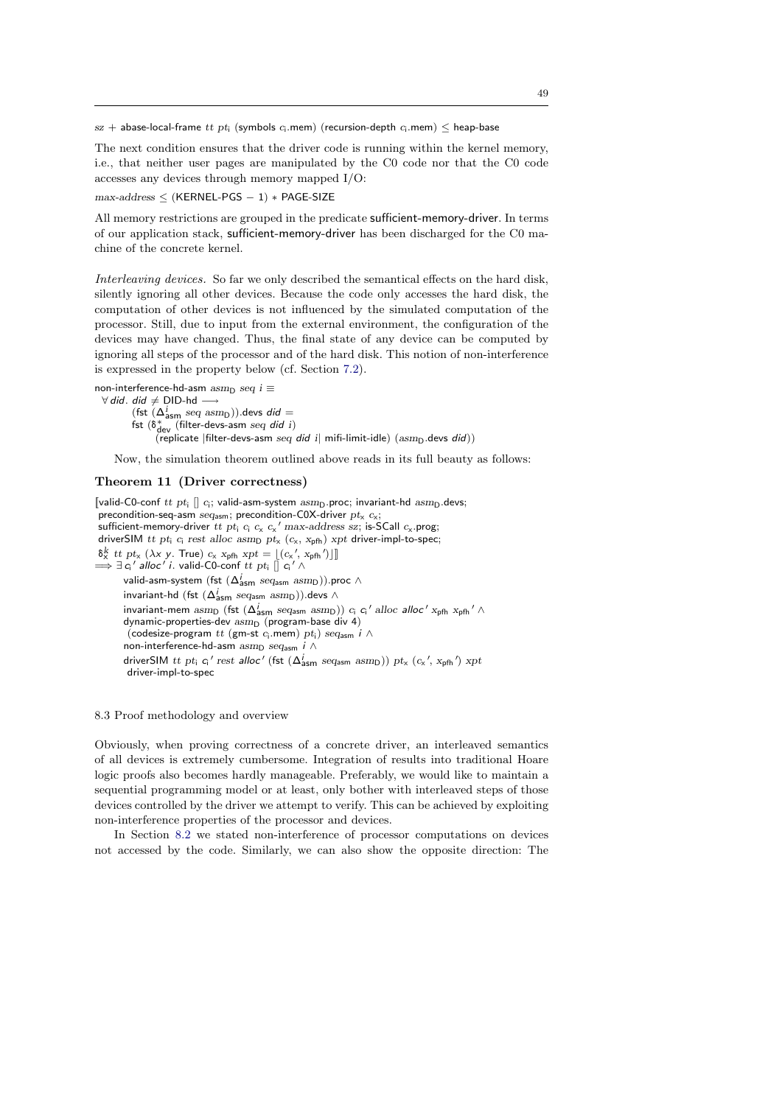$\mathit{sz} +$  abase-local-frame  $\mathit{tt}$   $\mathit{pt}_\mathsf{i}$  (symbols  $\mathit{c}_\mathsf{i}$ .mem) (recursion-depth  $\mathit{c}_\mathsf{i}$ .mem)  $\leq$  heap-base

The next condition ensures that the driver code is running within the kernel memory, i.e., that neither user pages are manipulated by the C0 code nor that the C0 code accesses any devices through memory mapped I/O:

 $max\text{-}address$  ≤ (KERNEL-PGS  $-1$ ) \* PAGE-SIZE

All memory restrictions are grouped in the predicate sufficient-memory-driver. In terms of our application stack, sufficient-memory-driver has been discharged for the C0 machine of the concrete kernel.

<span id="page-48-1"></span>Interleaving devices. So far we only described the semantical effects on the hard disk, silently ignoring all other devices. Because the code only accesses the hard disk, the computation of other devices is not influenced by the simulated computation of the processor. Still, due to input from the external environment, the configuration of the devices may have changed. Thus, the final state of any device can be computed by ignoring all steps of the processor and of the hard disk. This notion of non-interference is expressed in the property below (cf. Section [7.2\)](#page-37-1).

non-interference-hd-asm  $asm<sub>D</sub> seq i \equiv$  $\forall$  did. did  $\neq$  DID-hd –  $(\mathsf{fst}\;(\Delta_\mathsf{asm}\;seq\;asm_\mathsf{D}))$ .devs did = fst  $(\delta_{\text{dev}}^*$  (filter-devs-asm seq did i) (replicate |filter-devs-asm seq did i| mifi-limit-idle)  $(a s m_D.d e v s d id)$ )

<span id="page-48-0"></span>Now, the simulation theorem outlined above reads in its full beauty as follows:

# Theorem 11 (Driver correctness)

[valid-C0-conf  $tt$   $pt_i$  []  $c_i$ ; valid-asm-system  $asm_D$ .proc; invariant-hd  $asm_D$ .devs; precondition-seq-asm  $seq_{\text{asm}}$ ; precondition-C0X-driver  $pt_{\text{x}}$   $c_{\text{x}}$ ; sufficient-memory-driver  $tt$   $pt$ <sub>i</sub>  $c$ <sub>i</sub>  $c$ <sub>x</sub>  $c$ <sub>x</sub> $'$   $max$ -address sz; is-SCall  $c$ <sub>x</sub>.prog; driverSIM tt pt<sub>i</sub>  $c_i$  rest alloc asm<sub>D</sub> pt<sub>x</sub> ( $c_x$ ,  $x_{\text{pfh}}$ ) xpt driver-impl-to-spec;  $\delta_{\mathsf{x}}^k$  *tt pt*<sub>x</sub> (λx y. True)  $c_{\mathsf{x}}$  x<sub>pfh</sub> xpt =  $\lfloor (c_{\mathsf{x}}', x_{\mathsf{pfh}}') \rfloor \rfloor$  $\Rightarrow$   $\exists$  c<sub>i</sub>' alloc' i. valid-C0-conf tt pt<sub>i</sub>  $\left[\right]$  c<sub>i</sub>'  $\wedge$ valid-asm-system (fst  $(\Delta_{\mathsf{asm}}^i\;seq_{\mathsf{asm}}\;asm_{\mathsf{D}})).$ proc  $\wedge$ invariant-hd (fst  $(\Delta_{\mathsf{asm}}^i\;seq_{\mathsf{asm}}\;asm_{\mathsf{D}})).$ devs  $\wedge$ invariant-mem  $a s m_D$  (fst  $(\Delta_{\text{asm}}^i \, seq_{\text{asm}} \, a s m_D))$   $c_i$   $c_i'$  alloc alloc'  $x_{\text{pfh}}$   $x_{\text{pfh}}'$   $\wedge$ dynamic-properties-dev  $a_{\text{SMD}}$  (program-base div 4)  $(\mathsf{codesize}\text{-}\mathsf{program}\; t t \; (\mathsf{gm}\text{-}\mathsf{st}\; c_\mathsf{i}.\mathsf{mem}) \; pt_\mathsf{i}) \; seq_\mathsf{asm} \; i \land$ non-interference-hd-asm  $a s m_D$  seqasm i  $\wedge$ driverSIM tt pt<sub>i</sub>  $c_i$ ' rest alloc' (fst  $(\Delta_{\text{asm}}^i \; seg_{\text{asm}} \; asym_D))$  pt<sub>x</sub>  $(c_x', x_{\text{pfh}}')$  xpt driver-impl-to-spec

#### 8.3 Proof methodology and overview

Obviously, when proving correctness of a concrete driver, an interleaved semantics of all devices is extremely cumbersome. Integration of results into traditional Hoare logic proofs also becomes hardly manageable. Preferably, we would like to maintain a sequential programming model or at least, only bother with interleaved steps of those devices controlled by the driver we attempt to verify. This can be achieved by exploiting non-interference properties of the processor and devices.

In Section [8.2](#page-48-1) we stated non-interference of processor computations on devices not accessed by the code. Similarly, we can also show the opposite direction: The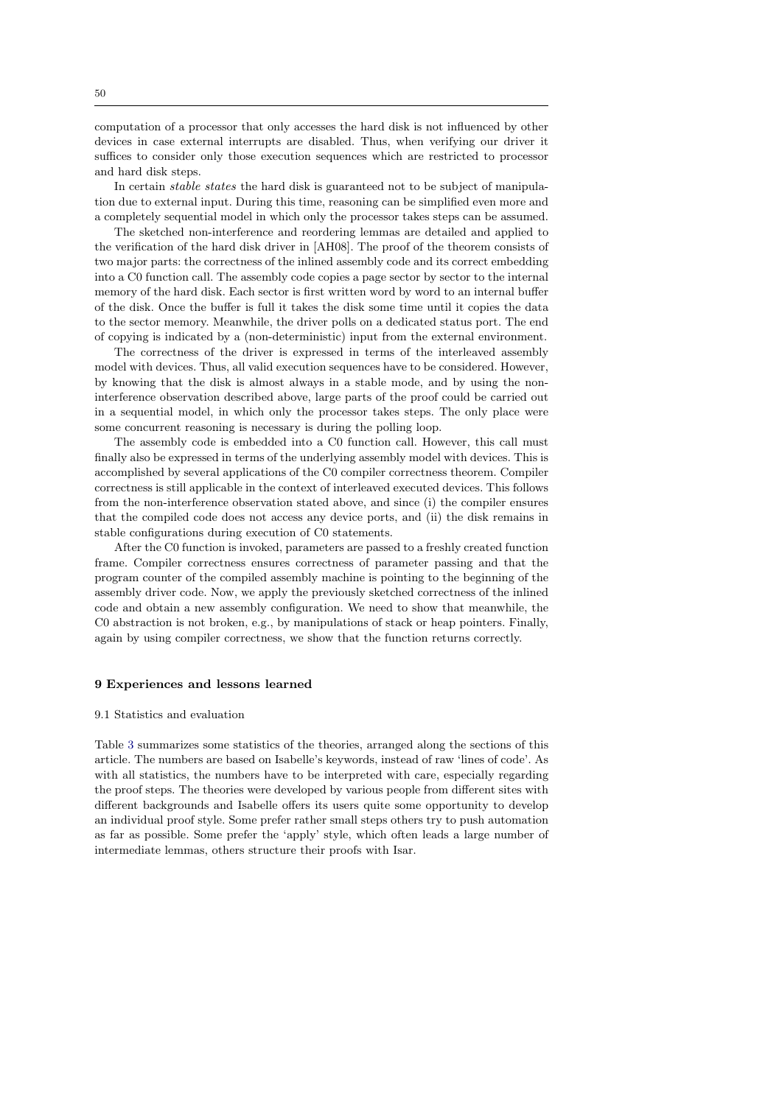computation of a processor that only accesses the hard disk is not influenced by other devices in case external interrupts are disabled. Thus, when verifying our driver it suffices to consider only those execution sequences which are restricted to processor and hard disk steps.

In certain stable states the hard disk is guaranteed not to be subject of manipulation due to external input. During this time, reasoning can be simplified even more and a completely sequential model in which only the processor takes steps can be assumed.

The sketched non-interference and reordering lemmas are detailed and applied to the verification of the hard disk driver in [AH08]. The proof of the theorem consists of two major parts: the correctness of the inlined assembly code and its correct embedding into a C0 function call. The assembly code copies a page sector by sector to the internal memory of the hard disk. Each sector is first written word by word to an internal buffer of the disk. Once the buffer is full it takes the disk some time until it copies the data to the sector memory. Meanwhile, the driver polls on a dedicated status port. The end of copying is indicated by a (non-deterministic) input from the external environment.

The correctness of the driver is expressed in terms of the interleaved assembly model with devices. Thus, all valid execution sequences have to be considered. However, by knowing that the disk is almost always in a stable mode, and by using the noninterference observation described above, large parts of the proof could be carried out in a sequential model, in which only the processor takes steps. The only place were some concurrent reasoning is necessary is during the polling loop.

The assembly code is embedded into a C0 function call. However, this call must finally also be expressed in terms of the underlying assembly model with devices. This is accomplished by several applications of the C0 compiler correctness theorem. Compiler correctness is still applicable in the context of interleaved executed devices. This follows from the non-interference observation stated above, and since (i) the compiler ensures that the compiled code does not access any device ports, and (ii) the disk remains in stable configurations during execution of C0 statements.

After the C0 function is invoked, parameters are passed to a freshly created function frame. Compiler correctness ensures correctness of parameter passing and that the program counter of the compiled assembly machine is pointing to the beginning of the assembly driver code. Now, we apply the previously sketched correctness of the inlined code and obtain a new assembly configuration. We need to show that meanwhile, the C0 abstraction is not broken, e.g., by manipulations of stack or heap pointers. Finally, again by using compiler correctness, we show that the function returns correctly.

# <span id="page-49-0"></span>9 Experiences and lessons learned

# <span id="page-49-1"></span>9.1 Statistics and evaluation

Table [3](#page-41-0) summarizes some statistics of the theories, arranged along the sections of this article. The numbers are based on Isabelle's keywords, instead of raw 'lines of code'. As with all statistics, the numbers have to be interpreted with care, especially regarding the proof steps. The theories were developed by various people from different sites with different backgrounds and Isabelle offers its users quite some opportunity to develop an individual proof style. Some prefer rather small steps others try to push automation as far as possible. Some prefer the 'apply' style, which often leads a large number of intermediate lemmas, others structure their proofs with Isar.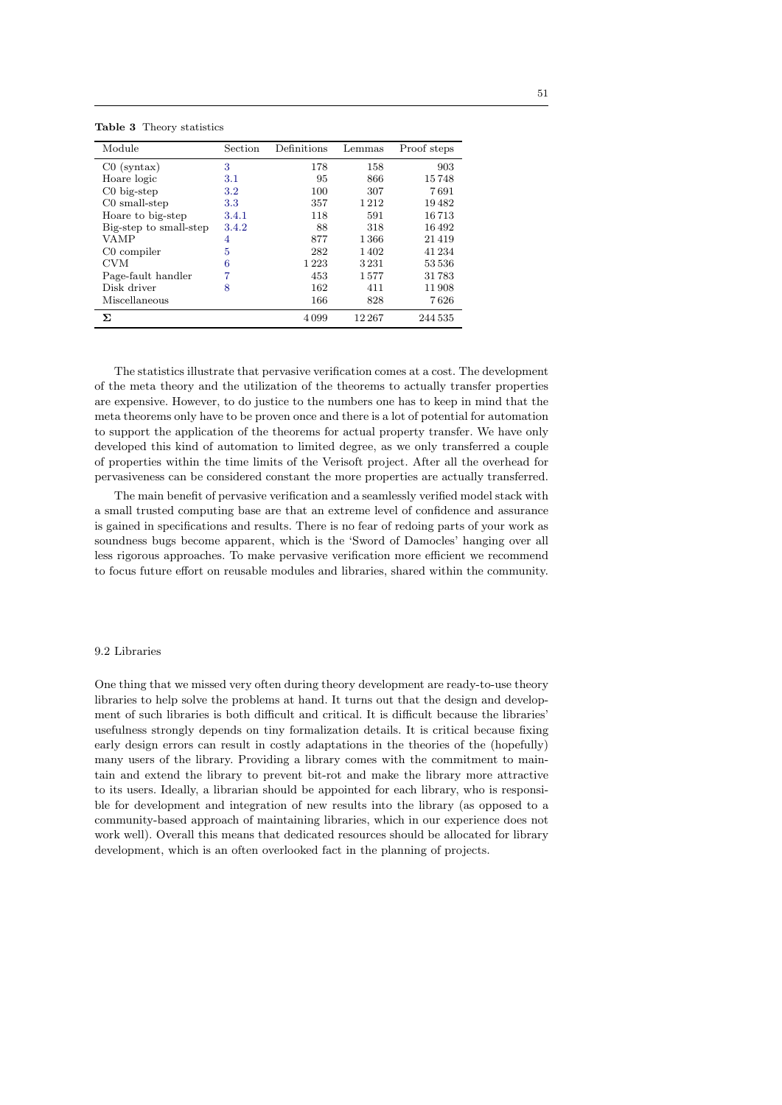|  |  | <b>Table 3</b> Theory statistics |
|--|--|----------------------------------|
|--|--|----------------------------------|

| Module                  | Section | Definitions | Lemmas | Proof steps |
|-------------------------|---------|-------------|--------|-------------|
| $CO$ (syntax)           | 3       | 178         | 158    | 903         |
| Hoare logic             | 3.1     | 95          | 866    | 15748       |
| $C0$ big-step           | $3.2\,$ | 100         | 307    | 7691        |
| $CO$ small-step         | 3.3     | 357         | 1212   | 19482       |
| Hoare to big-step       | 3.4.1   | 118         | 591    | 16713       |
| Big-step to small-step  | 3.4.2   | 88          | 318    | 16492       |
| VAMP                    | 4       | 877         | 1366   | 21419       |
| C <sub>0</sub> compiler | 5       | 282         | 1402   | 41 234      |
| <b>CVM</b>              | 6       | 1223        | 3231   | 53536       |
| Page-fault handler      |         | 453         | 1577   | 31783       |
| Disk driver             | 8       | 162         | 411    | 11908       |
| Miscellaneous           |         | 166         | 828    | 7626        |
| Σ                       |         | 4099        | 12 267 | 244535      |

The statistics illustrate that pervasive verification comes at a cost. The development of the meta theory and the utilization of the theorems to actually transfer properties are expensive. However, to do justice to the numbers one has to keep in mind that the meta theorems only have to be proven once and there is a lot of potential for automation to support the application of the theorems for actual property transfer. We have only developed this kind of automation to limited degree, as we only transferred a couple of properties within the time limits of the Verisoft project. After all the overhead for pervasiveness can be considered constant the more properties are actually transferred.

The main benefit of pervasive verification and a seamlessly verified model stack with a small trusted computing base are that an extreme level of confidence and assurance is gained in specifications and results. There is no fear of redoing parts of your work as soundness bugs become apparent, which is the 'Sword of Damocles' hanging over all less rigorous approaches. To make pervasive verification more efficient we recommend to focus future effort on reusable modules and libraries, shared within the community.

#### 9.2 Libraries

One thing that we missed very often during theory development are ready-to-use theory libraries to help solve the problems at hand. It turns out that the design and development of such libraries is both difficult and critical. It is difficult because the libraries' usefulness strongly depends on tiny formalization details. It is critical because fixing early design errors can result in costly adaptations in the theories of the (hopefully) many users of the library. Providing a library comes with the commitment to maintain and extend the library to prevent bit-rot and make the library more attractive to its users. Ideally, a librarian should be appointed for each library, who is responsible for development and integration of new results into the library (as opposed to a community-based approach of maintaining libraries, which in our experience does not work well). Overall this means that dedicated resources should be allocated for library development, which is an often overlooked fact in the planning of projects.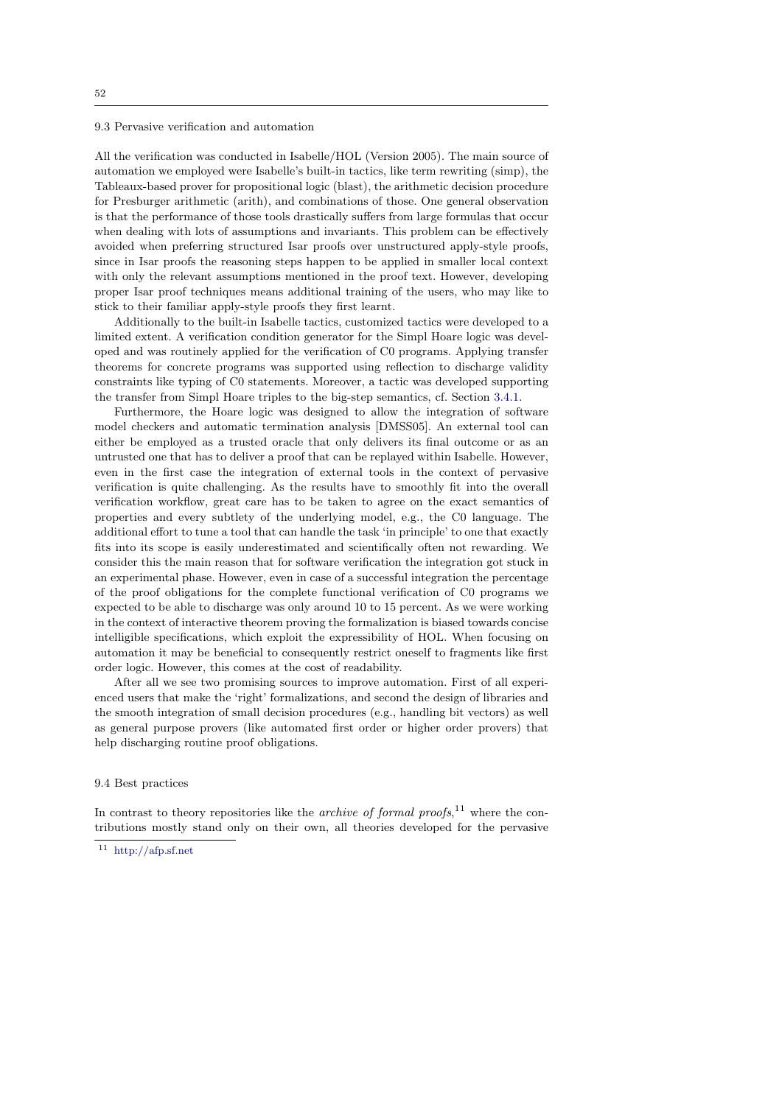9.3 Pervasive verification and automation

All the verification was conducted in Isabelle/HOL (Version 2005). The main source of automation we employed were Isabelle's built-in tactics, like term rewriting (simp), the Tableaux-based prover for propositional logic (blast), the arithmetic decision procedure for Presburger arithmetic (arith), and combinations of those. One general observation is that the performance of those tools drastically suffers from large formulas that occur when dealing with lots of assumptions and invariants. This problem can be effectively avoided when preferring structured Isar proofs over unstructured apply-style proofs, since in Isar proofs the reasoning steps happen to be applied in smaller local context with only the relevant assumptions mentioned in the proof text. However, developing proper Isar proof techniques means additional training of the users, who may like to stick to their familiar apply-style proofs they first learnt.

Additionally to the built-in Isabelle tactics, customized tactics were developed to a limited extent. A verification condition generator for the Simpl Hoare logic was developed and was routinely applied for the verification of C0 programs. Applying transfer theorems for concrete programs was supported using reflection to discharge validity constraints like typing of C0 statements. Moreover, a tactic was developed supporting the transfer from Simpl Hoare triples to the big-step semantics, cf. Section [3.4.1.](#page-12-0)

Furthermore, the Hoare logic was designed to allow the integration of software model checkers and automatic termination analysis [DMSS05]. An external tool can either be employed as a trusted oracle that only delivers its final outcome or as an untrusted one that has to deliver a proof that can be replayed within Isabelle. However, even in the first case the integration of external tools in the context of pervasive verification is quite challenging. As the results have to smoothly fit into the overall verification workflow, great care has to be taken to agree on the exact semantics of properties and every subtlety of the underlying model, e.g., the C0 language. The additional effort to tune a tool that can handle the task 'in principle' to one that exactly fits into its scope is easily underestimated and scientifically often not rewarding. We consider this the main reason that for software verification the integration got stuck in an experimental phase. However, even in case of a successful integration the percentage of the proof obligations for the complete functional verification of C0 programs we expected to be able to discharge was only around 10 to 15 percent. As we were working in the context of interactive theorem proving the formalization is biased towards concise intelligible specifications, which exploit the expressibility of HOL. When focusing on automation it may be beneficial to consequently restrict oneself to fragments like first order logic. However, this comes at the cost of readability.

After all we see two promising sources to improve automation. First of all experienced users that make the 'right' formalizations, and second the design of libraries and the smooth integration of small decision procedures (e.g., handling bit vectors) as well as general purpose provers (like automated first order or higher order provers) that help discharging routine proof obligations.

#### 9.4 Best practices

In contrast to theory repositories like the *archive* of formal proofs,  $11$  where the contributions mostly stand only on their own, all theories developed for the pervasive

<sup>11</sup> <http://afp.sf.net>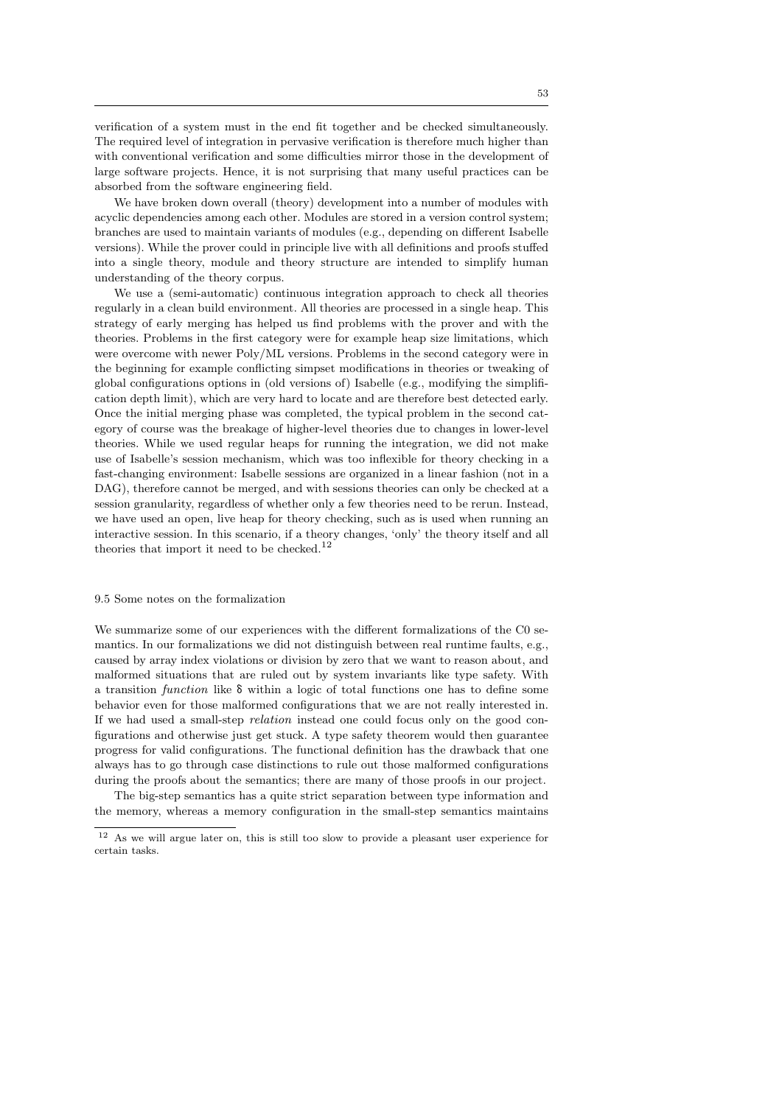verification of a system must in the end fit together and be checked simultaneously. The required level of integration in pervasive verification is therefore much higher than with conventional verification and some difficulties mirror those in the development of large software projects. Hence, it is not surprising that many useful practices can be absorbed from the software engineering field.

We have broken down overall (theory) development into a number of modules with acyclic dependencies among each other. Modules are stored in a version control system; branches are used to maintain variants of modules (e.g., depending on different Isabelle versions). While the prover could in principle live with all definitions and proofs stuffed into a single theory, module and theory structure are intended to simplify human understanding of the theory corpus.

We use a (semi-automatic) continuous integration approach to check all theories regularly in a clean build environment. All theories are processed in a single heap. This strategy of early merging has helped us find problems with the prover and with the theories. Problems in the first category were for example heap size limitations, which were overcome with newer Poly/ML versions. Problems in the second category were in the beginning for example conflicting simpset modifications in theories or tweaking of global configurations options in (old versions of) Isabelle (e.g., modifying the simplification depth limit), which are very hard to locate and are therefore best detected early. Once the initial merging phase was completed, the typical problem in the second category of course was the breakage of higher-level theories due to changes in lower-level theories. While we used regular heaps for running the integration, we did not make use of Isabelle's session mechanism, which was too inflexible for theory checking in a fast-changing environment: Isabelle sessions are organized in a linear fashion (not in a DAG), therefore cannot be merged, and with sessions theories can only be checked at a session granularity, regardless of whether only a few theories need to be rerun. Instead, we have used an open, live heap for theory checking, such as is used when running an interactive session. In this scenario, if a theory changes, 'only' the theory itself and all theories that import it need to be checked.<sup>12</sup>

#### 9.5 Some notes on the formalization

We summarize some of our experiences with the different formalizations of the C0 semantics. In our formalizations we did not distinguish between real runtime faults, e.g., caused by array index violations or division by zero that we want to reason about, and malformed situations that are ruled out by system invariants like type safety. With a transition *function* like  $\delta$  within a logic of total functions one has to define some behavior even for those malformed configurations that we are not really interested in. If we had used a small-step relation instead one could focus only on the good configurations and otherwise just get stuck. A type safety theorem would then guarantee progress for valid configurations. The functional definition has the drawback that one always has to go through case distinctions to rule out those malformed configurations during the proofs about the semantics; there are many of those proofs in our project.

The big-step semantics has a quite strict separation between type information and the memory, whereas a memory configuration in the small-step semantics maintains

<sup>12</sup> As we will argue later on, this is still too slow to provide a pleasant user experience for certain tasks.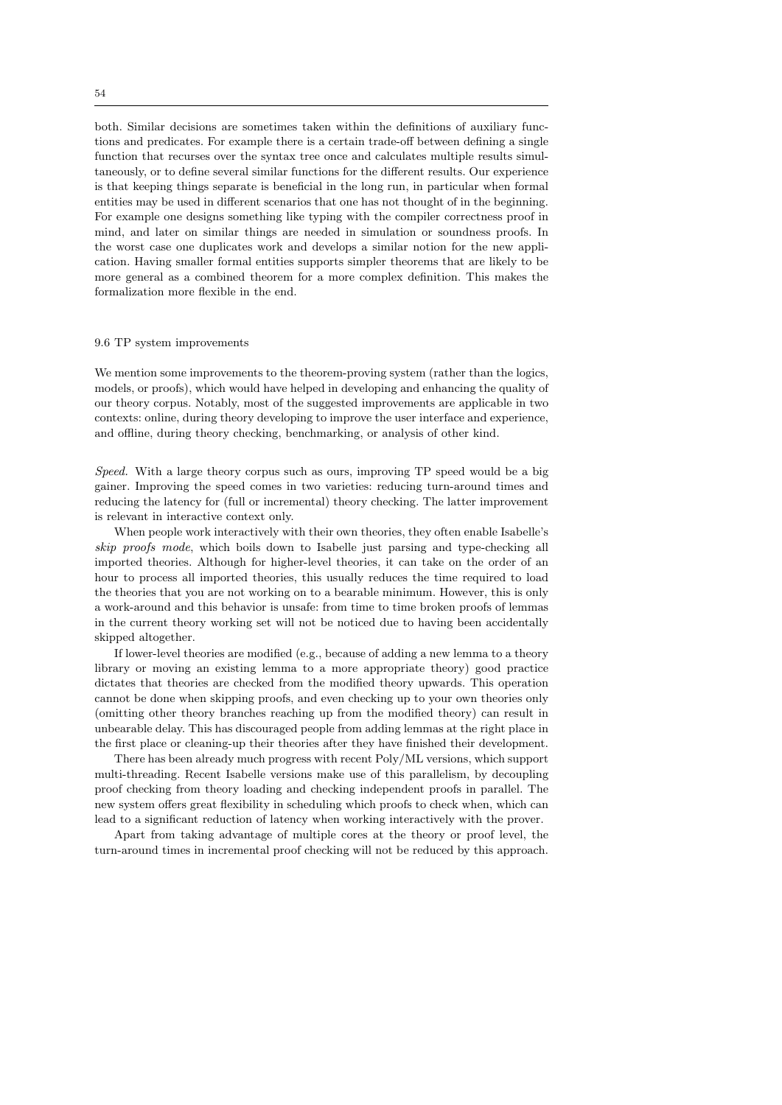both. Similar decisions are sometimes taken within the definitions of auxiliary functions and predicates. For example there is a certain trade-off between defining a single function that recurses over the syntax tree once and calculates multiple results simultaneously, or to define several similar functions for the different results. Our experience is that keeping things separate is beneficial in the long run, in particular when formal entities may be used in different scenarios that one has not thought of in the beginning. For example one designs something like typing with the compiler correctness proof in mind, and later on similar things are needed in simulation or soundness proofs. In the worst case one duplicates work and develops a similar notion for the new application. Having smaller formal entities supports simpler theorems that are likely to be more general as a combined theorem for a more complex definition. This makes the formalization more flexible in the end.

#### 9.6 TP system improvements

We mention some improvements to the theorem-proving system (rather than the logics, models, or proofs), which would have helped in developing and enhancing the quality of our theory corpus. Notably, most of the suggested improvements are applicable in two contexts: online, during theory developing to improve the user interface and experience, and offline, during theory checking, benchmarking, or analysis of other kind.

Speed. With a large theory corpus such as ours, improving TP speed would be a big gainer. Improving the speed comes in two varieties: reducing turn-around times and reducing the latency for (full or incremental) theory checking. The latter improvement is relevant in interactive context only.

When people work interactively with their own theories, they often enable Isabelle's skip proofs mode, which boils down to Isabelle just parsing and type-checking all imported theories. Although for higher-level theories, it can take on the order of an hour to process all imported theories, this usually reduces the time required to load the theories that you are not working on to a bearable minimum. However, this is only a work-around and this behavior is unsafe: from time to time broken proofs of lemmas in the current theory working set will not be noticed due to having been accidentally skipped altogether.

If lower-level theories are modified (e.g., because of adding a new lemma to a theory library or moving an existing lemma to a more appropriate theory) good practice dictates that theories are checked from the modified theory upwards. This operation cannot be done when skipping proofs, and even checking up to your own theories only (omitting other theory branches reaching up from the modified theory) can result in unbearable delay. This has discouraged people from adding lemmas at the right place in the first place or cleaning-up their theories after they have finished their development.

There has been already much progress with recent Poly/ML versions, which support multi-threading. Recent Isabelle versions make use of this parallelism, by decoupling proof checking from theory loading and checking independent proofs in parallel. The new system offers great flexibility in scheduling which proofs to check when, which can lead to a significant reduction of latency when working interactively with the prover.

Apart from taking advantage of multiple cores at the theory or proof level, the turn-around times in incremental proof checking will not be reduced by this approach.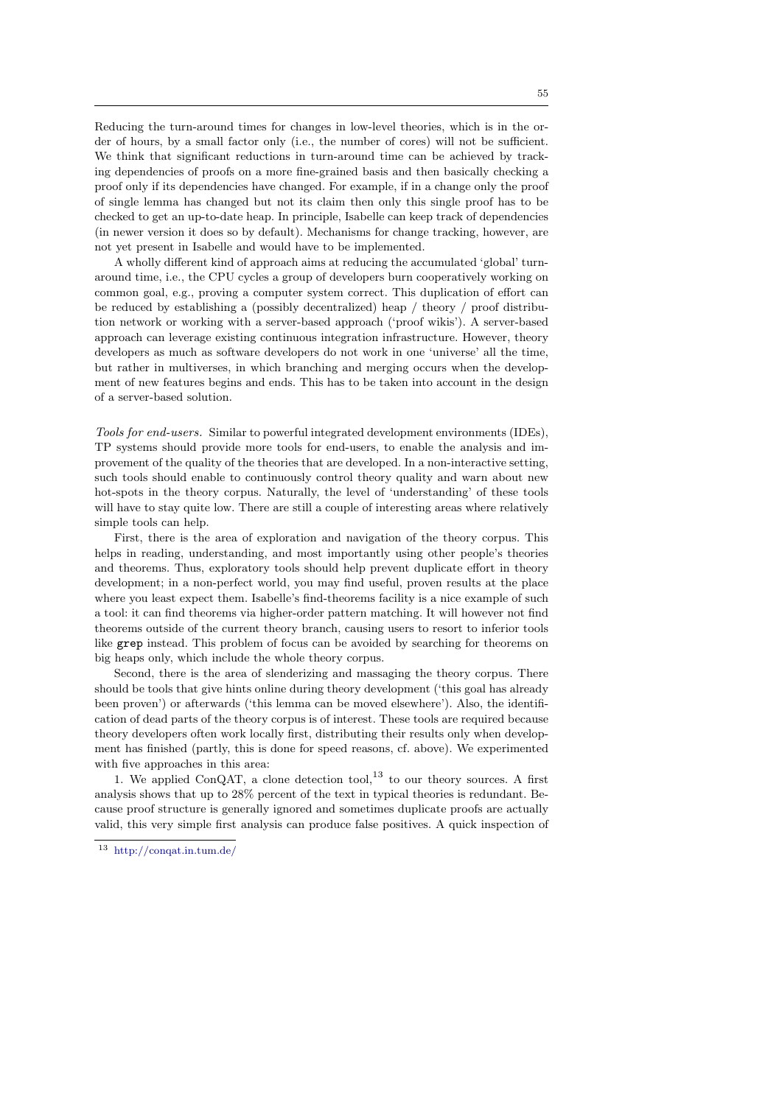Reducing the turn-around times for changes in low-level theories, which is in the order of hours, by a small factor only (i.e., the number of cores) will not be sufficient. We think that significant reductions in turn-around time can be achieved by tracking dependencies of proofs on a more fine-grained basis and then basically checking a proof only if its dependencies have changed. For example, if in a change only the proof of single lemma has changed but not its claim then only this single proof has to be checked to get an up-to-date heap. In principle, Isabelle can keep track of dependencies (in newer version it does so by default). Mechanisms for change tracking, however, are not yet present in Isabelle and would have to be implemented.

A wholly different kind of approach aims at reducing the accumulated 'global' turnaround time, i.e., the CPU cycles a group of developers burn cooperatively working on common goal, e.g., proving a computer system correct. This duplication of effort can be reduced by establishing a (possibly decentralized) heap / theory / proof distribution network or working with a server-based approach ('proof wikis'). A server-based approach can leverage existing continuous integration infrastructure. However, theory developers as much as software developers do not work in one 'universe' all the time, but rather in multiverses, in which branching and merging occurs when the development of new features begins and ends. This has to be taken into account in the design of a server-based solution.

Tools for end-users. Similar to powerful integrated development environments (IDEs), TP systems should provide more tools for end-users, to enable the analysis and improvement of the quality of the theories that are developed. In a non-interactive setting, such tools should enable to continuously control theory quality and warn about new hot-spots in the theory corpus. Naturally, the level of 'understanding' of these tools will have to stay quite low. There are still a couple of interesting areas where relatively simple tools can help.

First, there is the area of exploration and navigation of the theory corpus. This helps in reading, understanding, and most importantly using other people's theories and theorems. Thus, exploratory tools should help prevent duplicate effort in theory development; in a non-perfect world, you may find useful, proven results at the place where you least expect them. Isabelle's find-theorems facility is a nice example of such a tool: it can find theorems via higher-order pattern matching. It will however not find theorems outside of the current theory branch, causing users to resort to inferior tools like grep instead. This problem of focus can be avoided by searching for theorems on big heaps only, which include the whole theory corpus.

Second, there is the area of slenderizing and massaging the theory corpus. There should be tools that give hints online during theory development ('this goal has already been proven') or afterwards ('this lemma can be moved elsewhere'). Also, the identification of dead parts of the theory corpus is of interest. These tools are required because theory developers often work locally first, distributing their results only when development has finished (partly, this is done for speed reasons, cf. above). We experimented with five approaches in this area:

1. We applied ConQAT, a clone detection tool,  $13$  to our theory sources. A first analysis shows that up to 28% percent of the text in typical theories is redundant. Because proof structure is generally ignored and sometimes duplicate proofs are actually valid, this very simple first analysis can produce false positives. A quick inspection of

<sup>13</sup> <http://conqat.in.tum.de/>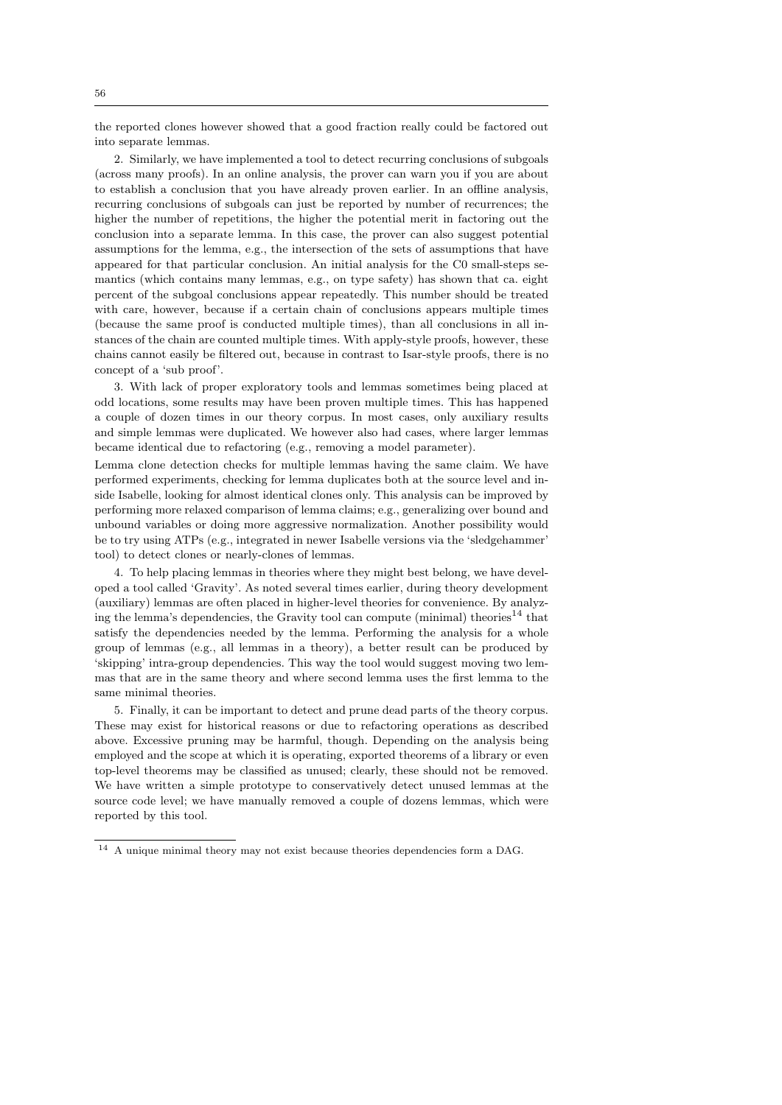the reported clones however showed that a good fraction really could be factored out into separate lemmas.

2. Similarly, we have implemented a tool to detect recurring conclusions of subgoals (across many proofs). In an online analysis, the prover can warn you if you are about to establish a conclusion that you have already proven earlier. In an offline analysis, recurring conclusions of subgoals can just be reported by number of recurrences; the higher the number of repetitions, the higher the potential merit in factoring out the conclusion into a separate lemma. In this case, the prover can also suggest potential assumptions for the lemma, e.g., the intersection of the sets of assumptions that have appeared for that particular conclusion. An initial analysis for the C0 small-steps semantics (which contains many lemmas, e.g., on type safety) has shown that ca. eight percent of the subgoal conclusions appear repeatedly. This number should be treated with care, however, because if a certain chain of conclusions appears multiple times (because the same proof is conducted multiple times), than all conclusions in all instances of the chain are counted multiple times. With apply-style proofs, however, these chains cannot easily be filtered out, because in contrast to Isar-style proofs, there is no concept of a 'sub proof'.

3. With lack of proper exploratory tools and lemmas sometimes being placed at odd locations, some results may have been proven multiple times. This has happened a couple of dozen times in our theory corpus. In most cases, only auxiliary results and simple lemmas were duplicated. We however also had cases, where larger lemmas became identical due to refactoring (e.g., removing a model parameter).

Lemma clone detection checks for multiple lemmas having the same claim. We have performed experiments, checking for lemma duplicates both at the source level and inside Isabelle, looking for almost identical clones only. This analysis can be improved by performing more relaxed comparison of lemma claims; e.g., generalizing over bound and unbound variables or doing more aggressive normalization. Another possibility would be to try using ATPs (e.g., integrated in newer Isabelle versions via the 'sledgehammer' tool) to detect clones or nearly-clones of lemmas.

4. To help placing lemmas in theories where they might best belong, we have developed a tool called 'Gravity'. As noted several times earlier, during theory development (auxiliary) lemmas are often placed in higher-level theories for convenience. By analyzing the lemma's dependencies, the Gravity tool can compute (minimal) theories<sup>14</sup> that satisfy the dependencies needed by the lemma. Performing the analysis for a whole group of lemmas (e.g., all lemmas in a theory), a better result can be produced by 'skipping' intra-group dependencies. This way the tool would suggest moving two lemmas that are in the same theory and where second lemma uses the first lemma to the same minimal theories.

5. Finally, it can be important to detect and prune dead parts of the theory corpus. These may exist for historical reasons or due to refactoring operations as described above. Excessive pruning may be harmful, though. Depending on the analysis being employed and the scope at which it is operating, exported theorems of a library or even top-level theorems may be classified as unused; clearly, these should not be removed. We have written a simple prototype to conservatively detect unused lemmas at the source code level; we have manually removed a couple of dozens lemmas, which were reported by this tool.

 $^{14}\,$  A unique minimal theory may not exist because theories dependencies form a DAG.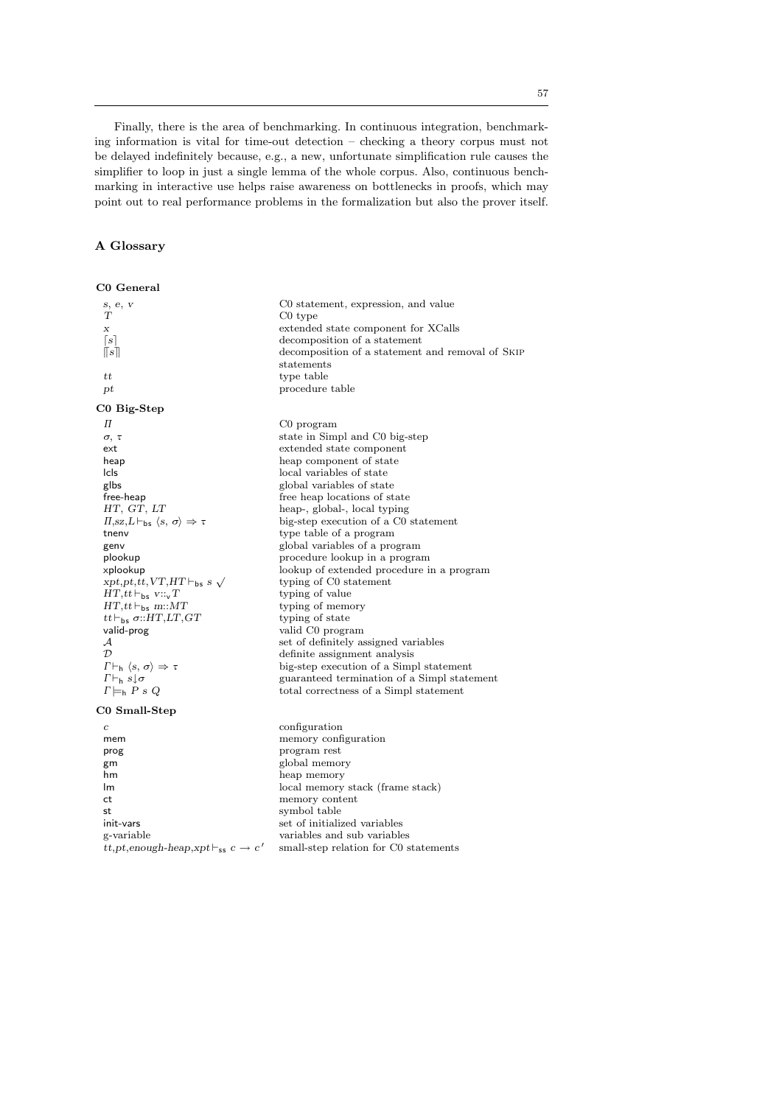Finally, there is the area of benchmarking. In continuous integration, benchmarking information is vital for time-out detection – checking a theory corpus must not be delayed indefinitely because, e.g., a new, unfortunate simplification rule causes the simplifier to loop in just a single lemma of the whole corpus. Also, continuous benchmarking in interactive use helps raise awareness on bottlenecks in proofs, which may point out to real performance problems in the formalization but also the prover itself.

# A Glossary

#### C0 General

| s, e, v<br>T                                                                    | C0 statement, expression, and value              |
|---------------------------------------------------------------------------------|--------------------------------------------------|
|                                                                                 | $CO$ type                                        |
| $\boldsymbol{x}$                                                                | extended state component for XCalls              |
| $\lceil s \rceil$                                                               | decomposition of a statement                     |
| $\lceil s \rceil$                                                               | decomposition of a statement and removal of SKIP |
|                                                                                 | statements                                       |
| $t\bar{t}$                                                                      | type table                                       |
| $_{\rm pt}$                                                                     | procedure table                                  |
| C0 Big-Step                                                                     |                                                  |
| П                                                                               | $C0$ program                                     |
| $\sigma$ , $\tau$                                                               | state in Simpl and C0 big-step                   |
| ext                                                                             | extended state component                         |
| heap                                                                            | heap component of state                          |
| Icls                                                                            | local variables of state                         |
| glbs                                                                            | global variables of state                        |
| free-heap                                                                       | free heap locations of state                     |
| HT, GT, LT                                                                      | heap-, global-, local typing                     |
| $\Pi$ ,sz, $L\vdash$ <sub>bs</sub> $\langle s, \sigma \rangle \Rightarrow \tau$ | big-step execution of a C0 statement             |
| tnenv                                                                           | type table of a program                          |
| genv                                                                            | global variables of a program                    |
| plookup                                                                         | procedure lookup in a program                    |
| xplookup                                                                        | lookup of extended procedure in a program        |
| $xpt, pt, tt, VT, HT \vdash_{bs} s \sqrt{ }$                                    | typing of C0 statement                           |
| $HT, tt \vdash_{\mathsf{bs}} v ::_v T$                                          | typing of value                                  |
| $HT, tt \vdash_{bs} m::MT$                                                      |                                                  |
| $tt \vdash_{bs} \sigma :: HT, LT, GT$                                           | typing of memory<br>typing of state              |
|                                                                                 |                                                  |
| valid-prog                                                                      | valid C0 program                                 |
| ${\cal A}$<br>$\mathcal{D}$                                                     | set of definitely assigned variables             |
|                                                                                 | definite assignment analysis                     |
| $\Gamma\vdash_h \langle s, \sigma \rangle \Rightarrow \tau$                     | big-step execution of a Simpl statement          |
| $\varGamma\vdash_{\mathsf{h}} s\!\downarrow\!\sigma$                            | guaranteed termination of a Simpl statement      |
| $\Gamma \models_h P s Q$                                                        | total correctness of a Simpl statement           |
| C0 Small-Step                                                                   |                                                  |
| $\mathfrak{c}$                                                                  | configuration                                    |
| mem                                                                             | memory configuration                             |
| prog                                                                            | program rest                                     |
| gm                                                                              | global memory                                    |
| hm                                                                              | heap memory                                      |
| lm                                                                              | local memory stack (frame stack)                 |
| ct                                                                              | memory content                                   |
| st                                                                              | symbol table                                     |
| init-vars                                                                       | set of initialized variables                     |
| g-variable                                                                      | variables and sub variables                      |
| $tt, pt, enough-heap, xpt \vdash_{ss} c \rightarrow c'$                         | small-step relation for C0 statements            |
|                                                                                 |                                                  |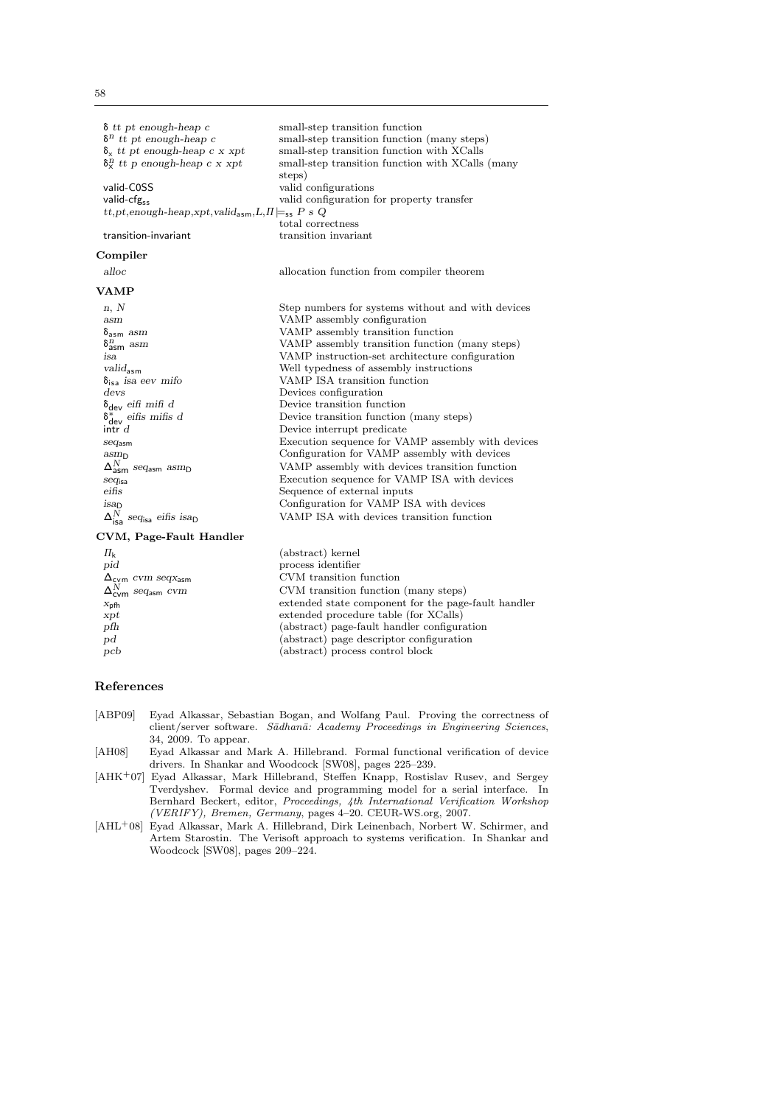58

 $\delta$  tt pt enough-heap c small-step transition function  $\delta^n$  tt pt enough-heap c  $\delta^n$  tt pt enough-heap c small-step transition function (many steps)<br> $\delta_x$  tt pt enough-heap c x xpt small-step transition function with XCalls small-step transition function with XCalls  $\delta^n_\times$ small-step transition function with XCalls (many steps) valid-C0SS valid configurations valid-cfg<sub>ss</sub> valid configuration for property transfer  $tt,pt,enough-heap, xpt, valid_{\mathtt{asm}}, L, \varPi \models_{\mathtt{ss}} \, P \,\, s \,\, Q$ total correctness transition-invariant Compiler alloc allocation function from compiler theorem VAMP n, N Step numbers for systems without and with devices asm VAMP assembly configuration VAMP assembly transition function  $\delta_n^{\overline{n}}$  $\sum_{\substack{s,m \text{ and } s}}^{\text{all}}$  assembly transition function (many steps)<br> $\sum_{\substack{s}}^{\text{all}}$  asm  $\sum_{\substack{s}}^{\text{all}}$  VAMP instruction-set architecture configuration  $VAMP$  instruction-set architecture configuration valid<sub>asm</sub> Well typedness of assembly instructions valid<sub>asm</sub> Well typedness of assembly instructions  $\delta_{isa}$  is eev mifo WAMP ISA transition function  $\delta_{\text{isa}}$  is eev mifo VAMP ISA transition function<br>devs Devices configuration  $\begin{aligned} &\text{devs} &\text{Devices configuration}\\ &\delta_{\text{dev}}\,\, \text{eifi}\,\, \text{mifi}\,\, d &\text{Device transition fund} \end{aligned}$ Device transition function §ັ້  $\begin{array}{ll}\n\delta_{\text{dev}}^* & \text{eifis mifs } d \\
\text{let } d\n\end{array}\n\qquad\n\begin{array}{ll}\n\text{Device transition function (many steps)} \\
\text{Device interrupt predicate}\n\end{array}$ Device interrupt predicate seq<sub>asm</sub> Execution sequence for VAMP assembly with devices asm<sub>n</sub> Configuration for VAMP assembly with devices Configuration for VAMP assembly with devices  $\Delta_{\text{asm}}^N$  seq<sub>asm</sub> asm<sub>D</sub>  $\Delta_{\text{asm}}^N$  as  $\Delta_{\text{asym}}^N$  assembly with devices transition function  $\text{seq}_{\text{feas}}$ seq<sub>uence</sub> Execution sequence for VAMP ISA with devices  $\frac{1}{15}$  Execution sequence of external inputs  $\begin{minipage}{.4\linewidth} \vspace{0.1cm} \begin{tabular}{l} \hline \texttt{eifis} \\ \texttt{isa}_\text{D} \end{tabular} \end{minipage}$ Configuration for VAMP ISA with devices  $\Delta_{\text{isa}}^N$  seq<sub>isa</sub> eifis isa<sub>D</sub> VAMP ISA with devices transition function CVM, Page-Fault Handler  $\Pi_{\mathbf{k}}$  (abstract) kernel<br>pid process identifier pid process identifier CVM transition function  $\Delta_{\rm cvm}^N$  seq<sub>asm</sub> cvm  $\Delta_{\text{cym}}^N \; \text{seq}_{\text{asm}} \; \text{cum} \qquad \qquad \text{CVM transition function (many steps)} \\ \text{x}_{\text{pfh}} \qquad \qquad \text{extended state component for the page}$ extended state component for the page-fault handler xpt extended procedure table (for XCalls) pfh (abstract) page-fault handler configuration pd (abstract) page descriptor configuration<br>
(abstract) process control block  $(abstract)$  process control block

#### References

- [ABP09] Eyad Alkassar, Sebastian Bogan, and Wolfang Paul. Proving the correctness of client/server software. Sādhanā: Academy Proceedings in Engineering Sciences, 34, 2009. To appear.
- [AH08] Eyad Alkassar and Mark A. Hillebrand. Formal functional verification of device drivers. In Shankar and Woodcock [SW08], pages 225–239.
- [AHK+07] Eyad Alkassar, Mark Hillebrand, Steffen Knapp, Rostislav Rusev, and Sergey Tverdyshev. Formal device and programming model for a serial interface. In Bernhard Beckert, editor, Proceedings, 4th International Verification Workshop (VERIFY), Bremen, Germany, pages 4–20. CEUR-WS.org, 2007.
- [AHL<sup>+</sup>08] Eyad Alkassar, Mark A. Hillebrand, Dirk Leinenbach, Norbert W. Schirmer, and Artem Starostin. The Verisoft approach to systems verification. In Shankar and Woodcock [SW08], pages 209–224.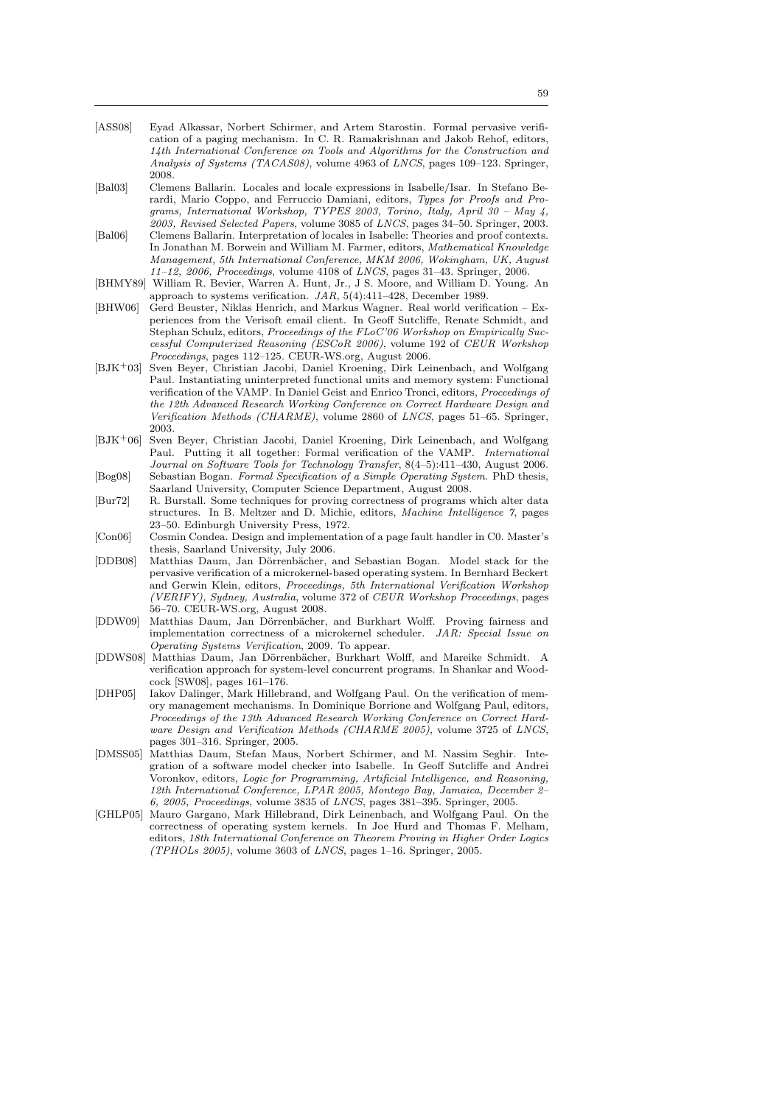- [ASS08] Eyad Alkassar, Norbert Schirmer, and Artem Starostin. Formal pervasive verification of a paging mechanism. In C. R. Ramakrishnan and Jakob Rehof, editors, 14th International Conference on Tools and Algorithms for the Construction and Analysis of Systems (TACAS08), volume 4963 of LNCS, pages 109–123. Springer, 2008.
- [Bal03] Clemens Ballarin. Locales and locale expressions in Isabelle/Isar. In Stefano Berardi, Mario Coppo, and Ferruccio Damiani, editors, Types for Proofs and Programs, International Workshop, TYPES 2003, Torino, Italy, April 30 – May 4, 2003, Revised Selected Papers, volume 3085 of LNCS, pages 34–50. Springer, 2003.
- [Bal06] Clemens Ballarin. Interpretation of locales in Isabelle: Theories and proof contexts. In Jonathan M. Borwein and William M. Farmer, editors, Mathematical Knowledge Management, 5th International Conference, MKM 2006, Wokingham, UK, August 11–12, 2006, Proceedings, volume 4108 of LNCS, pages 31–43. Springer, 2006.
- [BHMY89] William R. Bevier, Warren A. Hunt, Jr., J S. Moore, and William D. Young. An approach to systems verification. JAR, 5(4):411–428, December 1989.
- [BHW06] Gerd Beuster, Niklas Henrich, and Markus Wagner. Real world verification Experiences from the Verisoft email client. In Geoff Sutcliffe, Renate Schmidt, and Stephan Schulz, editors, Proceedings of the FLoC'06 Workshop on Empirically Successful Computerized Reasoning (ESCoR 2006), volume 192 of CEUR Workshop Proceedings, pages 112–125. CEUR-WS.org, August 2006.
- [BJK+03] Sven Beyer, Christian Jacobi, Daniel Kroening, Dirk Leinenbach, and Wolfgang Paul. Instantiating uninterpreted functional units and memory system: Functional verification of the VAMP. In Daniel Geist and Enrico Tronci, editors, Proceedings of the 12th Advanced Research Working Conference on Correct Hardware Design and Verification Methods (CHARME), volume 2860 of LNCS, pages 51–65. Springer, 2003.
- [BJK+06] Sven Beyer, Christian Jacobi, Daniel Kroening, Dirk Leinenbach, and Wolfgang Paul. Putting it all together: Formal verification of the VAMP. International Journal on Software Tools for Technology Transfer, 8(4–5):411–430, August 2006. [Bog08] Sebastian Bogan. Formal Specification of a Simple Operating System. PhD thesis, Saarland University, Computer Science Department, August 2008.
- [Bur72] R. Burstall. Some techniques for proving correctness of programs which alter data structures. In B. Meltzer and D. Michie, editors, Machine Intelligence 7, pages 23–50. Edinburgh University Press, 1972.
- [Con06] Cosmin Condea. Design and implementation of a page fault handler in C0. Master's thesis, Saarland University, July 2006.
- [DDB08] Matthias Daum, Jan Dörrenbächer, and Sebastian Bogan. Model stack for the pervasive verification of a microkernel-based operating system. In Bernhard Beckert and Gerwin Klein, editors, Proceedings, 5th International Verification Workshop (VERIFY), Sydney, Australia, volume 372 of CEUR Workshop Proceedings, pages 56–70. CEUR-WS.org, August 2008.
- [DDW09] Matthias Daum, Jan Dörrenbächer, and Burkhart Wolff. Proving fairness and implementation correctness of a microkernel scheduler. JAR: Special Issue on Operating Systems Verification, 2009. To appear.
- [DDWS08] Matthias Daum, Jan Dörrenbächer, Burkhart Wolff, and Mareike Schmidt. A verification approach for system-level concurrent programs. In Shankar and Woodcock [SW08], pages 161–176.
- [DHP05] Iakov Dalinger, Mark Hillebrand, and Wolfgang Paul. On the verification of memory management mechanisms. In Dominique Borrione and Wolfgang Paul, editors, Proceedings of the 13th Advanced Research Working Conference on Correct Hardware Design and Verification Methods (CHARME 2005), volume 3725 of LNCS, pages 301–316. Springer, 2005.
- [DMSS05] Matthias Daum, Stefan Maus, Norbert Schirmer, and M. Nassim Seghir. Integration of a software model checker into Isabelle. In Geoff Sutcliffe and Andrei Voronkov, editors, Logic for Programming, Artificial Intelligence, and Reasoning, 12th International Conference, LPAR 2005, Montego Bay, Jamaica, December 2– 6, 2005, Proceedings, volume 3835 of LNCS, pages 381–395. Springer, 2005.
- [GHLP05] Mauro Gargano, Mark Hillebrand, Dirk Leinenbach, and Wolfgang Paul. On the correctness of operating system kernels. In Joe Hurd and Thomas F. Melham, editors, 18th International Conference on Theorem Proving in Higher Order Logics (TPHOLs  $2005$ ), volume 3603 of LNCS, pages 1–16. Springer, 2005.